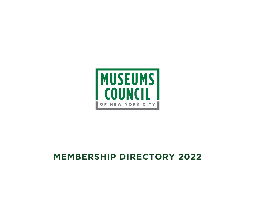# **MEMBERSHIP DIRECTORY 2022**

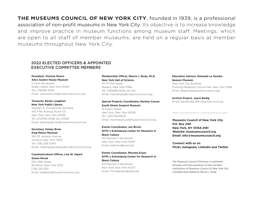**THE MUSEUMS COUNCIL OF NEW YORK CITY**, founded in 1939, is a professional association of non-profit museums in New York City. Its objective is to increase knowledge and improve practice in museum functions among museum staff. Meetings, which are open to all staff of member museums, are held on a regular basis at member museums throughout New York City.

## 2022 ELECTED OFFICERS & APPOINTED EXECUTIVE COMMITTEE MEMBERS

### **President, Victoria Munro Alice Austen House Museum**

2 Hylan Boulevard Staten Island, New York 10305 Tel: (718)816-4506 Email: vistoriamunro@museumscouncil.org

### **Treasurer, Becky Laughner New York Public Library**

Stephen A. Schwarzman Building 476 Fifth Avenue, Room 121 New York, New York 20018 Tel: (212)930-0538, ext 20538 Email: beckylaughner@museumscouncil.org

### **Secretary, Kelsey Brow King Manor Museum**

150-03 Jamaica Avenue Jamaica, New York 11432 Tel: (718) 206-0545 Email: meetingssecretary@museumscouncil.org

### **Communications Officer, Lisa W. Alpert Green-Wood**

500 35th Street Brooklyn, New York 11232 (718) 210-3011 Email: lisaalpert@museumscouncil.org

### **Membership Officer, Marcia J. Rudy, Ph.D. New York Hall of Science**

47-01 111th Street Queens, New York 11368 Tel: (718)699-0005, ext 312 Email: marciarudy@museumscouncil.org

### **Special Projects Coordinator, Martina Caruso South Street Seaport Museum**

12 Fulton Street New York, New York 10038 Tel: (212)748-8600 Email: martinacaruso@museumscouncil.org

**Events Coordinator, Joy Bivins NYPL's Schomburg Center for Research in Black Culture** 515 Malcolm X Boulevard New York, New York 10037 Email: joybivins@nypl.org

**Events Coordinator, Rhonda Evans NYPL's Schomburg Center for Research in Black Culture** 515 Malcolm X Boulevard New York, New York 10037 Email: rhondaevans@nypl.org

### **Education Advisor, Kimaada Le Gendre Queens Museum**

New York City Building Flushing Meadows Corona Park, New York 11368 Email: klegendre@queensmuseum.org

**Archive Project, Joyce Bodig** Email: joycebodig @museumsocuncil.org

### **Museums Council of New York City P.O. Box 2181 New York, NY 10163-2181 Website: museumscouncil.org Email: info@museumscouncil.org**

**Connect with us on Flickr, Instagram, LinkedIn and Twitter**

*The Museums Council Directory is published annually with the assistance of the member institutions of Museums Council of New York City. Compiled and edited by Marcia J. Rudy.*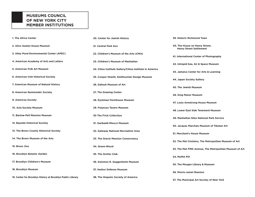## **MUSEUMS COUNCIL OF NEW YORK CITY MEMBER INSTITUTIONS**

| 1. The Africa Center                                       | 20. Center for Jewish History                          | 39. Historic Richmond Town                                       |
|------------------------------------------------------------|--------------------------------------------------------|------------------------------------------------------------------|
| 2. Alice Austen House Museum                               | 21. Central Park Zoo                                   | 40. The House on Henry Street,<br><b>Henry Street Settlement</b> |
| 3. Alley Pond Environmental Center (APEC)                  | 22. Children's Museum of the Arts (CMA)                | 41. International Center of Photography                          |
| 4. American Academy of Arts and Letters                    | 23. Children's Museum of Manhattan                     | 42. Intrepid Sea, Air & Space Museum                             |
| 5. American Folk Art Museum                                | 24. China Institute Gallery/China Institute in America | 43. Jamaica Center for Arts & Learning                           |
| 6. American Irish Historical Society                       | 25. Cooper Hewitt, Smithsonian Design Museum           | 44. Japan Society Gallery                                        |
| 7. American Museum of Natural History                      | 26. Dahesh Museum of Art                               | 45. The Jewish Museum                                            |
| 8. American Numismatic Society                             | 27. The Drawing Center                                 | <b>46. King Manor Museum</b>                                     |
| 9. Americas Society                                        | 28. Dyckman Farmhouse Museum                           | 47. Louis Armstrong House Museum                                 |
| 10. Asia Society Museum                                    | 29. Fraunces Tavern Museum                             | 48. Lower East Side Tenement Museum                              |
| 11. Bartow-Pell Mansion Museum                             | <b>30 The Frick Collection</b>                         | 49. Manhattan Sites National Park Service                        |
| 12. Bayside Historical Society                             | 31. Garibaldi-Meucci Museum                            | 50. Jacques Marchais Museum of Tibetan Art                       |
| 13. The Bronx County Historical Society                    | 32. Gateway National Recreation Area                   | 51. Merchant's House Museum                                      |
| 14. The Bronx Museum of the Arts                           | 33. The Gracie Mansion Conservancy                     | 52. The Met Cloisters, The Metropolitan Museum of Art            |
| 15. Bronx Zoo                                              | 34. Green-Wood                                         | 53. The Met Fifth Avenue, The Metropolitan Museum of Art         |
| 16. Brooklyn Botanic Garden                                | 35. The Grolier Club                                   | <b>54. MoMA PS1</b>                                              |
| 17. Brooklyn Children's Museum                             | 36. Solomon R. Guggenheim Museum                       | 55. The Morgan Library & Museum                                  |
| 18. Brooklyn Museum                                        | 37. Harbor Defense Museum                              | <b>56. Morris-Jumel Mansion</b>                                  |
| 19. Center for Brooklyn History at Brooklyn Public Library | 38. The Hispanic Society of America                    | 57. The Municipal Art Society of New York                        |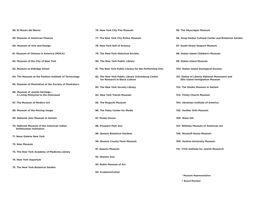| 58. El Museo del Barrio                                                      | 76. New York City Fire Museum                                                     | 95. The Skyscraper Museum                                                              |
|------------------------------------------------------------------------------|-----------------------------------------------------------------------------------|----------------------------------------------------------------------------------------|
| 59. Museum of American Finance                                               | 77. The New York City Police Museum                                               | 96. Snug Harbor Cultural Center and Botanical Garden                                   |
| 60. Museum of Arts and Design                                                | 78. New York Hall of Science                                                      | 97. South Street Seaport Museum                                                        |
| 61. Museum of Chinese in America (MOCA)                                      | 79. The New-York Historical Society                                               | 98. Staten Island Children's Museum                                                    |
| 62. Museum of the City of New York                                           | 80. The New York Public Library                                                   | 99. Staten Island Museum                                                               |
| 63. Museum at Eldridge Street                                                | 81. The New York Public Library for the Performing Arts                           | 100. Staten Island Zoological Society                                                  |
| 64. The Museum at the Fashion Institute of Technology                        | 82. The New York Public Library Schomburg Center<br>for Research in Black Culture | 101. Statue of Liberty National Monument and<br><b>Ellis Island Immigration Museum</b> |
| 65. Museum of Illustration at the Society of Illustrators                    | 83. The New York Society Library                                                  | 102. The Studio Museum in Harlem                                                       |
| 66. Museum of Jewish Heritage -<br>A Living Memorial to the Holocaust        | <b>84. New York Transit Museum</b>                                                | 103. Trinity Church Museum                                                             |
| 67. The Museum of Modern Art                                                 | 85. The Noguchi Museum                                                            | 104. Ukrainian Institute of America                                                    |
| 68. Museum of the Moving Image                                               | 86. The Paley Center for Media                                                    | 105. Voelker Orth Museum                                                               |
| 69. National Jazz Museum in Harlem                                           | 87. Poster House                                                                  | 106. Wave Hill                                                                         |
| 70. National Museum of the American Indian<br><b>Smithsonian Institution</b> | 88. Prospect Park Zoo                                                             | 107. Whitney Museum of American Art                                                    |
| 71. Neue Galerie New York                                                    | 89. Queens Botanical Gardens                                                      | 108. Wyckoff House Museum                                                              |
| 72. New Museum                                                               | 90. Queens County Farm Museum                                                     | 109. Yeshiva University Museum                                                         |
| 73. The New York Academy of Medicine Library                                 | 91. Queens Museum                                                                 | 110. YIVO Institute for Jewish Research                                                |
| 74. New York Aquarium                                                        | 92. Queens Zoo                                                                    |                                                                                        |
| 75. The New York Botanical Garden                                            | 93. Rubin Museum of Art                                                           |                                                                                        |
|                                                                              | 94. SculptureCenter                                                               | * Museum Representative                                                                |

**+ Board Member**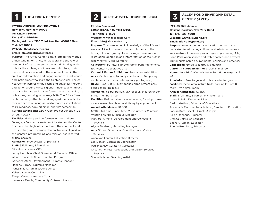### **1 THE AFRICA CENTER**

**Physical Address: 1280 Fifth Avenue New York, New York 10029 Tel: (212)444-9795 Fax: (212)444-9796 Mailing Address: 2196 Third Ave. Unit #10025 New York, NY 10035 Website: theafricacenter.org**

### **Email: info@theafricacenter.org**

**Purpose:** The Africa Center is transforming the world's understanding of Africa, its Diaspora and the role of people of African descent in the world. Serving as the hub for the exchange of ideas around culture, business, and policy related to the continent, and in the spirit of collaboration and engagement with individuals and institutions who share the Center's values, The Africa Center inspires enthusiasm, and advances thought and action around Africa's global influence and impact on our collective and shared futures. Since launching its public programming in January 2019, The Africa Center has already attracted and engaged thousands of visitors in a series of inaugural performances, installations, talks, readings, book signings, and film screenings. **Current Exhibitions:** Ezra Wube: Project Junction (up through 2021)

**Facilities:** Gallery and performance space where Teranga, a fast-casual restaurant located on the Center's first floor that highlights food from the continent and hosts tastings and cooking demonstrations aligned with the Center's programming and mission, has received critical acclaim.

**Admission:** Free except for programs **Staff:** 6 Full time, 3 Part time \*Uzodinma Iweala, CEO Jenny Hourihan, Chief Operation & Financial Officer Alana Francis de Govia, Director, Programs Adrienne Atiles, Development & Grants Manager Henone Girma, Programs Manager Parissah Lin, Administrative Officer Velky Valentin, Controller Evelyn Owen, Associate Curator Lawrence Ekechi, Community Outreach Liaison

## **2 ALICE AUSTEN HOUSE MUSEUM**

**2 Hylan Boulevard Staten Island, New York 10305 Tel: (718)816-4506 Website: www.aliceausten.org Email: info@aliceausten.org**

**Purpose:** To advance public knowledge of the life and work of Alice Austen and her contributions to the history of photography. To encourage preservation, restoration, operation and interpretation of the Austen family home "Clear Comfort."

**Collections:** Furniture, photographs, paper ephemera, 19th-century decorative arts

**Current & Future Exhibitions:** Permanent exhibition: Austen's photographs and period rooms; Temporary exhibitions focus on contemporary photography. **Hours:** Tues- Sat 12-4, by booked appointment only, closed major holidays

**Admission:** \$5 per person, \$10 for tour, children under 6 free, members free

**Facilities:** Park rental for catered events., 3 multipurpose rooms, research archives and library by appointment

**Annual Attendance:** 20,000

**Staff:** 3 full time, 5 part time, 20 volunteers, 2 interns \*Victoria Munro, Executive Director

Margaret Simons, Development and Collections Specialist

Alyssa DeMarco, Marketing Manager

Amy O'Hara, Director of Operations and Visitor Services

Anna Van Lenten, Education Director

Lee Donlan, Education Coordinator

Paul Moakley, Curator & Caretaker

Kristine Alegretti, Collections and Visitor Services

Specialist

Shanni Mitchel, Teaching Artist

# **ALLEY POND ENVIRONMENTAL 3 CENTER (APEC)**

**224-65 76th Avenue Oakland Gardens, New York 11364 Tel: (718)229-4000 Website: www.alleypond.org Email: info@alleypond.org**

**Purpose:** An environmental education center that is dedicated to educating children and adults in the New York metropolitan area, protecting and preserving Alley Pond Park, open spaces and water bodies, and advocating for sustainable environmental policies and practices. **Collections:** Nature exhibits, live animals

**Current & Future Exhibitions:** Live animal room **Hours:** Mon-Fri 10:00-4:00, Sat & Sun: Hours vary, call for info

Admission: Free to general public; varies for groups **Facilities:** Picnic area, nature trails, parking lot, pre-K room, live animal room

**Annual Attendance:** 65,000

**Staff:** 8 full time, 5 part time, 4 volunteers \*Irene Scheid, Executive Director Carlos Martinez, Director of Operations Rosemarie Favuzza-Papachristou, Director of Education Sandra Katz, Fiscal & Grants Analyst Karen Donahue, Educator Brenda Detweiler, Educator Zachary Kaplan, Educator Bonnie Bromberg, Educator

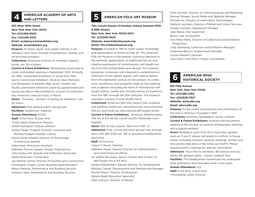## **EXAMERICAN ACADEMY OF ARTS AMERICAN FOLK ART MUSEUM**

**633 West 155th Street New York, New York 10032 Tel: (212)368-5900 Fax: (212)491-4615 Email: academy@artsandletters.org Website: artsandletters.org**

**Purpose:** To foster, assist, and sustain interest in art, literature, and music through its exhibitions, awards, and art purchase program

**Collections:** Extensive archives on members' papers, books, etc. for scholars

**Current & Future Exhibitions:** Temporarily closed due to covid. Anticipated opening is September 2021; Annually, we offer: Invitational Exhibition of Visual Arts (Mar-April); Ceremonial Exhibition: Work by New Members and Recipients of Awards (May-June); Charles Ives Studio, permanent exhibition (open by appointment and during the March-May exhibitions; concert of contemporary American classical music in March.

Hours: Thursday - Sunday 1-4 during an exhibition. Call for hours.

**Admission:** Free general public and groups **Facilities:** Auditorium, Galleries

**Annual Attendance:** 5,000

**Staff:** 13 full time, 35 part time

\*Cody Upton, Executive Director

Ardith Holmgrain, Deputy Director

Ashley Fedor, Program Director, Literature and

Richard Rodgers Awards, Library

David Clarke-Hazlett, Director of Technology, Architecture Awards

Haley Kane, Executive Assistant

Kathleen Trocino Geneta, Design, Publications, John Szlasa, Art Awards and Collections Associate Nadia Ghannam, Conservator

Jay Rahhali, Senior Director of Facilities and Construction Christopher Owens, Annex Building Superintendent Meury Maloney, Maintenance and Building Security Anthony Harp, Maintenance and Building Security

**Two Lincoln Square (Columbus Avenue between 65th & 66th Street) New York, New York 10023-6214 Tel: (212)595-9533 Website: www.folkartmuseum.org Email: info@folkartmuseum.org**

**Purpose:** Founded in 1961 to foster public knowledge and appreciation of American folk art. The American Folk Art Museum is the premier institution devoted to the aesthetic appreciation of traditional folk art and creative expressions of contemporary self-taught artists from the United States and abroad. The museum preserves, conserves, and interprets a comprehensive collection of the highest quality, with objects dating from the eighteenth century to the present. Its collections, exhibitions, and programs relate to folk painting and sculpture (including the work of international selftaught artists), textile arts, and decorative art traditions from the 18th through the 21st centuries. The museum maintains a library of over 10,000 items.

**Collections:** American 18th-21st century folk sculpture and painting, textile arts, decorative arts; environmental folk art, and works by international self-taught artists.

**Current & Future Exhibitions: American Weathervanes:** The Art of the Winds (Jun21-Jan22); Multitudes (Jan-Sept22)

**Hours:** Mon & Tues closed; -Wed-Sun 11:30 - 6

**Admission:** Free, school and other groups may arrange tours (212 265-1040, ext. 381 or grouptours@folkartmuseum.org)

**Staff:** 22 full-time

\*Jason T. Busch, Director

Kathleen Hayes, Deputy Director for Administration and Chief Financial Officer

Dr. Valérie Rousseau, Senior Curator and Curator of Self-Taught Art & Art Brut

Karley Klopfenstein, Deputy Director for Development Brittany Cassell, Development and Membership Manager Rachel Rosen, Director of Education Natalie Beall, Education Specialist Kate Johnson, Director of Design

Chris Gorman, Director of Communications and Marketing Samuel Morgan, Social Media and Website Manager Richard Ho, Director of Information Technologies Stefanie Levinson, Director of Retail and Visitor Services Gordon Jackson, Operations Manager Jake Bialos, Site Supervisor Byron Loja, Accountant Ann-Marie Reilly, Director of Collections and Exhibition Production Judy Steinberg, Collection and Exhibition Manager Andreane Balconi, Digital Asset Manager Louise Masarof, Librarian Lara Ewen, Free Music Fridays Coordinator

# **AMERICAN IRISH 6 HISTORICAL SOCIETY**

**991 Fifth Avenue New York, New York 10028 Tel: (212)288-2263 Fax: (212)628-7927 Website: www.aihs.org Email: aihs@aihs.org**

**Purpose:** To document and publicize the contribution of the Irish in America. Founded in 1897

**Collections:** Archives, newspapers, books, artwork **Current & Future Exhibitions:** Artwork and documents relating to the Society, occasional photography, painting, and sculpture exhibits

**Hours:** Building is open from 10-5 most days; guided tours at 11 and 2, please call ahead to confirm. In-house events including concerts, lectures, readings, recitals and discussions take place a few times per month. Please request Events Calendar for specific information. **Admission:** Tours free to members; \$10 seniors and students; \$15 general public. Library research free **Facilities:** The headquarters townhouse has undergone total restoration and renovation and is now open.

### **Annual Attendance:** n/a

**Staff:** 4 full time, 4 part-time \*Christopher Cahill, Director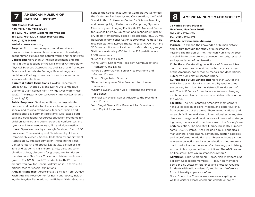# **AMERICAN MUSEUM OF 7 NATURAL HISTORY**

### **200 Central Park West New York, New York 10024 Tel: (212)769-5100 (General information) Tel: (212)769-5200 (Ticket reservations) Fax: (212)769-5018**

**Website: www.amnh.org**

**Purpose:** To discover, interpret, and disseminate – through scientific research and education – knowledge about human cultures, the natural world, and the universe **Collections:** More than 34 million specimens and artifacts in the collections of the Divisions of Anthropology, Physical Sciences (Astrophysics and Earth and Planetary Sciences), Invertebrate Zoology, Paleontology, and Vertebrate Zoology, as well as frozen tissue and other specialized collections.

**Current & Future Exhibitions:** Hayden Planetarium Space Show - Worlds Beyond Earth; Okavango Blue Diamond; Giant Screen Film – Wings Over Water (Mar-Jul22); The Butterfly Conservatory (thru May22); Sharks (thru Aug22)

**Public Programs:** Field expeditions; undergraduate, doctoral and post-doctoral science training programs; special and touring exhibitions; teacher training and professional development programs; web-based curricula and educational resources; education programs for children, families, and adults; scientific conferences and symposia; inter-museum loan; film and video festival **Hours:** Open Wednesdays through Sundays, 10 am–5:30 pm, closed Thanksgiving and Christmas day; Library: (temporarily closed); Special Collection by appointment Admission: Suggested admission, including the Rose Center for Earth and Space: \$23 adults, \$18 senior citizens and students, \$13 children (3-12); discount combination tickets, discounts for groups; free for Museum members and New York City school children and camp groups. For NY, NJ, and CT residents (with ID), the amount you pay for General Admission is up to you. Additional fees for special exhibitions.

**Annual Attendance:** Approximately 5 million (pre-COVID) **Facilities:** The Rose Center for Earth and Space, including the Hayden Planetarium; the Richard Gilder Graduate School; the Sackler Institute for Comparative Genomics; the Center for Biodiversity and Conservation; the David S. and Ruth L. Gottesman Center for Science Teaching and Learning: High Performance Computing Systems; Microscopy and Imaging Facility (MIF);, National Center for Science Literacy, Education and Technology; Discovery Room (temporarily closed); classrooms, 487,000-vol. Research library; conservation laboratories; remote field research stations. LeFrak Theater (seats 1,000); 150- and 300-seat auditoriums, food court; cafés, shops; garage **Staff:** Approximately 850 full time, 159 part-time, and

1,080 volunteers

\*Ellen V. Futter, President

- \*Anne Canty, Senior Vice President Communications, Marketing, and Digital
- \*Sheree Carter-Galvan, Senior Vice President and General Counsel
- \*Lisa J. Gugenheim, Director
- \*Kala Harinarayanan, Vice President for Human Resources
- \*Cheryl Hayashi, Senior Vice President and Provost of Science
- \*Michael J. Novacek Senior Advisor to the President and Curator
- \*Ann Siegel, Senior Vice President for Operations and Capital Programs

## **8 AMERICAN NUMISMATIC SOCIETY**

**75 Varick Street, Floor 11 New York, New York 10013 Tel: (212) 571-4470 Fax: (212) 571-4479 Website: www.numismatics.org**

**Purpose:** To expand the knowledge of human history and culture through the study of numismatics. Mission: The mission of The American Numismatic Society shall be to promote and advance the study, research, and appreciation of numismatics.

**Collections:** Outstanding collections of Greek and Roman, medieval, Islamic and Far Eastern coins, coinage of the Americas, paper money, medals and decorations. Extensive numismatic research library.

**Current and Future Exhibitions:** More than 300 of the ANS's best examples of Ancient and Byzantine coins are on long term loan to the Metropolitan Museum of Art. The ANS Varick Street location features changing exhibitions and lends to museum exhibitions throughout the world.

**Facilities:** The ANS contains America's most comprehensive collection of coins, medals, and paper currency from every part of the globe. There are educational and research facilities available to international scholars, students and the general public who are interested in studying coins, medals, and other treasures in the Society's superb collection. The Society's Library, presently numbers some 100,000 items. These include books, periodicals, manuscripts, photographs, pamphlets, auction catalogs, and microforms. In addition the Library includes a strong reference collection and a wide selection of non-numismatic periodicals in the areas of archaeology, art history, economic history and other disciplines. The ANS has an on-line store: http://numismatics.org/store/

**Admission:** Library: members — free, Non-members \$20 per day; Collections: members — Free, Non-members \$50 per day, Letter of reference and photo ID required; Students with valid student ID, and letter of reference from University supervisor—free.

Note: Due to the Coronavirus – we are accepting no walk-in visitors. Please check our website or call for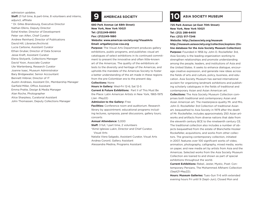### admission updates.

**Staff:** 21 full time, & part-time, 8 volunteers and interns, adjunct, affiliate \* Dr. Gilles Bransbourg, Executive Director Nathan Elkins, Deputy Director Eshel Kreiter, Director of Development Peter van Alfen, Chief Curator Andrew Reinhard, Director of Publications David Hill, Librarian/Archivist Lucia Carbone, Assistant Curator Ethan Gruber, Director of Data Science Jesse Kraft, Assistant Curator Elena Stolyarik, Collections Manager David Yoon, Associate Curator Ute Wartenberg, Research Curator Joanne Isaac, Museum Administrator Bary Bridgewater, Senior Accountant Bennett Hiibner, Director of IT Austin Andrews, Assistant Dir., Membership Manager Garfield Miller, Office Assistant Emma Pratte, Design & Media Manager Alan Roche, Photographer Alice Sharpless, Curatorial Assistant John Thomassen, Deputy Collections Manager

**680 Park Avenue (at 68th Street) New York, New York 10021 Tel: (212)249-8950 Fax: (212)249-1880 Website: www.americas-society.org/VisualArts Email: artgallery@as-coa.org**

**Purpose:** The Visual Arts Department produces gallery exhibitions, public programs, and publishes visual art catalogues of select exhibitions in its continued commitment to present the innovative and often little-known art of the Americas. The quality of the exhibitions attests to the diversity and heritage of the Americas, and upholds the mandate of the Americas Society to foster a better understanding of the art made in these regions from the pre-Colombian era to the present day.

### **Collections:** None

**Hours in Gallery:** Wed-Fri 12-6; Sat 12-5

**Current & Future Exhibitions:**  Part II of This Must Be the Place: Latin American Artists in New York, 1965-1975 (Jan -May22)

### **Admission to the Gallery:** Free

**Facilities:** Conference room and auditorium. Research library by appointment; educational programs including lectures, symposia, panel discussions, gallery tours; concerts

### **Annual Attendance:** 5,000

**Staff:** 3 full, 1 part time, 2 volunteers \*Aimé Iglesias Lukin, Director and Chief Curator, Visual Arts

Natalia Viera Salgado, Assistant Curator, Visual Arts Andrea Coronil, Gallery Assistant

Alessandra Medina, Programs Assistant

## **9 AMERICAS SOCIETY 10 ASIA SOCIETY MUSEUM**

**725 Park Avenue (at East 70th Street) New York, New York 10021 Tel: (212) 288-6400 Fax: (212) 517-7246 Website: http://asiasociety.org/museum**

**http://museum.asiasociety.org/collection/explore (Online database for the Asia Society Museum Collection) Purpose:** Founded in 1956 by John D. Rockefeller 3rd, Asia Society is the leading organization working to strengthen relationships and promote understanding among the people, leaders, and institutions of Asia and the United States. It seeks to enhance dialogue, encourage creative expression, and generate new ideas across the fields of arts and culture, policy, business, and education. Asia Society Museum has earned international acclaim for organizing landmark exhibitions and publishing scholarly catalogues in the fields of traditional and contemporary Asian and Asian American art.

**Collections:** The Asia Society Museum Collection comprises both traditional and contemporary Asian and Asian American art. The masterpiece-quality Mr. and Mrs. John D. Rockefeller 3rd Collection of traditional Asian art, bequeathed to Asia Society in 1979 after the death of Mr. Rockefeller, includes approximately 250 Asian artworks and artifacts from diverse nations that date from the eleventh century BCE to the nineteenth century CE. The traditional collection also includes a number of objects bequeathed from the estate of Blanchette Hooker Rockefeller, acquisitions, and works from other collectors. The growing contemporary collection, initiated in 2007, features over 100 significant works of video, animation, photography, calligraphy, mixed media, works on paper, and new media art by artists from Asia and the Americas. Selected works from the Asia Society Museum Collection are loaned to and shown as part of special exhibitions throughout the world.

**Current Exhibitions:** Rebel, Jester, Mystic, Poet: Contemporary Persians, The Mohammed Afkhami Collection (Sept21-May22);

**Hours: Museum Galleries:** Tues–Sun 11-6 with extended evening hours Fri until 9 (Sept–Jun); Closed Mon and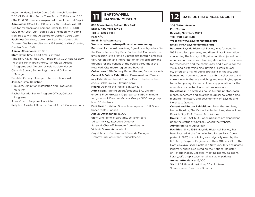major holidays; Garden Court Café: Lunch Tues–Sun 11:30.–3. Exhibition Tours: Tues–Sun at 2, Fri also at 6:30 (The Fri 6:30 tours are suspended from Jul 4–mid-Sept) **Admission:** \$12 adults, \$10 seniors, \$7 students with ID; free for members and persons under 16, free Fri 6:00– 9:00 p.m. (Sept–Jun); audio guide included with admission; free to visit the AsiaStore or Garden Court Café **Facilities:** Gift shop, bookstore, Learning Center, Lila Acheson Wallace Auditorium (258 seats), visitors' center, Garden Court Café.

### **Annual Attendance:** 70,000

**Staff:** 12 full time, 1 part time, 2 interns \*The Hon. Kevin Rudd AC President & CEO, Asia Society \*Michelle Yun Mapplethorpe, VP, Global Artistic

 Programs and Director of Asia Society Museum Clare McGowan, Senior Registrar and Collections Manager

Sarah McCaffery, Manager, Interdisciplinary Arts Jennifer Lima, Registrar

Hiro Sato, Exhibition Installation and Production Manager

Rachel Rosado, Senior Program Officer, Cultural Programs

Anne Kirkup, Program Associate

Kelly Ma, Assistant Director, Global Arts & Collaborations

**895 Shore Road, Pelham Bay Park Bronx, New York 10464 Tel: (718)885-1461 Fax: N/A Email: info@bpmm.org Website: www.bartowpellmansionmuseum.org**

**Purpose:** As the last remaining "great country estate" in the Bronx Pelham Bay Park, Bartow-Pell Mansion Museums mission is to create a vibrant site through preservation, restoration and interpretation of the property and grounds for the benefit of the public throughout the New York City metro region and beyond

**Collections:** 19th Century Period Rooms, Decorative Arts **Current & Future Exhibitions:** Permanent and Temporary Exhibitions: Period Rooms, Gaston Lachaise Pea-

cocks Fields Jax by Fitzhugh Karol

**Hours:** Open to the Public: Sat/Sun 12-4

**Admission:** Adults/Seniors/Students \$10, Children under 6 Free, Groups \$10 per person(\$130 minimum for groups of 10 or less)School Groups \$160 per group, Max. 30 students

**Facilities:** Exhibition Space, Meeting room, Gift Shop, Space rental. Parking

**Annual Attendance:** 15,000

**Staff:** 2 full time, 8 part time, 25 volunteers

\*Alison McKay, Executive Director

Susan M. Chesloff, Museum Administration

Victoria Sunko, Accountant

Guy Johnson, Gardens and Grounds Manager

Timothy Eng, Assistant Groundskeeper

## **BARTOW-PELL MANSION MUSEUM**

**208 Totten Avenue Fort Totten Bayside, New York 11359 Tel: (718) 352-1548 Website: www.baysidehistorical.org Email: info@baysidehistorical.org**

**Purpose:** Bayside Historical Society was founded in 1964 to collect, preserve, and disseminate information concerning the history of Bayside and its adjacent communities and serves as a learning destination, a resource for researchers and the community, and a venue for the visual and performing arts. Bayside Historical Society offers an array of public programs in the arts and humanities in conjunction with exhibits, collections, and current events that are enriching and meaningful, speak to contemporary life, and cultivate appreciation for the area's historic, natural, and cultural resources.

**Collections:** The Archives house historic photos, documents, ephemera and an archaeological collection documenting the history and development of Bayside and Northeast Queens.

**Current and Future Exhibitions:** From the Archives: Native Bayside; The Castle; Ladies in Lines; Men in Rows; Bayside Day, 1914; Recent Acquisitions

**Hours:** Thurs - Sat 12-4 – opening times are dependent upon the status of COVID19. Check the website. **Admission:** \$5 (suggested)

**Facilities:** Since 1984, Bayside Historical Society has been located at the Castle in Fort Totten Park. Completed in 1887, the building was originally used by the U.S. Army Corps of Engineers as their Officers' Club. The Gothic Revival-style Castle is a New York City designated landmark and is also listed on the National Register of Historic Places. Galleries, meeting rooms, ballroom, library, gift shop, space rental available, parking. **Annual Attendance:** 16,000

**Staff:** 1 full time, 4 part time, 50 volunteers

\*Laura James, Executive Director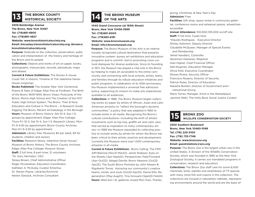## **THE BRONX COUNTY 13 HISTORICAL SOCIETY**

**3309 Bainbridge Avenue The Bronx, New York 10467 Tel: (718)881-8900 Fax: (718)881-4827 Website: www.bronxhistoricalsociety.org Email: kmcauley@bronxhistoricalsociety.org; tbrown@ bronxhistoricalsociety.org**

**Purpose:** Dedicate to the collection, preservation, publication and interpretation of the history and heritage of the Bronx and its people

**Collections:** Objects and works of art on paper, books, photographs, manuscripts, records, periodicals, maps and atlases

**Current & Future Exhibitions:** The Stories A House Could Tell: A Historic Timeline of The Valentine-Varian House (ongoing).

**Books Published:** The Greater New York Centennial; Poems & Tales of Edgar Allan Poe at Fordham; The Birth of the Bronx 1609-1900; Bronx Views: Postcards of the Bronx; Morris High School and The Creation of the NYC Public High School System; The Bronx: Then & Now; Education and Culture in The Bronx - A Research Guide; Digging The Bronx, Recent Archaeology in the Borough **Hours:** Museum of Bronx History: Sat 10-4, Sun 1-5, groups by appointment; Edgar Allan Poe Cottage: Thurs-Fri 10-3, Sat 10-4, Sun 1-5; Research Library: Mon-Fri 9-4:30 by appointment; Bronx County Archives: Mon-Fri 9-4:30 by appointment

**Admission:** Library free; Museums \$5 per adult, \$3 for students, children and seniors

**Facilities:** Research library, Valentine-Varian House/ Museum of Bronx History, The Bronx County Archives, Edgar Allan Poe Cottage; Museum Stores **Staff:** 3 full time, 8 part-time, 12 volunteers \*Dr. Gary Hermalyn, CEO Teresa Brown, Chief Administrative Officer Roger Mcclanahan, Education Coordinator Kathleen A. McAuley, Curator Emeritus Dr. Steven Payne, Librarian/Archivist Nestor Danyluk, Archives Consultant

# **THE BRONX MUSEUM 14 OF THE ARTS**

**1040 Grand Concourse (at 165th Street) Bronx, New York 10456-3999 Tel: (718)681-6000 Fax: (718)681-6181 Website: www.bronxmuseum.org Email: info@bronxmuseum.org**

**Purpose:** The Bronx Museum of the Arts is an internationally recognized cultural destination that presents innovative contem- porary art exhibitions and education programs and is commit- ted to promoting cross-cultural dialogues for diverse audiences. Since its founding in 1971, the Museum has played a vital role in the Bronx by helping to make art accessible to the entire community and connecting with local schools, artists, teens, and families through its robust education initiatives and public programs. In celebration of its 40th anniversary, the Museum implemented a universal free admission policy, supporting its mission to make arts experiences available to all audiences.

**Collections:** In 1986, The Bronx Museum began collecting works on paper by artists of African, Asian and Latin American ancestry to "reflect the borough's dynamic communities," a policy that was adapted in 1992 to include works in all media. Recognizing the Bronx's cultural contributions—including the birth of artistic movements such as hip hop, graffiti art and Latin Jazz, that served as inspiration to many contemporary artists—in 1999 the Museum expanded its collecting practice to include works by artists for whom the Bronx has been critical to their artistic practice and development. Currently the Museum owns over 1,000 contemporary artworks in all media.

**Current & Future Exhibitions:** Bronx Calling: The Fifth AIM Biennial (Nov21-Mar22); Jamel Shabazz: Eyes on the Streets (Apr-Sept22); Perspectives: Past/Forward (Apr-Oct22); Abigail Deville: Bronx Heavens (Oct22- Apr23); The South Bronx Portraits by John Ahearn & Rigoberto Torres: Honoring our community's creative hearts, minds, and souls (Oct22-Apr23); Darrel Ellis: Regeneration (May-Aug23); Tina Girouard (Sept23-Feb24) **Hours:** Wed-Sun 1-6, galleries closed Mon-Tues, Thanks-

giving, Christmas, & New Year's Day **Admission:** Free **Facilities:** Gift shop, space rental in community galleries, conference rooms and rehearsal spaces, wheelchairaccessible **Annual Attendance:** 100,000-105,000 on/off site **Staff:** 11 full time, 3 part time \*Klaudio Rodriguez, Executive Director Shirley Solomon, Deputy Director Claudette McQueen, Manager of Special Events and Membership Yehiel Handlarz, Controller Skowmon Hastanan, Registrar Alan Highet, Chief Financial Officer Nell Klugman, Education Manager Olivia Pohl, Executive Coordinator Moises Rivera, Security Officer Francisco Rosario, Director of Security Patrick Rowe, Director of Education Natasha Bunten, Director of Government and I nstitutional Giving Mario Torres, Manager, Artist in the Marketplace Jasmine Wahi, The Holly Bock Social Justice Curator



**BRONX ZOO 15 WILDLIFE CONSERVATION SOCIETY**

**2300 Southern Boulevard Bronx, New York 10460-1099 Tel: (718) 220-5100 Fax: (718) 733-7748 Website: www.bronxzoo.org Email: guestrelations@wcs.org**

**Purpose:** The Bronx Zoo is the largest urban zoo in the United States. A division of the Wildlife Conservation Society, which was founded in 1895 as the New York Zoological Society, it carries out mandated programs in conservation, research and education.

**Collections:** The Bronx Zoo staff care for some 6,000 mammals, birds, reptiles and amphibians of 711 species with many more fish and insects in the collection. The collections are housed in naturalistic habitats, representing environments around the world and are the basis of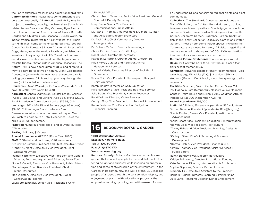the Park's extensive research and educational programs. **Current Exhibitions:** Please note some attractions are only open seasonally. All attraction availability may be subject to weather, capacity, mechanical and/or animalrelated issues. Year-round Bug Carousel; Tiger Mountain: close up views of Amur (Siberian) Tigers; Butterfly Garden and Children's Zoo (seasonal); JungleWorld, an indoor tropical rainforest for Asian wildlife; the Himalayan Highlands, home to the endangered snow leopard; Congo Gorilla Forest, a 6.5 acre African rain forest; Wild Dogs; Madagascar, the world's fourth largest island and an extraordinary array of wildlife. Travel back in time and discover a prehistoric world on the biggest, most realistic Dinosaur Safari ride in America (seasonal). The Nature Trek; is now open! Jump, wiggle, and climb your way to a new perspective on nature. Bronx Zoo Treetop Adventure (seasonal); the new aerial adventure park is calling your name. Climb and zip your way through the trees (not included with admissions).

**Hours:** (Apr–Nov) Weekdays 10–5 and Weekends & Holidays 10–5:30; (Nov–April) 10–4:30

**Admission:** General Admission; Adults: \$24.95, Children (Ages 3-12): \$16.95, and Seniors (Age 65 & over): \$22.95. Total Experience Admission – Adults: \$39.95, Children (Ages 3-12): \$29.95, and Seniors (Age 65 & over): \$34.95. Children ages 2 and under are free. General admission is donation based all day on Wed. If you wish to upgrade to a Total Experience Ticket the price is \$14.95 per person.

**Facilities:** Numerous food, snack and souvenir outlets: ATM on site

**Parking:** \$17 cars; \$20 buses

**Annual Attendance:** 697,266 (Fiscal Year 2020) **Staff:** 2,084 full and part time, ~348 volunteers \*Dr. Cristián Samper, President and Chief Executive Officer \*Robert G. Menzi, Executive Vice President, Chief Operating Officer

\*James J. Breheny, Executive Vice President and General Director, Zoos and Aquarium & Director, Bronx Zoo

- \*John F. Calvelli, Executive Vice President, Public Affairs \*Paula Hayes, Executive Vice President, Chief of Global Resources
- \*Joe Walston, Executive Vice President, Global Conservation Program
- Laura Stolzenthaler, Senior Vice President & Chief

Financial Officer

- Christopher J. McKenzie, Senior Vice President, General Counsel & Deputy Secretary
- Mary Dixon, Senior Vice President,
- Communications, Public Affairs
- Dr. Patrick Thomas, Vice President & General Curator and Associate Director, Bronx Zoo
- Dr. Paul Calle, Chief Veterinarian, Director, Zoological Health
- Dr. Colleen McCann, Curator, Mammalogy
- Chuck Cerbini, Curator, Ornithology
- Donal Boyer, Curator, Herpetology
- Kathleen LaMattina, Curator, Animal Encounters
- Nilda Ferrer, Curator and Registrar, Animal Management Services
- Michael Kaleda, Executive Director of Facilities &
- Operations
- Susan Chin, Vice President, Planning and Design & Chief Architect
- Karen Tingley, Director of WCS Education Niko Radjenovic, Vice President, Business Services Jelle Boots, Vice President, Human Resources Randi Winter, Director, Visitor Services
- Carolyn Gray, Vice President, Institutional Advancement Karen Feldman, Vice President of Budget and Financial Planning



**1000 Washington Avenue Brooklyn, New York 11225 Tel: (718)623-7200 Fax: (718)857-2430 Website: www.bbg.org**

**Purpose:** Brooklyn Botanic Garden is an urban botanic garden that connects people to the world of plants, fostering delight and curiosity while inspiring an appreciation and sense of stewardship of the environment. In the Garden, in its community, and well beyond, BBG inspires people of all ages through the conservation, display, and enjoyment of plants; with educational programs that emphasize learning by doing; and with research focused

on understanding and conserving regional plants and plant communities.

**Collections:** The Steinhardt Conservatory includes the Trail of Evolution, the CV Starr Bonsai Museum, tropical, temperate and desert pavilions. Specialty gardens include Japanese Garden, Rose Garden, Shakespeare Garden, Herb Garden, Children's Garden, Fragrance Garden, Rock Garden, Plant Family Collection, Discovery Garden and Water Garden. \*\*Please note, some indoor spaces, including the Conservatory, are closed for safety. All visitors aged 12 and over are required to show proof of COVID-19 vaccination to enter indoor areas, except for restrooms.

**Current & Future Exhibitions:** Continuous year round **Hours:** visit www.bbg.org for current hours; closed Mondays except Memorial Day

**Admission:** Advance tickets strongly recommended – visit www.bbg.org; \$18 adults (12+); \$12 seniors (65+) and students (12+ with ID); School groups free (pre-registration required)

**Facilities:** Steinberg Visitor Center, Garden Shop, Yellow Magnolia Café (temporarily closed); Yellow Magnolia Canteen, Palm House and Lillian & Amy Goldman Atrium; Parking Lot at 900 Washington Ave (fee)

### **Annual Attendance:** 795,000

**Staff:** 146 full time, 55 seasonal part time, 550 volunteers \*Adrian Benepe, President (presidentsoffice@bbg.org) \*Leslie Findlen, Senior Vice President, Institutional Advancement

\*Sonal Bhatt, Vice President, Education & Interpretation \*Rowan Blaik, Vice President, Horticulture

\*Tracey Faireland, Vice President, Planning, Design & Construction

\*Kathryn Glass, Chief of Marketing & Business Development

\*Dorota Rashid, Vice President, Finance & CFO \*Jimmy Thomas, Vice President, Visitor Services & Public Safety

Ronnit Bendavid-Val, Director, Horticulture Kaitlyn Falk Wong, Director, Institutional Funding Kate Fermoile, Director, Interpretation & Exhibitions Sophia Filippone, Director, Earned Income Kimberly Hill, Executive Assistant to the President Barbara Kurland, Director, Learning & Partnerships Julie Lang, Managing Director, Donor Engagement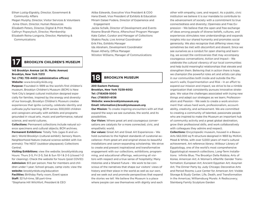Ethan Lustig-Elgrably, Director, Government & Community Affairs

Megan Murphy, Director, Visitor Services & Volunteers Anna Olson, Director, Human Resources Elizabeth Peters, Director, Digital & Print Media Cathryn Popwytsch, Director, Membership Elizabeth Reina-Longoria, Director, Marketing & Communications

**17 BROOKLYN CHILDREN'S MUSEUM**

### **145 Brooklyn Avenue (at St. Marks Avenue) Brooklyn, New York 11213**

**Tel: (718) 735-4400 (administrative offices)**

**Website:** www.brooklynkids.org

**Purpose:** Founded in 1899 as the world's first children's museum, Brooklyn Children's Museum (BCM) is New York City's largest cultural institution designed especially for families. Inspired by the energy and diversity of our borough, Brooklyn Children's Museum creates experiences that ignite curiosity, celebrate identity and cultivate joyful learning. BCM serves 300,000 children and caregivers annually with exhibits and programs grounded in visual arts, music and performance, natural science, and world cultures.

**Collections:** Permanent collections include natural science specimens and cultural objects; BCM archives. **Permanent Exhibitions:** Totally Tots (ages 6 and under); World Brooklyn (cultural exhibit); Sensory Room, Neighborhood Nature (natural science exhibit with live animals); The NEST (outdoor playspace); Collections Central.

**Visiting Exhibitions:** view the website: brooklynkids.org Hours: Thurs 2-5, Fri 2-5, Sat & Sun 10-1 & 2-5 (closed 1-2 for cleaning). Check the website for hours (post COVID) **Admission:** \$13 per person, free for members and children under 1 year; School groups, camp visits: view the **website:** brooklynkids.org/education **Facilities:** Birthday Party room, Event space **Staff:** 32 full-time, 58 part-time \*Stephanie Hill Wilchfort, President & CEO

Atiba Edwards, Executive Vice President & COO Hana Elwell, Vice President of Exhibits & Education Miriam Dalaei Fodera, Director of Experience and **Engagement** 

Jackie Schalk, Director of Development and Events Kwame Brandt-Pierce, Afterschool Program Manager Kate Calleri, Curator and Manager of Collections Shakira Paula, Live Animal Coordinator Erik Fiks, Exhibits Manager Ida Abraham, Development Coordinator Rosan Atherly, Office Manager Winston Williams, Manager of Communications

## **18 BROOKLYN MUSEUM**

**200 Eastern Parkway Brooklyn, New York 11238-6052 Tel: (718)638-5000 Fax: (7180501-6136 Website: www.brooklynmuseum.org**

**Email: information@brooklynmuseum.org**

**Our Mission:** To create inspiring encounters with art that expand the ways we see ourselves, the world, and its possibilities.

**Our Vision:** Where great art and courageous conversations are catalysts for a more connected, civic, and empathetic world.

**Our values:** Great Art and Great Art Experiences - We hold ourselves to the highest standards of curatorial excellence—from great art and original shows to beautiful installations and canon-expanding scholarship. We strive to create and present inspirational and transformative engagement with our collections, exhibitions, programming, and educational offerings, welcoming all visitors with respect and a true sense of hospitality; Many Histories and a Shared Future - We work to be conscious of the narratives that shape our visitors' views of history and their place in the world as well as our own, and we seek out and promote perspectives that expand the stories we tell. We believe the Museum is a place where people can see themselves with dignity and each

other with empathy, care, and respect. As a public, civic institution we believe it is our mandate to contribute to the advancement of society with a commitment to true connectedness and diversity; Openness and Free Expression - We believe that the open and free exchange of ideas among people of diverse beliefs, cultures, and experiences stimulates new understandings and expands insights into our shared humanity and promotes social generosity. We also recognize that differing views may sometimes be met with discomfort and dissent. Since we see ourselves as a conduit for open sharing and learning, we accept the controversies that may accompany courageous conversations; Action and Impact - We celebrate the cultural vibrancy of our local communities and help build meaningful relationships that elevate and strengthen them. Believing that in action there is hope, we champion the powerful roles art and artists can play in our communities both inside and outside the Museum's walls; Experimentation and Risk - In an effort to expand our mission and impact, we strive to be a nimble organization that consistently pursues innovative strategies. We value the challenges associated with trying new things and adapt our strategies as we learn; Professionalism and Passion - We seek to create a work environment that values hard work, professionalism, accountability, creativity, and achievement. We are committed to creating a community of talented, passionate people who are inspired to make the Museum an important hub of community activity and a great global destination, grow their professional skills, and work collaboratively with colleagues they admire and respect.

**Collections:** Encyclopedic museum, housed in a Beaux-Arts 562,000 sq ft structure designed in 1893 by McKim, Mead & White, with over 5,000 years of man's cultural achievement. Art reference library; Wilbour Library of Egyptology, one of the world's most comprehensive Egyptological research collections. Long-Term Installations: Infinite Blue; The Brooklyn Della Robbia; Arts of Korea; American Art; A Woman's Afterlife: Gender Transformation; European Art; Ancient Egyptian Art; Assyrian Art; The Dinner Party by Judy Chicago; Decorative Arts and Period Rooms; Luce Center for American Art: Visible Storage & Study Center; Life, Death, and Transformation in the Americas; Williamsburg Murals: A Rediscovery; Steinberg Family Sculpture Garden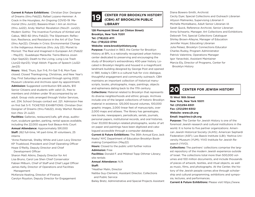**Current & Future Exhibitions:** Christian Dior: Designer of Dreams (thru Feb22); Rafael Lozano-Hemmer: A Crack in the Hourglass, An Ongoing COVID-19 Memorial (thru Jun22); Baseera Khan: I Am an Archive (thru Jul22); Andy Warhol: Revelation (Nov21- Jun22); Modern Gothic: The Inventive Furniture of Kimbel and Cabus, 1863–82 (thru Feb22); The Slipstream: Reflection, Resilience, and Resistance in the Art of Our Time (thru Apr22); Climate in Crisis: Environmental Change in the Indigenous Americas (thru July 22); Monet to Morisot: The Real and Imagined in European Art (Feb22 – May23); Guadalupe Maravilla: Tierra Blanca Joven (Apr-Sept22); Death to the Living, Long Live Trash (Jun22-Apr23); Virgil Abloh: Figures of Speech (Jul22- Jan23)

**Hours:**  Wed, Thurs, Sun 11-6, Fri-Sat 11-8, Mon-Tues closed; Closed Thanksgiving, Christmas, and New Year's Day. First Saturdays are paused through spring 2022. Museum Libraries and Archives open by appointment. **Admission:** Suggested contribution \$16 adults, \$10 Senior Citizens and students with valid I.D., free to members and children under 19 accompanied by an adult. Group visits arranged through Visitor Services, ext. 234; School Groups contact ext. 221. Admission free on first Sat 5-11. TICKETED EXHIBITIONS: Christian Dior: Designer of Dreams (thru Feb22); Andy Warhol: Revelation (Nov 21-Ju22)

**Facilities:** Galleries, restaurant/cafe, gift shop, auditorium, sculpture garden, parking, rental spaces available, including the 22,000 square foot Beaux-Arts Court **Annual Attendance:** Approximately 591,000 **Staff:** 262 full-time, 141 part-time, 81 volunteers, 25 interns

\*Anne Pasternak, Shelby White and Leon Levy Director KP Trueblood, President and Chief Operating Officer Hope O'Reilly, Deputy Director and Chief

Development Officer

Sharon Matt Atkins, Deputy Director for Art Lisa Bruno, Carol Lee Shen Chief Conservator Fabian Milburn, Chief of Staff and Chief Legal Officer James Kelly, Director of Operations and Facilities Management

McKenzie Keating, Director of Finance Carolyn Royston, Deputy Director for Engagement

### **CENTER FOR BROOKLYN HISTORY (CBH) AT BROOKLYN PUBLIC LIBRARY 19**

### **128 Pierrepont Street (at Clinton Street) Brooklyn, New York 11201 Tel: (718)222-4111 Fax: (718)222-3794 Website: www.brooklynhistory.org**

Purpose: Founded in 1863, the Center for Brooklyn History at BPL is a nationally recognized urban history center dedicated to preserving and encouraging the study of Brooklyn's extraordinary 400-year history. Located in Brooklyn Heights and housed in a magnificent landmark building designed by George Post and opened in 1881, today's CBH is a cultural hub for civic dialogue, thoughtful engagement and community outreach. CBH maintains an important collection of historical manuscripts, books, photographs, maps, paintings, objects and ephemera dating back to the 17th century.

**Collections:** Material related to Brooklyn that represents its diverse neighborhoods and ethnic groups. Archives include one of the largest collections of historic Brooklyn material in existence. 125,000 bound volumes, 100,000 graphic images, 2,000 linear feet of manuscripts, over 2,000 maps and atlases. The library has genealogies, rare books, newspapers, periodicals, serials, journals, personal papers, institutional records, and oral histories. Over 33,000 Brooklyn-related photographs, works of art on paper and paintings have been digitized and catalogued accessible through a computer database.

**Current & Future Exhibitions:** The 36th Annual Ezra Jack Keats/ NYC Department of Education Brooklyn Bookmaking Competition (May22)

**Hours:** Closed to the public until further notice

### **Admission:** Free

**Facilities:** Donald F. and Mildred Topp Othmer Library; site rentals

**Annual Attendance:** N/A

### **Staff:**

\*Heather Malin, Director

Natiba Guy-Clement, Assistant Director, Collections and Public Service

Bailey Bretz, Administrative and Special Projects Assistant

Diana Bowers-Smith, Archivist Cecily Dyer, Special Collections and Outreach Librarian Allyson Malinenko, Supervising Librarian II Michelle Montalbano, Adult Senior Librarian IA Sarah Quick, Reference Archivist, Senior Librarian Anna Schwartz, Manager, Art Collections and Exhibitions Deborah Tint, Special Collections Cataloguer Shirley Brown-Alleyne, Manager of Education Jennifer Hoyer, Educating Librarian Julia Pelaez, Brooklyn Connections Educator Charles Rudoy, Program Administrator Patrick Valentine, Operations Manager Igor Yanavitski, Assistant Maintainer Marcia Ely, Director of Programs, Center for Brooklyn History



## **20 CENTER FOR JEWISH HISTORY**

**15 West 16th Street New York, New York 10011 Tel: (212)294-8301 Fax: (212)294-8302 Website: www.cjh.org Email: inquiries@cjh.org**

**Purpose:** The Center for Jewish History is one of the foremost Jewish research and cultural institutions in the world. It is home to five partner organizations: American Jewish Historical Society (AJHS); American Sephardi Federation (ASF); Leo Baeck Institute (LBI); Yeshiva University Museum (YUM); YIVO Institute for Jewish Research (YIVO).

**Collections:** The partners' collections comprise the largest repository of the modern Jewish experience outside of Israel. The collections total more than 500,000 volumes and 100 million documents, and include thousands of pieces of artwork, textiles, and ritual objects, as well as music, films, and photographs. At the Center, the history of the Jewish people comes alive through scholarship and cultural programming, exhibitions and symposia, lectures, and performances.

**Current & Future Exhibitions:** Please visit https://www.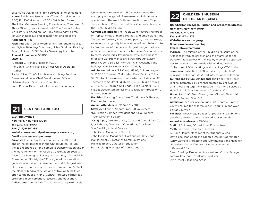cjh.org/visit/exhibitions for a current list of exhibitions. **Hours:** Exhibition Spaces: Mon-Thurs: 10-4 (Last entry 3:30) Fri: 10-3 (Last entry 2:30); Sat & Sun: Closed The Lillian Goldman Reading Room is open Tues, Wed, & Thurs: 10-4 (by appointment only) The Center for Jewish History is closed on Saturday and Sunday, all major Jewish holidays, and all major national holidays.

### **Admission:** Free

**Facilities:** Leo & Julia Forchheimer Auditorium; Paul S. and Sylvia Steinberg Great Hall; Lillian Goldman Reading Room; Ackman & Ziff Family Genealogy Institute

**Annual Attendance:** 50,000 +

### **Staff:** 43

\*Bernard J. Michael, President/CEO Rio Daniel, Chief Financial Officer/Chief Operating **Officer** 

Rachel Miller, Chief of Archive and Library Services Daniel Nadelmann, Chief Development Officer Melissa Minaya, Director of Operations Louis Pinzon, Director of Information Technology

## **21 CENTRAL PARK ZOO**

### **830 Fifth Avenue New York, New York 10065 Tel: (212)439-6500 Fax: (212)988-0286 Website: www.centralparkzoo.org; www.wcs.org Email: cpzoogeneral@wcs.org**

**Purpose:** The Central Park Zoo opened in 1861 and is one of the earliest zoos in the United States. In 1988, the zoo reopened after a complete transformation under the management of the Wildlife Conservation Society (New York Zoological Society at that time). The Wildlife Conservation Society (WCS) is a global conservation organization working to conserve the world's largest wild places in 15 priority regions, home to more than 50% of the planet's biodiversity. As one of five WCS facilities open to the public in NYC, Central Park Zoo carries out programs in conservation, research, and education. **Collections:** Central Park Zoo is home to approximately

1,500 animals representing 150 species -many that are highly endangered. Permanent exhibits focus on species from the world's three climatic zones: Tropic, Temperate and Polar. Central Park Zoo is also home to the Tisch Children's Zoo.

**Current Exhibitions:** The Tropic Zone features hundreds of tropical birds, primates, reptiles, and amphibians. The Temperate Territory features red panda, snow monkeys, snow leopards, grizzly bear, and waterfowl. Polar exhibits feature one of the nation's largest penguin colonies, puffins, seals and sea lions. Tisch Children's Zoo is home to cows, sheep, pigs, Patagonian cavy, and a host of birds and waterfowl in a large walk through aviary. **Hours:** Open 365 days, Apr-Oct 10-5; weekends and holidays 10-5:30, Nov-Mar 10-4:30 daily

**Admission:** Adults (13 & Over) \$13.95, Children (ages 3-12) \$8.95, Children (2 & under) Free, Seniors (65+) \$10.95; Total Experience tickets which includes our 4D Theater, are Adults (13 & Over) \$19.95, Children (ages 3-12) \$14.95, Children (2 & under) Free, Seniors (65+) \$16.95; discounted admission available for groups of 10 or more people.

**Facilities:** Dancing Crane Cafe, Zootique, 4D Theater, Event rental space

**Annual Attendance:** 995,542 (FY2019)

**Staff:** 75 full time, 70 part time, 120 volunteers \*Dr. Cristian Samper, President and CEO, Wildlife Conservation Society

\*Craig Piper, Director of City Zoos and Central Park Zoo Igor Labutov, Director of Operations, City Zoos Sue Cardillo, Animal Curator John Geist, Manager of Security John McBride, Manager of Horticulture, City Zoos Max Pulsinelli, Director of Communications Michelle Beach, Curator of Education Beth Stolting, Manager of Admissions

# **CHILDREN'S MUSEUM 22 OF THE ARTS (CMA)**

**103 Charlton (between Hudson and Greenwich Streets) New York, New York 10014 Tel: (212)274-0986 Fax: (212)274-1776 Website: www.cmany.org Blog: www.cmany.org/blog Email: info@cmany.org**

**Purpose:** The mission of the Children's Museum of the Arts is to introduce children and their families to the transformative power of the arts by providing opportunities to make art side-by-side with working artists. Collections: 2,500 paintings and drawings (750 in the permanent collection; 1,750 in the study collection): Kuniyoshi collection, WPA and International collection **Current and Future Exhibitions:** The Look Make Show (online interactive TV channel created by child/adult artists working together) Episode 1 The Pitch: Episode 2 How To Look At A Monument (Apr21-Jan22) **Hours:** Mon 12-5, Tues Closed, Wed Closed, Thurs 12-6, Fri 12-5, Sat and Sun 10-5

**Admission:** \$13 per person ages 1-65; Thurs 4-6 pay as you wish; Free for children under 1; adults 65 and over pay as you wish

**Facilities:** 10,000 square feet for programs; exhibitions; gift shop; strollers must be stored; space rentals

### **Annual Attendance:** ~135,000

**Staff:** 17 full time; 50 part time; 15 volunteers \*Seth Cameron, Executive Director Autumn Hamra, Manager of Institutional Giving David Lee. Marketing and Graphic Design Coordinator Kerry Santullo, Marketing and Communications Manager

Genevieve Martin, Director of Advancement and External Affairs

Sarah Sterling, Executive Assistant and Office Manager Tommy Coleman, Residency Producer Lynn Roselli, Teaching Artist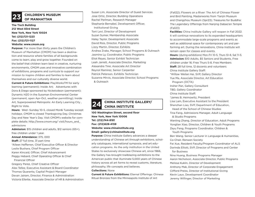## **CHILDREN'S MUSEUM 23 OF MANHATTAN**

**The Tisch Building 212 West 83rd Street New York, New York 10024 Tel: (212)721-1223 Fax: (212)721-1127 Website: www.cmom.org**

**Purpose:** For more than thirty years the Children's Museum of Manhattan (CMOM) has been a destination and resource where families of all backgrounds come to learn, play and grow together. Founded on the belief that children learn best in creative, nurturing environments, CMOM uses and innovative combination of exhibitions, programs and curricula to support our mission to inspire children and families to learn about themselves and our culturally diverse world.

**Current & Future Exhibitions:** PlayWorksTM for early learning (permanent); Inside Art; Adventures with Dora & Diego sponsored by Nickelodeon (permanent); Dynamic H2O in the Sussman Environmental Center (permanent, open Apr-Oct, weather permitting); Inside Art, Superpowered Metropolis: An Early Learning City , Right to Vote.

**Hours:**  Wed -Sunday 10-5, closed Mon& Tuesday except holidays. CMOM is closed Thanksgiving Day, Christmas Day and New Year's Day. Visit CMOM's website for complete details: http://www.cmom.org/ visit/hours\_and\_ admissions

**Admission:** \$15 children and adults, \$12 seniors (65+), free children under 1 year.

**Annual Attendance:** 375, 000

**Staff:** 27 full time, 31 part time

\*Aileen Hefferren, Chief Executive Officer & Director Leslie Bushara, Chief Program Officer

Karen Kincaid, Officer, Chief Advancement

Peggy Hebard, Chief Operating Officer & Chief Financial Officer

Gregory Perez, Chief Creative Officer Alex Tellez, Executive Assistant & Board Coordinator Thomas Quaranta, Capital Project Manager Devan Jairam, Director, Finance & Administration Victoria Ellerbe, Associate Director of HR & Administration

Susan Lim, Associate Director of Guest Services Jose Ortiz, Director, Building Operations Rachel Perlman, Research Manager Stephanie Bernabei, Development Officer, Institutional Giving Toni Levi, Director of Development Suzan Sumer, Membership Associate Haley Taylor, Development Associate David Rios, Director, Public Programs Lizzy Martin, Director, Exhibits Andrea Zrake, Manager, School Programs & Outreach Jasmine Ly, Coordinator, Public Programs Eliot Reyes, Senior Exhibit Technician Leah Jarrett, Associate Director, Marketing Alexandra Tirer, Associate Art Director Reynol Ramirez, Senior Carpenter Patrick Peterson, Exhibits Technician Suzanne Mirvis, Associate Director, School Programs & Outreach

# **CHINA INSTITUTE GALLERY/ 24 CHINA INSTITUTE**

**100 Washington Street, second floor New York, New York 10006 Tel: (212)744-8181 Fax: (212)628-4159 Website: www.chinainstitute.org Email: gallery@chinainstitute.org**

**Purpose:** China Institute Gallery advances a deeper understanding of Chinese art through exhibitions, scholarly catalogues, international symposia, and art education programs. As the only institution in the United States to exclusively showcase Chinese art, since 1966, the Gallery has brought trailblazing exhibitions to the American public that illuminate 5,000 years of Chinese history across all art forms to reveal customs, literature, philosophy, life concepts and believes.

### **Collections:** None

**Current & Future Exhibitions:** Eternal Offerings: Chinese Ritual Bronzes from the Minneapolis Institute of Art

(Fall22); Flowers on a River: The Art of Chinese Flower and Bird Painting, Masterworks from Tianjin Museum and Changzhou Museum (Spr23); Treasures for Buddha: The Legendary Offerings from Nanjing Dabao'en Temple (Fall23)

**Facilities:** China Institute Gallery will reopen in Fall 2022. It will continue renovations to its expanded headquarters to accommodate large-scale programs and events as well as additional space for contemporary art and performing art. During the renovations, China Institute will remain open for classes and events. **Hours:** (during exhibitions) Mon–Fri 10-5, Thurs 10–8, Sat 11–5. **Admission:** \$10 Adults, \$5 Seniors and Students, Free children under 16; Free Thurs 5-8, Free Members **Staff:** 28 full time, 12 docents and volunteers China Institute Gallery Staff: \*Willow Weilan Hai, SVP, Gallery Director Yue Ma, Associate Director, Art Education Program (DCTA) Insher Pan, Gallery Consultant TBD, Gallery Coordinator China Institute Staff: \*James B. Heimowitz, President Lisa Lam, Executive Assistant to the President Shenzhan Liao, SVP, Department of Education, Head of the School of Chinese Studies Tina Fang, Admissions Manager, Adult Language & Studio Programs Wanling Zhang, Director of Education, Adult Programs Yonglian Xiao, Director, Children & Youth Programs Zeyu Feng, Programs Coordinator, Children & Youth Programs Ben Wang, Senior Lecturer in Language & Humanities, Co-Chair, Renwen Society Fei Xue, Resident Faculty/Program Coordinator of ALS Dorinda Elliott, SVP, Director of Programs and Center for Business Nina Huang, Business Programs Manager Aaron Nicholson, Associate Director, Public Programs Melissa Kuklin, Director of Development Anthony Mak, Director of Corporate Engagement Clifford Preiss, Director of Institutional Giving Kevin Laux, Development Coordinator

Jeremy Willinger, Director of Marketing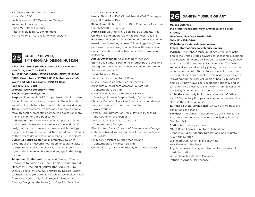Yao Wang, Graphic/Web Designer Vivian Cao, CFO Leah Spearman, HR/Operations Manager Yanguang Li, Accountant Ingrid Mei, Office Manager Peter Mai, Building Superintendent Ho Yfong, Ph.D., Co-Chair, Renwen Society

# **25 COOPER HEWITT, SMITHSONIAN DESIGN MUSEUM**

**2 East 91st Street (on the corner of Fifth Avenue) New York, New York 10128 Tel: (212)849-8400; (212)849-8386 (TDD); (212)849- 8300; Group tours (212)849-8351 (chtours@si.edu); Youth and adult programs (212)849-8353 Fax: (212)849-8401 Website: www.cooperhewitt.org Email: cooperhewitt@si.edu**

**Purpose:** Founded in 1897, Cooper Hewitt, Smithsonian Design Museum is the only museum in the nation devoted exclusively to historic and contemporary design. The museum educates, inspires and empowers people through design, presenting compelling educational programs, exhibitions and publications.

**Collections:** International in scope and possessing one of the most diverse and comprehensive collections of design works in existence, the museum's rich holdings range from Egypt's Late Period/New Kingdom (1100 B.C.) to the present day and total more than 210,000 objects. **Current & Future Exhibitions: Interactive galleries** throughout the museum's four floors encourage visitors to explore the collection digitally, draw their own designs in the Immersion Room, and engage in the design process.

**Temporary Exhibitions:** Design and Healing: Creative Responses to Epidemics (Dec21-Feb22); Underground Modernist: E. McKnight Kauffer (thru Apr22); Duro Olowu Selects (thru Aug22); Nature by Design: Botanical Expressions (thru Aug22); Sophia Crownfield (Drawn from Nature (thru July22); Foreign Exchange: 18th Century Design on the Move (thru Sept22); Botanical

### Lessons (thru Mar23)

**Hours:** Thurs-Mon 10-6 Closed Tues & Wed, Thanksgiving and Christmas Day

**Shop Hours:** Daily, 10-6, Tues 10-8; Café hours: Mon thru Fri 8-5, Sat 10-5, Sun 10-5

**Admission:** \$18 Adults, \$12 Seniors, \$9 Students, Free Children 18 and under; Pay What You Wish Tues 6-8 **Facilities:** Located in the landmarked Andrew Carnegie mansion and boasting a beautiful public garden, Cooper Hewitt makes design come alive with unique temporary exhibitions and installations of the permanent collection.

**Annual Attendance:** Approximately 400,000

**Staff:** 82 full time, 16 part time. Internships are available throughout the year with concentration in the summer. Some paid internship

\*Maria Nicanor, Director

Catherine Birch, Director of Retail

Susan Brown, Associate Curator, Textiles

Alexandra Cunningham Cameron, Curator of Contemporary Design

Caitlin Condell, Associate Curator & Head of

 Drawings, Prints & Graphic Design Department Christina De León, Associate Curator of Latino design

Gregory Herringshaw, Assistant Curator of

**Wallcoverings** 

Pamela Horn, Director of Cross Platform Publishing and Strategic Partnerships

Andrea Lipps, Associate Curator of

Contemporary Design

Ellen Lupton, Senior Curator of Contemporary Design Matilda McQuaid, Acting Curatorial Director and Head

of Textiles

Emily Orr, Assistant Curator, Modern and Contemporary American Design

Cynthia Smith, Curator of Socially Responsible Design

## **26 DAHESH MUSEUM OF ART**

### **Mailing Address**

**145 Sixth Avenue (between Dominick and Spring Streets)**

**New York, New York 10013-1548**

**Tel: (212) 759-0606**

### **Website: www.daheshmuseum.org**

### **Email: information@daheshmuseum.org**

**Purpose:** The Dahesh Museum of Art is the only institution in the United States devoted to collecting, exhibiting, and interpreting works by Europe's academically trained artists of the 19th and early 20th centuries. The Dahesh serves a diverse audience by placing these artists in the broader context of 19th- century visual culture, and by offering a fresh appraisal of the role academies played in reinvigorating the classical ideals of beauty, humanism, and skill. It now travels its exhibitions nationally and internationally, as well as loaning works from its collection to distinguished museums around the world.

**Collections:** Actively builds on a collection of 19th and early 20th century European and American academic art. Browse the collection online.

**Current & Future Exhibitions:** See website for traveling exhibitions and loans.

**Facilities:** The Dahesh Museum of Art Gift Shop at 145 Sixth Avenue (between Dominick and Spring Streets) Tue-Sat 10-5

**Staff:** 4 full time, 4 part time

\*Dr. J. David Farmer, Director of Exhibitions Stephen R. Edidin, Deputy Director and Chief Curator Alia Nour, Curator

Bill Ignatowich, Chief Financial Officer

Arik Bartelmus, Registrar

Phyllis Janasova, Manager of Human Resources and Administration

Amin Shawish, Gift Shop Manager Patricia Y. Ardon, Maintenance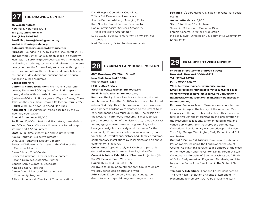### **27 THE DRAWING CENTER**

### **35 Wooster Street**

**New York, New York 10013 Tel: (212) 219-2166 x115 Fax: (888) 380-3362 Email: lhoptman@drawingcenter.org Website: drawingcenter.org Catalogs: http://issuu.com/drawingcenter**

Purpose: Founded in 1977 by Martha Beck (1938-2014). The Drawing Center—an exhibition space in downtown Manhattan's SoHo neighborhood—explores the medium of drawing as primary, dynamic, and relevant to contemporary culture, the future of art, and creative thought. Its activities are both multidisciplinary and broadly historical, and include exhibitions, publications, and educational and public programs.

### **Collections:** None

**Current & Future Exhibitions:** (Permanent and Temporary) There are 5,000 sq feet of exhibition space in three galleries with four exhibitions turnovers per year (between 8–14 exhibitions a year). Ways of Seeing: Three Takes on the Jack Shear Drawing Collection (thru Feb22) **Hours:** Wed - Sun noon-6; closed Mon-Tues **Admission:** Free Admission, Made possible by the Cy Twombly Foundation

### **Annual Attendance:** 55,000

**Facilities:** 10,000 sq feet total, Bookstore, three Galleries; Offices; Back of house – three rooms for art prep, storage and A/V equipment **Staff:** 15 Full time, 2 part time and volunteer staff \*Laura Hoptman, Executive Director Olga Valle Tetkowski, Deputy Director Rebecca DiGiovanna, Assistant to the Office of the Executive Director Claire Gilman, Chief Curator Rebecca Brickman, Director of Development Rosario Güiraldes, Associate Curator Isabella Kapur, Curatorial Associate Kate Robinson, Registrar Aimee Good, Director of Education and Community Programs Allison Underwood, Director of Communications

Dan Gillespie, Operations Coordinator Tiffany Shi, Development Associate Joanna Berman Ahlberg, Managing Editor Kara Nandin, Digital Content Coordinator Nadia Parfait, Visitor Services Associate/ Public Programs Coordinator Lucia Zezza, Bookstore Manager/ Visitor Services Associate Mark Zubrovich, Visitor Services Associate

**28 DYCKMAN FARMHOUSE MUSEUM**

### **4881 Broadway (W. 204th Street) New York, New York 10034 Tel: (212)304-9422 Fax: (212)304-0635 Website: www.dyckmanfarmhouse.org Email: info@dyckmanfarmhouse.org**

**Purpose:** The Dyckman Farmhouse Museum, the last farmhouse in Manhattan (c. 1784), is a vital cultural asset in New York City. This Dutch American style farmhouse and half-acre gardens were donated to the City of New York and opened as a museum in 1916. The mission of the Dyckman Farmhouse Museum Alliance is to support the preservation of the historic site, to be a catalyst for engaging, adventuresome programming and to be a good neighbor and a dynamic resource for the community. Programs include engaging school group tours, STEAM workshops, history and literacy programs, contemporary installations by local artists and an annual community fall festival.

**Collections:** Approximately 6,500 objects, primarily decorative arts, and some archaeological artifacts **Current & Future Exhibitions:** Obscurus Projectum (thru

Spr22); Beyond Play; I Was Here

**Hours:** Thurs 10-4; Fri-Sat 10-2\$3

All group tours by appointment only. Group tours are typically scheduled on Tues and Wed

**Admission:** \$3 per person; Free- park and garden Group tours and special programs range in price

**Facilities:** 1/2 acre garden, available for rental for special events

**Annual Attendance:** 8,900

**Staff:** 3 full time, 50 volunteers \*Meredith S. Horsford, Executive Director Fabiola Caceres, Director of Education Melissa Kiewiet, Director of Development & Community Engagement

**29 FRAUNCES TAVERN MUSEUM**

**54 Pearl Street (corner of Broad Street) New York, New York 10004-2429 Tel: (212)425-1778 Fax: (212)509-3467 Website: www.frauncestavernmuseum.org Email: director@FrauncesTavernMuseum.org; development@frauncestavernmuseum.org; 2education@ frauncestavernmuseum.org; marketing@frauncestavernmuseum.org**

**Purpose:** Fraunces Tavern Museum's mission is to preserve and interpret the history of the American Revolutionary era through public education. This mission is fulfilled through the interpretation and preservation of the Museum's collections, landmarked buildings, and varied public programs that serve the community. Collections: Revolutionary war period, especially New York City, George Washington, Early Republic and Colonial Revival

**Current & Future Exhibitions:** Permanent Exhibitions: Period rooms, including the Long Room, the site of George Washington's farewell to his officers at the close of the Revolution and the Clinton Dining Room; A Stoic Countenance: Portraits of George Washington; A Flash of Color: Early American Flags and Standards; and History of the Sons of the Revolution in the State of New York.

**Temporary Exhibitions:** Fear and Force; Confidential: The American Revolution's Agents of Espionage; A Monument To Memory: 300 Years of Living History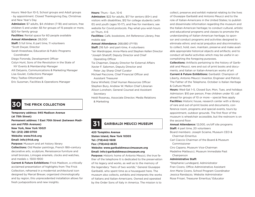Hours: Wed-Sun 10-5, School groups and Adult groups - by appointment. Closed Thanksgiving Day, Christmas and New Year's Day

**Admission:** \$7 adults, \$4 children (7-18) and seniors, free children 5 and under; \$5 for groups of 15 people or more, \$20 for family group

**Facilities:** Rental space for 60 people available **Annual Attendance:** 28,000

**Staff:** 5 full time, 6 part time, 11 volunteers \*Scott Dwyer, Director

Sarah Kneeshaw, Education & Public Programs Coordinator

Diego Foronda, Development Officer Colyn Hunt, Sons of the Revolution in the State of NY Events & Membership Manager Alli Delyanis, Communications & Marketing Manager

Lisa Goulet, Collections Manager

Mary Tsaltas-Ottomanelli

Eric Sussman, Facilities & Operations Manager

## **30 THE FRICK COLLECTION**

**Temporary address: 945 Madison Avenue (at 75th Street) Permanent address: 1 East 70th Street (between Madison and Fifth Avenues) New York, New York 10021 Tel: (212) 288-0700 Website: www.frick.org Email: info@frick.org Purpose:** Museum and art history library **Collections:** Old Master paintings, French 18th-century decorative arts, sculpture, Renaissance furniture and

small bronzes, Limoges enamels, clocks and watches, and medals c. 1500-1900 **Current & Future Exhibitions:** Frick Madison, a critically

acclaimed presentation of highlights from The Frick Collection, reframed in a modernist architectural icon designed by Marcel Breuer, organized chronologically and by region, this unprecedented installation allows for fresh juxtapositions and new insights.

**Hours:** Thurs - Sun, 10-6

**Admission:** \$22 for adults, \$17 for seniors (65+) and visitors with disabilities, \$12 for college students (with ID) and youth (ages 10-17), and free for members; see website for Covid protocols. Pay-what-you-wish hours on Thurs, 4-6

**Facilities:** Café, bookstore, Art Reference Library, free mobile app

**Annual Attendance:** 268,680 (FY19) **Staff:** 216 full- and part-time, 4 volunteers

\*Ian Wardropper, Anna-Maria and Stephen Kellen Director \*Joseph Shatoff, Deputy Director and Chief

Operating Officer

Tia Chapman, Deputy Director for External Affairs Xavier F. Salomon, Deputy Director and

Peter Jay Sharp Chief Curator

Michael Paccione, Chief Financial Officer and Assistant Treasurer

Dana Winfield, Chief Human Resources Officer Stephen Bury, Andrew W. Mellon Chief Librarian Alison Lonshein, General Counsel and Assistant Secretary

Heidi Rosenau, Associate Director, Media Relations & Marketing

## **31 GARIBALDI MEUCCI MUSEUM**

**420 Tompkins Avenue Staten Island, New York 10305 Tel: (718)442-1608 Fax: (718)442-8635 Website: www.garibaldimeuccimuseum.org Email: info@garibaldimeuccimuseum.org**

**Purpose:** Historic home of Antonio Meucci, the true father of the telephone It is dedicated to the preservation of his legacy and works, as well as to the memory of the legendary "hero of two worlds," General Giuseppe Garibaldi, who spent time as a houseguest here. The museum also collects, exhibits and interprets the works of Italians and Italian-Americans. Owned and operated by the Order Sons of Italy in America. The mission is to

collect, preserve and exhibit material relating to the lives of Giuseppe Garibaldi and Antonio Meucci and to the role of Italian-Americans in the United States; to publish and disseminate information regarding the museum and the Italian-American heritage; to conduct cultural, artistic and educational programs and classes to promote the understanding of Italian-American heritage; to sponsor and conduct programs and activities designed to eliminate ethnic and racial prejudice and discrimination; to collect, hold, own, maintain, preserve and make available appropriate historical objects and artifacts; and to conduct all lawful activities which may be useful in accomplishing the foregoing purposes.

**Collections:** Artifacts pertaining to the history of Garibaldi and Meucci, rare and out of print books and documents, and Italian or Italian-American works of art

**Current & Future Exhibitions:** Garibaldi: Champion of Liberty, Antonio Meucci: Inventor, Engineer and Patriot, The Father of the Telephone. October is Italian Heritage & Culture Month

**Hours:** Wed-Sat 1–5, Closed Sun, Mon, Tues. and holidays Admission: \$10 per person, Free children under 10; call ahead for groups of 10 or more – special fees apply **Facilities:** Historic house, research center with a library of rare and out-of-print books and documents, conference room, programs and special events, tours by appointment, outdoor grounds. The first floor of the museum is wheelchair accessible, but the restroom is on the second floor.

**Annual Attendance:** 12,000, on/off site programs **Staff:** 4 part time, 20 volunteers

Board members: Joseph Sciame, Museum CEO & Chairman Emeritus

Carl Ciaccio Chairman of the Board & Museum Commissioner

Ciro Capano, Museum Vice-Chairman

Madeline Matteucci, Museum Immediate Past **Chairperson** 

### **Administrative Staff:**

\*Stephanie Lundegard, Administrator Fran Cicero, Office Administrative Assistant Ann Marie Cicero, School Program Coordinator Jessica Randazzo, Website Administrator Rose Frisari, Treasurer Emeritus/ Educator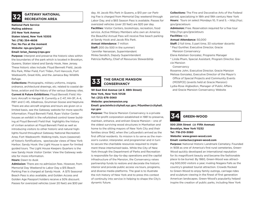# **GATEWAY NATIONAL RECREATION AREA**

**National Park Service Mailing address: 210 New York Avenue Staten Island, New York 10305 Tel: (718) 354-4606 Fax: No Fax at the moment Website: nps.gov/gate/ Email: brian\_feeney@nps.gov**

**Purpose:** Interpret and preserve the historic sites within the boundaries of the park which is located in Brooklyn, Queens, Staten Island and Sandy Hook, New Jersey. These historic sites include: Floyd Bennett Field, Jacob Riis Park, Miller Field, Fort Tilden, Fort Hancock, Fort Wadsworth, Great Kills, and the Jamaica Bay Wildlife Refuge.

**Collections:** Photographs, military uniforms, insignia, ordnance, architectural drawings, etc. related to coastal defense, aviation and the history of the various Gateway sites. **Current & Future Exhibitions:** Floyd Bennett Field: Historic Aircraft in Hangar B: Currently a C-47, HH-3F, A-4, PBY and C-45, Albatross, Grumman Goose and Neptune. There are also aircraft engines and tours are given on a limited basis, see the Gateway website for more specific information. Floyd Bennett Field, Ryan Visitor Center houses an exhibit in the refurbished control tower building at Floyd Bennett Field that highlights the history of civilian aviation at Floyd Bennett Field as well as introducing visitors to other historic and natural highlights found throughout Gateway National Recreation Area; Fort Wadsworth: Walking trails, tours (seasonal) of historic fortifications, spectacular views of New York Harbor; Sandy Hook: the Light House is open for limited guided tours. The Light House Keepers Quarters is the new Sandy Hook Visitor Center. View the Gateway website for more information.

### **Hours:** Dawn to dusk

**Admission:** There are no admission fees. However, from Memorial Day Weekend to Labor Day a \$15 Beach Parking Fee is charged at Sandy Hook. A \$75 Seasonal Beach Pass is also available, and Golden Access and Golden Age Passport holders receive a 50% discount. Passes for oversized vehicles (over 20 feet) are \$30 per day. At Jacob Riis Park in Queens, a \$10 per car Parking Fee is charged from Memorial Day weekend through Labor Day, and a \$65 Season Pass is available. Passes for oversized vehicles (over 20 feet) are \$20 per day. **Facilities:** Visitor Centers, bookshops, recreation, food service. Active Military Members who own an America the Beautiful Annual Pass will receive free beach parking at Sandy Hook and Jacob Riis Park. **Annual Attendance:** 7 million **Staff:** 200 (to 500 in the summer) \*Jennifer Nersesian, Superintendent Minka Sendich, Deputy Superintendent Patricia Rafferty, Chief of Resources Stewardship

# **THE GRACIE MANSION 33 CONSERVANCY**

**181 East End Avenue (at E. 88th Street) New York, New York 10128 Tel: (212) 676-3060 Website: graciemansion.org Email: gracieinfo@cityhall.nyc.gov; PGunther@cityhall.**

### **nyc.gov**

**Purpose:** The Gracie Mansion Conservancy is a private not-for-profit corporation established in 1981 to preserve, maintain, enhance, and enliven Gracie Mansion – one of the oldest surviving wood structures in Manhattan and home to the sitting mayors of New York City and their families since 1942, when the LaGuardia's arrived as the first official residents. Its mission is to serve as the mansion's curator, interpreter, and programmer and in turn to secure the charitable resources required to implement these intertwined tasks. While the City of New York through the Department of Parks and Recreation is responsible for day-to-day operations and the capital infrastructure of the Mansion, the Conservancy raises partnership funds to restore and decorate the historic interior and provide public access via tours, programs, and diverse media platforms. The goal is to illustrate the rich history of New York and to press this context of continuity into service in helping to shape the City's dynamic future.

**Collections:** The Fine and Decorative Arts of the Federal period, specializing in 18th and 19th century New York **Hours:**  Tours on select Mondays 10, 11 and 5. – http://nyc. gov/gracietours

**Admission:** Free. Reservation required for a free tour http://nyc.gov/gracietours

### **Facilities:** n/a

**Annual Attendance:** 50,000

**Staff:** 2 full time, 5 part time, 33 volunteer docents

- \* Paul Gunther, Executive Director, Gracie
- Mansion Conservancy
- Elena Ketelsen Gonzalez, Programs Manager
- \* Linda Pham, Special Assistant, Program Director, Gracie Mansion

### Conservancy

Roxanne John, Executive Director, Gracie Mansion Melissa Gonzalez, Executive Director of the Mayor's

 Office of Special Projects and Community Events (MOSPCE) (events held at Gracie Mansion)

Lydia-Rose Algbedion, Manager of Public Affairs and Gracie Mansion Conservancy Website

## **34 GREEN-WOOD**

### **500 25th Street (@ Fifth Avenue) Brooklyn, New York 11232 Tel: 718-210-3080 Website: www.green-wood.com**

### **Email: contactus@green-wood.com**

**Purpose:** National Historic Landmark Cemetery. Founded in 1838 as one of America's first rural cemeteries, Green-Wood quickly developed an international reputation for its magnificent beauty and became the fashionable place to be buried. By 1860, Green-Wood was attracting 500,000 visitors a year, rivaling Niagara Falls as the country's greatest tourist attraction. Crowds flocked to Green-Wood to enjoy family outings, carriage rides and sculpture viewing in the finest of first generation American landscapes. Green-Wood's popularity helped inspire the creation of public parks, including New York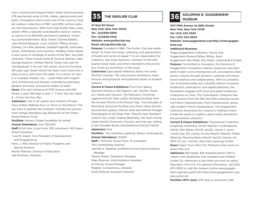City's Central and Prospect Parks. Green-Wood presents 478 spectacular acres of hills, valleys, glacial ponds and paths, throughout which exists one of the country's largest outdoor collections of 19th- and 20th-century statuary and mausoleums. With more than 8,000 trees, every season offers a peaceful and beautiful oasis to visitors, as well as to its 560,000 permanent residents, including Leonard Bernstein, Boss Tweed, Charles Ebbets, Jean-Michel Basquiat, Louis Comfort Tiffany, Horace Greeley, Civil War generals, baseball legends, politicians, artists, entertainers and inventors. Notably, Green-Wood is also home to hundreds of artists of the 19th- and 20th centuries. These include Asher B. Durand, George Catlin, George Eastman, William Merritt Chase, and Jean Michel Basquiat; in all over 440 artists. Since its founding 183 years ago, Green-Wood has been much more than a place to bury and honor the dead. It is a haven of calm in a crowded, frenetic city – a park filled with magnificent architecture and statuary, meandering pathways, gardens and trees, and serene bodies of water. **Hours:** The main entrance at Fifth Avenue and 25th Street is open 365 days a year, 7- 7 from Apr thru Sept; 8 - 5 from Oct thru Mar.

**Admission:** Free to all (adults and children.) Private tours (either Walking Tours or Tours on the Historic Trolley) have a separate fee schedule. Outside tour groups (that charge attendees) pay \$5/person to the Green-Wood Historic Fund.

**Facilities:** Historic Chapel (available for rental) **Annual Attendance:** over 330,000

**Staff:** 8 full time, 6 part time, 250 volunteers; 140 Green-Wood Cemetery

- \*Lisa W. Alpert, Vice President of Development and Programming
- Harry J. Weil, Director of Public Programs and Special Projects

Rachel Walman, Director of Education Jeff Richman, Historian

**47 East 60 Street New York, New York 10022 Tel: (212)838-6690 Fax: (212)838-2445 Website: www.grolierclub.org Email: ejh@grolierclub.org**

**Purpose:** Founded in 1884, The Grolier Club was established "to foster the study, collecting, and appreciation of books and works on paper." It is an organization for collectors, rare book librarians, members of the antiquarian book trade, and others devoted to the promotion of the art and history of the book.

**Collections:** Specialized reference library has some 150,000 volumes. The club mounts exhibitions, hosts lectures and symposia, and publishes books on bookish subjects

**Current & Future Exhibitions:** First floor gallery: Sherlock Holmes in 221 Objects (Jan -Apr22); Travelers, Tracks and Tycoons: The Railroad in American Legend and Life (May-Jul22); Building the Book from the Ancient World to the Present Day: Five Decades of Rare Book School & the Book Arts Press (Sept–Dec22). Second floor gallery: Vittorio Sella and Wilfred Thesiger: Photographs at the Edge (Mar- May22); New Members Collect (Jun-Jul22); Aubrey Beardsley, 150 Years Young (Sept-Nov22); Premiums, Promos, and Pop-ups: Selling It with Movable Books and Ephemera (Dec22-Feb23) **Admission:** Free

**Facilities:** Two exhibition galleries, library, rental spaces **Annual Attendance:** 10,000

**Staff:** 7 full time, 10 part time, 10 volunteers \*Eric Holzenberg, Director

Jennifer K. Sheehan, Exhibitions and Communications Manager

Tammy Rubel, Operations Manager

Maev Brennan, Administrative Assistant

Ilir Pervizi, House Manager

Meghan Constantinou, Librarian

Scott Ellwood, Assistant Librarian

# **35 THE GROLIER CLUB SOLOMON R. GUGGENHEIM 36 MUSEUM**

**1071 Fifth Avenue (at 89th Street) New York, New York 10128 Tel: (212) 423–3500 Fax: (212) 423–3640 Website: www.guggenheim.org<http://www.guggenheim.org**

### **Additional Museums:**

Peggy Guggenheim Collection, Venice, Italy Guggenheim Museum Bilbao, Bilbao, Spain Guggenheim Abu Dhabi, Abu Dhabi, United Arab Emirates **Purpose:** Committed to innovation, the Solomon R. Guggenheim Foundation collects, preserves, and interprets modern and contemporary art, and explores ideas across cultures through dynamic curatorial and educational initiatives and collaborations. With its constellation of architecturally and culturally distinct museums, exhibitions, publications, and digital platforms, the foundation engages both local and global audiences. Collections on View: The Thannhauser Collection features artwork from the 19th and 20th-centuries including French Impressionists, Post-Impressionists, alongside modern French masterpieces. The Guggenheim Collection showcases the museum's holding of early modernist works in a gallery space newly devoted to the permanent collection.

**Current & Future Exhibitions:** Thannhauser Collection (ongoing); Kandinsky (Oct21-Sept22); Contemporary Artists: Etel Adnan (Oct21–Jan22), Jennie C Jones (Jan22–Apr 22), Cecilia Vicuña (May22–Sept22); Gillian Wearing: Wearing Masks (Nov21–Apr22); Korean Art 1970-75 (Jun– Nov22); Alex Katz (opening Oct22) **Hours:** Open Thurs–Mon 11-6; Members-Only hours on select Mon 6-8

**Admission:** \$25 adults, \$18 students/seniors (65+)/ visitors with disabilities, free members and children (under 12); Admission is pay-what-you-wish on select Saturday's from 4-6. For general information, call (212) 423–3500 or visit the museum online www.guggenheim.org/new-york/visit<http://www.guggenheim.org/ new-york/visit

**Facilities (NYC only):** Gift shop on premises; Café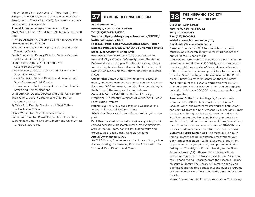Rebay, located on Tower Level 3, Thurs–Mon (11am-3:30pm); The Wright, located at 5th Avenue and 89th Street, Lunch: Thurs – Mon (11–3); Space rental for corporate and social available

**Annual Attendance:** Approximately 1 million

**Staff:** 229 full-time, 63 part-time, 198 temp/on call, 490 total

\*Richard Armstrong, Director, Solomon R. Guggenheim Museum and Foundation

Elizabeth Duggal, Senior Deputy Director and Chief Operating Officer

Sarah G. Austrian, Deputy Director, General Counsel and Assistant Secretary

Leah Heister, Deputy Director and Chief Advancement Officer

Cyra Levenson, Deputy Director and Gail Engelberg Director of Education

Naomi Beckwith, Deputy Director and Jennifer and David Stockman Chief Curator

Ben Rawlingson Plant, Deputy Director, Global Public Affairs and Communications

Lena Stringari, Deputy Director and Chief Conservator Trish Jeffers, Deputy Director, and Chief Human Resources Officer

Ty Woodfolk, Deputy Director, and Chief Culture and Inclusion Officer

Marcy Withington, Chief Financial Officer

Karole Vail, Director, Peggy Guggenheim Collection Juan Ignacio Vidarte, Deputy Director and Chief Officer for Global Strategies

## **USAG Fort Hamilton 37 HARBOR DEFENSE MUSEUM**

**230 Sheridan Loop**

**Brooklyn, New York 11252-5701**

**Tel: (718)630-4349/4360**

**Website: https://history.army.mil/museums/IMCOM/ fortHamilton/index.html** 

**Facebook Page: https://www.facebook.com/Harbor-Defense-Museum-1892997754264031/?ref=bookmarks Email: justin.m.batt.civ@mail.mil** 

**Purpose:** To illuminate the history and evolution of New York City's Coastal Defense Systems. The Harbor Defense Museum occupies Fort Hamilton's caponier, a freestanding bastion located within the fort's dry moat. Both structures are on the National Registry of Historic Places.

**Collections:** United States Army uniforms, accouterments, and equipment, artillery shells, cannon and munitions from 1800 to present; models, dioramas relating to the history of the Army and harbor defense

**Current & Future Exhibitions:** Battle of Brooklyn,

Firepower, The Infantry Weapons of World War I, Coast Fortification Systems

**Hours:** Tues-Fri 10-4. Closed Mon and weekends and federal holidays. Call before visiting.

**Admission:** Free – valid photo ID required to get on the post

**Facilities:** Located in the fort's original caponier; handicapped accessible. Research library (by appointment), archive, lecture room, parking lot, guided tours and group tours available daily. Schools welcome **Annual Attendance:** 12,000

**Staff:** 1 full time, 7 volunteers and a Non-profit organization supporting the museum, Friends of the Harbor DM. \*Justin M. Batt, Director and Curator

# **THE HISPANIC SOCIETY 38 MUSEUM & LIBRARY**

**613 West 155th Street New York, New York 10032 Tel: (212)926-2234 Fax: (212)690-0743 Website: www.hispanicsociety.org Email: info@hispanicsociety.org**

**Purpose:** Founded in 1904 to establish a free public museum and research library representing the art and culture of the Hispanic world

**Collections:** Permanent collections assembled by founder Archer M. Huntington (1870-1955), with major subsequent acquisitions, consist of fine and decorative arts of the Iberian Peninsula from pre-history to the present, including Spain, Portugal, Latin America and the Philippines. Library is a research center on the art, history and literature of the Hispanic world with over 500,000 printed books and manuscripts. Prints and photographs collection holds over 200,000 prints, maps, globes, and photographs.

**Permanent Collection:** Paintings by Spanish masters from the 16th-20th centuries, including El Greco, Velázquez, Goya, and Sorolla; masterworks of Latin American painting from the 17th-19thcenturies, including López de Arteaga, Rodríguez Juárez, Campeche, and Arrieta; Spanish sculpture by Mena and Roldán; important examples of colonial Latin American sculpture; Spanish and Latin American decorative arts from the 14th-20th centuries, including ceramics, furniture, silver, and ironwork. **Current & Future Exhibitions:** The Museum Main build-

ing is currently closed for extensive renovations. Outdoor terrace exhibition - Latinx Diaspora: Stories from Upper Manhattan (May-Aug22). Temporary Exhibition Gallery - In The Heights: From University to the Silver Screen (Jun-Aug22). Please check the website for upcoming venues of the traveling exhibition - Visions of the Hispanic World: Treasures from the Hispanic Society Museum & Library. The Library will remain open by appointment and the free educational and public programs will continue off-site. Please check the website for more details.

**Hours:** The museum is closed for renovation. The Library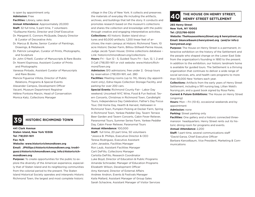is open by appointment only. **Admission:** Free **Facilities:** Library, sales desk **Annual Attendance:** Approximately 20,000 **Staff:** 32 full time, 5 part time, 7 volunteers \*Guillaume Kientz, Director and Chief Executive Dr. Margaret E. Connors McQuade, Deputy Director & Curator of Decorative Arts Dr. Marcus B. Burke, Senior Curator of Paintings, Drawings, & Metalwork Dr. Patrick Lenaghan, Curator of Prints, Photographs, and Sculpture Dr. John O'Neill, Curator of Manuscripts & Rare Books Dr. Noemí Espinosa, Assistant Curator of Prints and Photographs Vanessa Pintado, Assistant Curator of Manuscripts and Rare Books Mencía Figueroa Villota, Director of Public Relations, Programs & Special Events Alexander Campos, Development Officer Vacant, Museum Department Registrar

Monica Katz, Collections Manager

Hélène Fontoira Marzin, Head of Conservation

## **39 HISTORIC RICHMOND TOWN**

**441 Clark Avenue Staten Island, New York 10306 Tel: 718)351-1611 Fax: N/A Website: www.historicrichmondtown.org Email: JPhillips@historicrichmondtown.org; trodriguez@historicrichmondtown.org; info@historicrichmondtown.org Purpose:** To create opportunities for the public to explore the diversity of the American experience, especially that of Staten Island and its neighboring communities from the colonial period to the present. The Staten

Island Historical Society operates and interprets Historic Richmond Town, the largest and most complete historic

village in the City of New York. It collects and preserves the materials of everyday life including the artifacts, archives, and buildings that tell the story. It conducts and promotes research based on the museum's collections and shares the collection and knowledge with the public through creative and engaging interpretative activities. **Collections:** 40 historic Staten Island structures and 60,000 artifacts; 1,200 linear feet of archives; the main campus at Historic Richmond Town, 10 acre Historic Decker Farm, Billiou-Stillwell-Perine House,

Judge Jacob Tysen House; Online collections database – Link: historicrichmondtown.org/collections

**Hours:** Fri - Sun 12 - 5, Guided Tours Fri - Sun, 12, 1, 2 and 3 Call (718)351-1611 or visit website: www.HistoricRichmondTown.org

**Admission:** \$10 admissions; free under 2; Group tours by reservation (718)351-1611, ext. 280

**Facilities:** Meeting rooms (up to 74), library (by appointment only), Edna Hayes Collection Storage Facility, and parking for over 200 cars.

**Special Events:** Richmond County Fair - Labor Day weekend; Uncorked! NYC Wine, Food & Fun festival; Tavern Concerts, Christmas in Richmond Town, Candlelight Tours, Independence Day Celebration, Father's Day Focus Tour, Old Home Day, Hearth & Harvest, Halloween in Richmond Town, Pumpkin Picking at Decker Farm, Spring in Richmond Town, Yankee Peddler Day, Tavern Terrace Beer Garden and Tavern Concerts, Cabin Fever Reliever, Paranormal Tours, Summer Series Farm, Yankee Peddler Day, Cabin Fever Reliever, Paranormal Tours **Annual Attendance:** 100,000 **Staff:**  full time, 20 part time, 50 volunteers \*Jessica B. Phillips, Executive Director & CEO Teresa Rodriguez, Executive Assistant John Janaskie, Facilities Manager Ron Laub, Assistant Facilities Manager Carli DeFillo, Collections Manager

Carlotta DeFillo, Research Coordinator Luke Boyd, Director of Education & Public Programs Amanda Schroeder, Manager of Education Programs Elizabeth Wilson, Development Officer Amy Kennard, Director of External Affairs Andrew Andron, Events & Festivals Manager Kaila Mallard, Assistant Manager of Group Sales Sarah Schackne, Assistant Manager of Visitor Services

# **THE HOUSE ON HENRY STREET, 40 HENRY STREET SETTLEMENT**

**265 Henry Street New York, NY 10002 Tel: (212)766-9200**

**Website: TheHouseonHenryStreet.org & henrystreet.org Email: bkancelbaum@henrystreet.org (and/or info@ henrystreet.org)** 

**Purpose:** The House on Henry Street is a permanent, interactive exhibition on the history of the Settlement and the people who shaped change on the Lower East Side from the organization's founding in 1893 to the present. In addition to the exhibition, our historic landmark home is available for guided tours. The Settlement is a thriving organization that continues to deliver a wide range of social services, arts, and health care programs to more than 50,000 New Yorkers each year.

**Collections:** Artifacts from the early years of Henry Street Settlement, including a 1911 nursing bag, Lillian Wald's Nursing pin, and a guest book signed by Rosa Parks. **Current & Future Exhibitions:** The House on Henry Street (ongoing)

**Hours:** Mon – Fri (10-6), occasional weekends and by appointment

### **Admission:** none

**Parking:** Street parking only

**Facilities:** One gallery and a historic connected threemansion headquarters. Henry Street rents out its historic dining room for programs and events.

### **Annual Attendance:** 2,200

**Staff:** 1 part-time, several communications staff \*David Garza, Chief Executive Officer Barbara Kancelbaum, Vice President, Marketing & Communications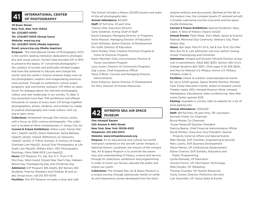# **INTERNATIONAL CENTER 41 OF PHOTOGRAPHY**

### **79 Essex Street**

**New York, New York 10002 Tel: (212)857-0000 Tel: (212)857-0005 (Group tours)**  Website: www.icp.org **Tel: (212)857-0045 (Media inquiries) Email: press@icp.org (Media inquiries)** 

**Purpose:** The International Center of Photography (ICP) is the world's leading institution dedicated to photography and visual culture. Cornell Capa founded ICP in 1974 to preserve the legacy of "concerned photography" the creation of socially and politically-minded images that have the potential to educate and change the world—and the center's mission endures today, even as the photographic medium and imagemaking practices have evolved. Through its exhibitions, school, public programs, and community outreach, ICP offers an open forum for dialogue about the role that photographs, videos, and new media play in our society. To date, it has presented more than 700 exhibitions and offered thousands of classes at every level. ICP brings together photographers, artists, students, and scholars to create to explore photography and visual culture. Visit icp. org to learn more.

**Collections:** Nineteenth through 21st century works, with a focus on 20th-century photographs. The collection is located at Mana Contemporary in Jersey City, NJ. **Current & Future Exhibitions:** Gillian Laub: Family Matters ( Sept21-Jan22), Diana Markosian: Santa Barbara (Sept21-Jan22), Inward: Reflections on Interiority (Sept21-Jan22); A Trillion Sunsets: A Century of Image Overload (Jan-May22), Actual Size! Photography at Life Scale (Jan-May22); William Klein: YES: Photographs, Paintings, Films 1948-2013 (Jun-Sept22) **Hours:** ICP Museum: Fri, Sat, Sun 11-7; Thurs 11-9; Mon,Tues, Wed closed; Closed New Year's Day, Independence Day, Thanksgiving Day, and Christmas Day **Admission:** ICP Museum: \$16 Adults, \$12 Seniors, \$12 Students, Free for Members and Children 16 and under. Group tours: call 212 357-0005 **Facilities:** The ICP Museum includes a shop and café.

The School includes a library (22,000 books) and stateof-the art photography labs. **Annual Attendance:** 60,000 **Staff:** 67 full time, 33 part time \*David Little, Executive Director Carly Goldman, Acting Chief of Staff David Campany, Managing Director or Programs Anne Massoni, Managing Director of Education Susie Sofranko, Senior Director of Development Per Gylfe, Director of Education Darin Mickey, Chair, Creative Practices Program & Vision & Practices Program Karen Marshall, Chair, Documentary Practice & Visual Journalism Program Lacy Austin, Director of Community Programs Gigi Loizzo, Chief Experience Officer Tama O'Brien, Counsel and Managing Director, Administration Susie Sofranco, Senior Director of Development Art Rios, Director of Human Resources

# **INTREPID SEA AIR SPACE 42 MUSEUM**

### **One Intrepid Square 12th Avenue & 46th Street New York, New York 10036-4103 Telephone: 212-245-0072 Website: www.intrepidmuseum.org**

**Purpose:** As an educational and cultural non-profit institution centered on the aircraft carrier Intrepid, a National Historic Landmark, the mission of the Intrepid Sea, Air & Space Museum is to promote the awareness and understanding of history, science and service through its collections, exhibitions and programming in order to honor our heroes, educate the public and inspire our youth.

**Collections:** The Intrepid Sea, Air & Space Museum is a unique journey through spectacular hands-on exhibits and interpretive stories developed from the ship's

original artifacts and documents. Berthed at Pier 86 on the Hudson river, the complex boasts 27 restored aircraft, a Growler submarine and the Concorde and the space shuttle Enterprise.

**Current & Future Exhibitions:** Special Exhibition: Navy Cakes, A Slice of History (Opens Oct22)

**Annual Events:** Fleet Week, Kid's Week, Space & Science Festival, Memorial Day Ceremony, Veteran's Day, Pearl Harbor Day.

**Hours:** Apr-Sept, Mon-Fri 10-5, Sat & Sun 10-6; Oct-Mar, Mon-Sun 10-5; Last admission one hour before closing, closed Thanksgiving and Christmas

**Admission:** Intrepid and Growler (Shuttle Pavilion access cost in parenthesis): Adult \$26 (\$33), Seniors (65+)/U.S. College Students \$24 (\$31), Child (ages 5-12) \$19 (\$24), and free for Retired U.S. Military, Active U.S. Military, Children under 5.

**Facilities:** Indoor & outdoor corporate/special events for up to 5,000 guests; Space Shuttle Pavilion; Michael Tyler Fisher Education Center, Allison & Howard Lutnick Theater (seats 245); Intrepid Museum Store; Intrepid Marketplace; Educational video-conferencing. New Welcome Center opened 2015.

**Parking:** Available in vicinity, refer to website for a list of local parking lots

### **Annual Attendance:** 1,100,000

**Staff:** 169 full time, 55 part time, 135 volunteers Kenneth Fisher, Co-Chairman Bruce Mosler, Co-Chairman \*Susan Marenoff-Zausner, President Patricia Beene, Chief Financial Administrative Officer David Winters, Executive Vice President, Special

 Projects, External Affairs and Special Events Matt Woods, SVP, Facilities, Engineering & Security Marc Lowitz, SVP, Business Development Alexis Marion, VP, Institutional Advancement Elaine Charnov, SVP, Exhibits, Education and

Public Programming

Lynda Kennedy, VP Education

Vincent Forino, VP, Information Technology

Mike Onysko, VP, Marketing

Thomas Coumbe, VP, Human Resources

Corey Cuneo, Director, Protective Services

Lisa Yaconiello, VP, Venue Sales & Events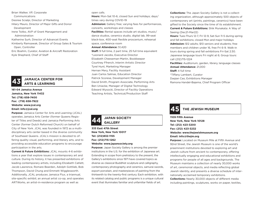Brian Walker, VP, Corporate Communications Desiree Scialpi, Director of Marketing Hilary Mauro, Director of Major Gifts and Donor Development Irene Tsitko, AVP of Grant Management and Administration Katherine Surh, Director of Advancet Events Kimberly Ramsawak, Director of Group Sales & Tourism Open, Controller Eric Boehm, Curator, Aviation & Aircraft Restoration Kyle Shepherd, Chief of Staff



## **JAMAICA CENTER FOR 43 ARTS & LEARNING**

**161-04 Jamaica Avenue Jamaica, New York 11432 Tel: (718) 658-7400 Fax: (718) 658-7922 Website: www.jcal.org Email: info@jcal.org**

**Purpose:** Jamaica Center for Arts and Learning (JCAL) operates Jamaica Arts Center (former Queens Register of Titles and Deeds) and Jamaica Performing Arts Center (former Dutch Reformed Church) on behalf of City of New York. JCAL was founded in 1972 as a multidisciplinary arts center based in the diverse community of Southeast Queens. JCAL's mission is devoted to offering quality visual, performing, and literary arts, and to providing accessible education programs to encourage participation in the arts.

**Current & Future Exhibitions:** JCAL mounts 4-6 exhibitions a year that explore issues in contemporary art and culture. During its history, it has presented exhibitions of leading contemporary artists, including Elizabeth Catlett, Jacob Lawrence, Romare Bearden, Adolph Gottlieb, Bob Thompson, David Chung and Emmett Wigglesworth. Additionally, JCAL produces Jamaica Flux, a triannual, site-specific exhibit; an annual artist co-op, and operates ARTWorks, an artist-in-residence program as well as

### open calls.

**Hours:** Mon-Sat 10-6, closed Sun and holidays; days/ times vary during COVID-19

**Admission:** Gallery free; varying fees for performances, concerts, workshops and classes

**Facilities:** Rental spaces include art studios, music/ dance studios, ceramics studio, digital lab, 99-seat black-box, 400-seat flexible proscenium, rehearsal space, conference room

### **Annual Attendance:** 51,420

**Staff:** 9 full time, 2 part time, 25 full time equivalent \*Leonard Jacobs, Executive Director Elizabeth Cheeseman-Martin, Bookkeeper Courtney Ffrench, Interim Artistic Director Tyrel Hunt, Marketing Manager Hernan Mery, Facility Assistant Juan Carlos Salinas, Education Director Patrick Scorese, Development Manager David Smith, Program Associate, Performing Arts Ben Uniacke, Manager of Digital Technology Edward Wysocki, Director of Facility Operations Teaching Artists, Technical/Production Staff

# **JAPAN SOCIETY 44 GALLERY**

**333 East 47th Street New York, New York 10017 Tel: (212)832-1155 Fax: (212)715-1262 Website: www.japansociety.org**

**Purpose:** Japan Society Gallery is among the premier institutions in the U.S. for the exhibition of Japanese art. Extending in scope from prehistory to the present, the Gallery's exhibitions since 1971 have covered topics as diverse as classical Buddhist sculpture and calligraphy, contemporary photography and ceramics, samurai swords, export porcelain, and masterpieces of painting from the thirteenth to the twenty-first century. Each exhibition, with its related catalog and public programs is a unique cultural event that illuminates familiar and unfamiliar fields of art.

**Collections:** The Japan Society Gallery is not a collecting organization, although approximately 500 objects of contemporary art (prints, paintings, ceramics) have been gifted to the Society since the time of its establishment. **Current & Future Exhibitions:** Shik Munakata: A Way of Seeing (Dec21-Mar22)

**Hours:** Tues-Thurs 12-7, Fri 12-9, Sat-Sun 11-5 during spring and fall exhibitions; closed Mon and major holidays **Admission:** \$12 adults; \$10 seniors and students; free members and children under 16, free Fri 6-9. Walk-in tours during spring and fall exhibitions Fri-Sat 2:30. Japanese language tours Fri night at 6; Group tours: call (212)715-1224

**Facilities:** Auditorium, garden, library, language classes **Annual Attendance:** 21,000

**Staff:** 4 full time

\*Tiffany Lambert, Curator

Daqian Cao, Exhibitions Manager

Ramona Handel-Bajema, Chief Program Officer

### **45 THE JEWISH MUSEUM**

**1109 Fifth Avenue New York, New York 10128 Tel: (212) 423-3200 Fax: (212) 423-3232 Website: www.thejewishmuseum.org Email: info@thejm.org**

**Purpose:** Located on Museum Mile at Fifth Avenue and 92nd Street, the Jewish Museum is one of the world's preeminent institutions devoted to exploring art and Jewish culture from ancient to contemporary, offering intellectually engaging and educational exhibitions and programs for people of all ages and backgrounds. The Museum maintains a collection of nearly 30,000 works of art, ceremonial objects, and media reflecting global Jewish identity, and presents a diverse schedule of internationally acclaimed temporary exhibitions.

**Collections:** Nearly 30,000 objects of different media including paintings, sculptures, works on paper, textiles,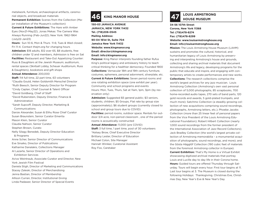metalwork, furniture, archaeological artifacts, ceremonial objects, and broadcast materials

**Permanent Exhibition:** Scenes from the Collection (Major installation of the Museum's collection)

**Current & Future Exhibitions:** The Hare with Amber Eyes (Nov21-May22), Jonas Mekas: The Camera Was Always Running (Feb-Jun22); New York: 1962-1964 (July22-Jan23)

**Hours:**  Sun 10-6, Mon & Thurs 11-6; Tues & Wed closed; Fri 11-4. Contact thejm.org for changing hours **Admission:** \$18 adults, \$12 over 65, \$8 students, free children under 12 and members, Admission is free on Sat **Facilities:** Restaurant and Take-Out Appetizing Counter: Russ & Daughters at the Jewish Museum; auditorium, rental spaces (Skirball Lobby, Scheuer Auditorium, Russ & Daughters), bookstore and gift shops

### **Annual Attendance:** 200,000

**Staff:** 114 full time, 22 part time, 63 volunteers \*Claudia Gould, Helen Goldsmith Menschel Director \*Ruth Beesch, Senior Deputy Director for Program \*Cindy Caplan, Chief Counsel & Talent Officer \*David Goldberg, Chief of Staff

\*David Rubenstein, Deputy Director, Finance & Administration

\*Sarah Supcoff, Deputy Director, Marketing & Communications

Darsie Alexander, Susan & Elihu Rose Chief Curator Susan Braunstein, Senior Curator Emerita Mason Klein, Senior Curator Claudia Nahson, Senior Curator Stephen Brown, Curato Nelly Silagy Benedek, Deputy Director Education & Programs Anne Scher, Senior Director of Communications Eve Sinaiko, Director of Publications Katharine Danalakis, Collections Manager Al Lazarte, Senior Director of Operations and

 Exhibition Services Aviva Weintraub, Associate Curator and Director, New York Jewish Film Festival Daniela Stigh, Director of Marketing and Communications Stacey Zaleski, Director of Merchandising Jenna Bastian, Director of Membership

Allison Curran, Director, Institutional Giving

Linda Padawer, Senior Director of Special Events

**150-03 JAMAICA AVENUE JAMAICA, NEW YORK 11432 Tel. (718)206-0545 Mailing Address: 90-04 161st St, Suite 704 Jamaica New York 11432 Website: www.kingmanor.org Email: director@kingmanor.org Email: info@kingmanor.org**

**Purpose:** King Manor interprets founding father Rufus King's political legacy and antislavery history to teach critical thinking for a healthier democracy. Founded 1900 **Collections:** Vernacular 18th and 19th century furniture, costumes, ephemera, personal adornment, silverplate, etc. **Current & Future Exhibitions:** Seven period rooms and one rotating exhibition space (one exhibit per year). Community and school programs and events Hours: Mon, Tues, Thurs, Sat at 11am, 1pm, 3pm (by reservation only)

**Admission:** Suggested \$5 general public; \$3 seniors, students, children; \$5 Groups, Flat rate by group size (approximately); \$6 student groups (currently closed to school and group tours due to COVID)

**Facilities:** period rooms, outdoor space. Rentals for outdoor 3/4 acre, non-period classroom , one of the period rooms is acoustically constructed

**Annual Attendance:** 11,000 (pre COVID)

**Staff:** 3 full time, 1 part time, pool of 30 volunteers \*Kelsey Brow, Chief Executive Director Brittany Lester, Director of Education Michael Colon, Site Manager Hannah Winiker, Curatorial Assistant Roy Fox, Caretaker

# **46** KING MANOR HOUSE **Reserve APP 47** LOUIS ARMSTRONG

**34-56 107th Street Corona, New York 11368 Tel: (718)478-8274 Fax: (718)478-8299 Website: www.louisarmstronghouse.org**

**Email: info@louisarmstronghouse.org**

**Mission:** The Louis Armstrong House Museum (LAHM) sustains and promotes the cultural, historical, and humanitarian legacy of Louis Armstrong by preserving and interpreting Armstrong's house and grounds, collecting and sharing archival materials that document Armstrong's life and legacy, developing programs for the public that educate and inspire, and engaging with contemporary artists to create performances and new works. **Collections:** The research collections comprise the world's largest archives for any jazz musician. Louis Armstrong Collection (Armstrong's own vast personal collection of 5,000 photographs, 85 scrapbooks, 700 home-recorded audio tapes, 270 sets of band parts, 120 gold records and awards, 5 gold-plated trumpets, and much more); Satchmo Collection (a steadily growing collection of new acquisitions comprising sound recordings, photographs, Armstrong letters, etc.); Phoebe Jacobs Collection (more than 25 linear feet of personal papers from the Vice President of the Louis Armstrong Educational Foundation); Robert Hilbert Collection (nearly 1,000 sound recordings from the former president of the International Association of Jazz Record Collectors); Jack Bradley Collection (the world's largest private collection of Armstrong memorabilia – a monumental acquisition of photographs, sound recordings, and more); and the Gösta Hägglöf Collection (190 cubic feet of materials from the foremost Armstrong collector in Europe). **Current Exhibition:** That's My Home is a Virtual Exhibit showcasing digitized archival materials that portray Louis and Lucille day to day life in their Corona home. **Hours:** Guided tours are offered Thursday through Saturday. Tours will begin every hour. First tour begins at 11. Last tour begins at 3. The Museum is closed during the following Holidays: Thanksgiving, Christmas Eve, Christmas Day, New Year's Eve & New Year's Day.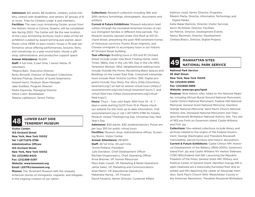**Admission:** \$12 adults, \$8 students, children, active military, visitors with disabilities, and seniors, \$7 groups of 8 or more. Free for Children under 4 and members. **Facilities:** The new Louis Armstrong Center, across from the Historic House in Corona, Queens, will be completed late Spring 2022. The Center will: Be the new location of the Louis Armstrong Archives; Host a state-of-the art exhibition curated by award-winning jazz pianist Jason Moran (click HERE to learn more!); House a 75-seat performance venue offering performances, lectures, films, and convenings on a year-round basis; House a gift shop, administrative, and production support space **Annual Attendance:** 15,000

**Staff:** 4 full time, 5 part time, 1 senior fellow, 15 volunteers

\*Regina Bain, Executive Director Ricky Riccardi, Director of Research Collections Adriana Filstrup, Director of Guest Experience Hyland Harris, Museum Store Manager Jake Goldbas, Program Director Pedro Espinoza, Managing Director Alexis Lubin, Bookkeeper Tatjana Lightbourn, Senior Fellow

# **LOWER EAST SIDE 48 TENEMENT MUSEUM**

**Visitor Center: 103 Orchard Street New York, New York 10002 Tel: 1-(877)975-3786 Administrative Offices: 103 Orchard Street New York, New York 10002 Tel: (212)982-8420 Fax: (212)388-0297 Website: www.tenement.org Email: LESTM@tenement.org Mission:** The Tenement Museum tells the uniquely

American stories of immigrants, migrants, and refugees in the ongoing creation of our nation

**Collections:** Research collection including 19th and 20th century furnishings, photographs, documents and artifacts

**Current & Future Exhibitions:** Museum educators lead visitors through the recreated tenement homes of various immigrant families in different time periods. The Museum recently opened Under One Roof at 103 Orchard Street, presenting the post-1945 tenement homes of Holocaust survivors, Puerto Rican migrants, and Chinese immigrant to accompany tours in our historic 97 Orchard Street building.

**Tour offerings:** Building tours in 103 and 97 Orchard Street include Under One Roof, Finding Home, Hard Times: 1880s, Day in the Life 1911, Day in the Life 1933, Tenement Women: 1902. Neighborhood walking tours include Outside the Home, Reclaiming Black Spaces and Buildings on the Lower East Side. Costumed interpreter tours include Meet Victoria Confino: 1916. Digital programs include Your Story, Our Story [http://yourstory. tenement.org/] as well as several virtual tours [https:// www.tenement.org/visit/virtual-tenement-tours/] and virtual field trips [https://www.tenement.org/virtualfield-trips/].

**Hours:** Thurs – Tues until Septr 30th from 10 – 6. 7 days a week starting Oct21 from 10-6. Please check our website for the most up to date information. Visit www.tenement.org or call 1-(877)975-3786 for tickets; Museum closed Thanksgiving Day, Christmas Day, New Year's Day

**Admission:** \$30 adults, \$30 students/seniors. Prices are per tour. \$10 for public virtual tours

**Facilities:** Museum shop, Administrative offices, Screening Room, Visitor Center

**Annual Attendance:** 281,800

**Staff:** 46 full time, 30 part time

\*Annie Polland, President

Julie Davidson, Chief Development Officer

Rachael Grygorcewicz, Chief Operating Officer

Anne Brenner, VP, Human Resources

Mary-Kate Cowell, VP, Marketing & Retail Operations

Jamie Salen, VP, Marketing and Communications

Alisa Martin, VP, Educational Operations

Mahendra Hariraj , VP, Finance

David Favaloro, Senior Director, Curatorial Affairs

Kathryn Lloyd, Senior Director, Programs Rikelmi Marte, Director, Information Technology and Digital Media

Katie Baker Barricks, Director, Visitor Services Kevin McAllister, Director, Facilities Ian Patrick, Director, Development Events Nancy Rachman, Director, Development Chelsea Bracci, Director, Digital Projects



## **MANHATTAN SITES 49 NATIONAL PARK SERVICE**

**National Park Service 26 Wall Street New York, New York 10005 Tel: (212)825-6990 Fax: (212)668-2899 Website: www.nps.gov/npnh**

**Purpose:** Nine historic sites, listed on the National Register, including African Burial Ground National Monument, Castle Clinton National Monument, Federal Hall National Memorial, General Grant National Memorial, Hamilton Grange National Memorial, Saint Paul's Church National Historic Site, Stonewall National Monument and Theodore Roosevelt Birthplace National Historic Site. Two war of 1812 era Forts on Governors Island, Castle Williams and Fort Jay

**Collections:** Site-related collections include library and archives related to the origins of the Federal Government, George Washington and Theodore Roosevelt memorabilia, period furniture and historic decorations **Current & Future Exhibitions:** Castle Clinton NM: Historical Development of the Battery (1800-2000); Governors Island Fort Jay and Castle Williams NY Harbor Defenses (1790-1815);Federal Hall NM: Launching the Republic, Freedom of the Press; General Grant NM: Military and Political Career of General Grant; Hamilton Grange NM is open (featured are a historically-furnished floor and an exhibit and film depicting the career of Alexander Hamilton; Saint Paul's Church NHS: Westchester County in the American Revolution; Theodore Roosevelt Birthplace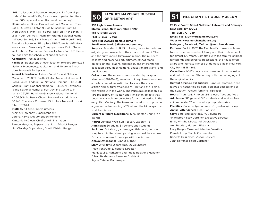NHS: Collection of Roosevelt memorabilia from all periods of Roosevelt's life; Five rooms of period furniture from 1860's (period when Roosevelt was a boy) **Hours:** African Burial Ground National Monument Tues-Sat 10-4, Castle Clinton 9-5 daily; General Grant NM Wed-Sun 9-5, Mon-Fri; Federal Hall Mon-Fri 9-5 Mon-Fri (Sat in Jun, Jul, Aug), Hamilton Grange National Memorial Wed-Sun 9-5, Saint Paul's Church NHS Mon-Fri 9-5, Theodore Roosevelt Birthplace NHS Tues-Sat 9-5; Governors Island Seasonally 7 days per week 10-4, Stonewall National Monument Seasonally Tues-Sat 12-7. Please call each site for schedule of special events.

### **Admission:** Free at all sites

**Facilities:** Bookshops at each location (except Stonewall National Monument), auditorium and library at Theodore Roosevelt Birthplace

**Annual Attendance:** African Burial Ground National Monument- 28,039; Castle Clinton National Monument –3,048,438; Federal Hall National Memorial – 196,550; General Grant National Memorial – 144,267; Governors Island National Memorial Fort Jay and Castle Williams - 291,751; Hamilton Grange National Memorial – 206,508. St. Paul's Church National Historic Site – 38,740; Theodore Roosevelt Birthplace National Historic Site – 197,644.

**Staff:** 45 full time, 166 volunteers \*Shirley McKinney, Superintendent Lorena Harris, Deputy Superintendent Kimtonia McClean, Chief of Administration Ramon Mangual, Supervisory North District Ranger Jim Cleckley, Supervisory South District Ranger

# **JACQUES MARCHAIS MUSEUM 50 OF TIBETAN ART 51 MERCHANT'S HOUSE MUSEUM**

**338 Lighthouse Avenue Staten Island, New York 10306-1217 Tel: (718)987-3500 Fax: (718)351-0402 Website: www.tibetanmuseum.org Email: mventrudo@tibetanmuseum.org**

**Purpose:** Founded in 1945 to foster, promote the interest, study and research of the art and culture of Tibet and the surrounding Himalayan region. The museum collects and preserves art, artifacts, ethnographic objects, photo- graphs, and books, and interprets the collection through exhibitions, education programs, and publications.

**Collections:** The museum was founded by Jacques Marchais (1887-1948), an extraordinary American woman, who created an institution to share the ancient artistic and cultural traditions of Tibet and the Himalayan region with the world. The Museum's collection is a rare repository of Tibetan and Himalayan objects that became available for collectors for a short period in the early 20th Century. The Museum's mission is to provide a greater understanding of Tibet and the Himalaya to a world audience.

**Current & Future Exhibitions:** Sino-Tibetan Shrine (ongoing)

**Hours:** Summer Wed-Sun 1-5; Jan, Sat only 1-5 **Admission:** \$6 adults, \$4 seniors and students **Facilities:** Gift shop, gardens, goldfish pond, outdoor sculpture. Limited street parking, no wheelchair access. Off-site programs for groups with special needs **Annual Attendance:** About 10,000 **Staff:** 2 full time, 2 part time, 20 volunteers \*Meg Ventrudo, Executive Director Frank Saulle, Marketing and Public Relations Manager Alison Baldassano, Museum Assistant Jayne Catalfo, Bookkeeper

**29 East Fourth Street (between Lafayette and Bowery) New York, NY 10003 Tel: (212) 777-1089 Email: nyc1832@merchantshouse.org Website: www.merchantshouse.org**

**Instagram, Facebook, Twitter: @merchantshouse**

Purpose: Built in 1832, the Merchant's House was home to a prosperous merchant family and their Irish servants for almost 100 years. Complete with the family's original furnishings and personal possessions, the house offers a rare and intimate glimpse of domestic life in New York City from 1835-1865.

**Collections:** NYC's only home preserved intact – inside and out – from the 19th-century with the belongings of the original family

**Current & Future Exhibitions:** Furniture, clothing, decorative art, household objects, personal possessions of the Seabury Tredwell family c. 1835-1865 **Hours:** Thurs 12-8, Fri-Mon 12-5, closed Tues and Wed **Admission:** \$15 general, \$10 students and seniors, free children under 12 with adults, group rate varies **Facilities:** Galleries (period rooms); garden; gift shop **Annual Attendance:** 16,000 on-site **Staff:** 5 full and part time, 40 volunteers \*Margaret Halsey Gardiner, Executive Director Emily Wright, Director of Operations Ann Haddad, Museum Historian Mary Knapp, Museum Historian Emeritus Pamela Long, Textile Conservator Roberta Belulovich, Visitor Services John Rommel, Head Gardener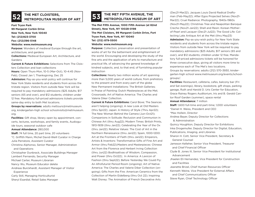

# **THE MET CLOISTERS,<br>METROPOLITAN MUSEUM OF ART**

**Fort Tryon Park**

**99 Margaret Corbin Drive**

**New York, New York 10040**

**Tel: (212)923-3700**

**Fax: (212)396-5148**

### **Website: www.metmuseum.org**

**Purpose:** Wonders of medieval Europe through the art, architecture, and gardens

**Collections:** Medieval European Art, Architecture, and Gardens

**Current & Future Exhibitions:** Selections from The Cloisters Collection and loan collections

**Hours:** Open Thurs-Mon, 10-5 (Mar-Oct), 10-4:45 (Nov-Feb), Closed Jan 1, Thanksgiving, Dec 25

**Admission:** Pay-as-you-wish policy will continue for New York State residents and students from across the tristate region. Visitors from outside New York will be required to pay mandatory admissions (\$25 Adults; \$17 seniors (65 and over), and \$12 students; children under 12 free. Mandatory full-priced admissions tickets provide same-day entry to both Met locations.

**Groups by reservations**: adults mettours@metmuseum. org, kindergarten-high school schoolvisits@metmuseum. org.

**Facilities:** Gift shop, library open by appointment, concerts, lectures, workshops, and family events, Audioguide tours, seasonal outdoor cafe

### **Annual Attendance:** 280,000

**Staff:** 74 full time, 20 part time, 20 volunteers \*C. Griffith Mann, Michel David-Weill Curator in Charge Julia Perratore, Assistant Curator

Christina Alphonso, Senior Manager, Administration and Operations

Christopher Dunbrack, Associate Buildings Manager Lambert Fernando, Security Manager Michael Carter, Museum Librarian Nancy Wu, Museum Educator delete Andreas Burckhardt, Assistant Manager of Visitor Experience Carly Still, Managing Horticulturist

Sheryl Esardial, Retail Sales Manager

# **THE MET FIFTH AVENUE, THE 53 METROPOLITAN MUSEUM OF ART**

**The Met Fifth Avenue, 1000 Fifth Avenue (at 82nd Street), New York, NY 10028-0198 The Met Cloisters, 99 Margaret Corbin Drive, Fort Tryon Park, New York, NY 10040 Tel: (212) 879-5500 Website: www.metmuseum.org**

**Purpose:** Collection, preservation and presentation of works of art for the betterment and enlightenment of the world. Encouraging and developing the study of the fine arts and the application of arts to manufacture and practical life, of advancing the general knowledge of kindred subjects, and, to that end, of furnishing popular instruction

**Collections:** Nearly two million works of art spanning more than 5,000 years of world culture, from prehistory to the present and from every part of the globe New Permanent Installations: The British Galleries; In Praise of Painting: Dutch Masterpieces at the Met; Crossroads; Art of Native America: The Charles and Valerie Diker Collection.

**Current & Future Exhibitions:** Carol Bove; The Seances aren't helping (ongoing); A new Look at Old Masters (thru Spr22); Japan: A History of Style (Thru Apr22); The New Woman Behind the Camera (Jun-Oct21); Companions in Solitude: Reclusion and Communion in Chinese Art (thru Aug22); Modern Times: British Prints, 1913-1939 (thru Jan22); Celebrating the Year of the Ox (thru Jan22); Relative Values: The Cost of Art in the Northern Renaissance (thru Jan22); Spain, 1000-1200: Art at the Frontiers of Faith (thru Jan22); Emperors, Artists & Inventors: Transformative Gifts of Fine Art and Armor (thru Feb22);Masters and Masterpieces: Chinese Art from the Florence and Herbert Irving Collection (thru Jun22) Bodhisattvas of Wisdom, Compassion, and Power (thru Oct22); In America: A Lexicon of Fashion (thru Sept22); Before Yesterday We Could Fly: An Afrofuturist Period Room (ongoing); Art of Native America: The Charles and Valerie Diker Collection (ongoing); Gifts from the Fire: American Ceramics from the Collection of Martin Eidelberg (thru Oct 22); Inspiring Walt Disney: The Animation of French Decorative Arts

(Dec21-Mar22), Jacques Louis David Radical Draftsman (Feb-May22); After Egos Projected Selves (Nov21- Mar22); Cruel Radiance: Photography, 1940s-1960s (Nov21-May22); Christmas Tree and Neapolitan Baroque Creche (Nov21-Jan22); Shell and Resin: Korean Motherof-Pearl and Lacquer (Dec21-Jul22); The Good Life: Collecting Late Antique Art at the Met (thru May23) **Admission:** Pay-as-you-wish policy for New York State residents and students from across the tristate region. Visitors from outside New York will be required to pay mandatory admissions (\$25 Adults; \$17 seniors (65 and over), and \$12 students; children under 12 free. Mandatory full-priced admissions tickets will be honored for three consecutive days, giving all visitors more time to experience each of The Met's two locations. Groups by reservations: adults (212) 570-3930, kindergarten-high school www.metmuseum.org/events/schoolgroups/.

**Facilities:** Restaurant, cafeteria, cafes, balcony bar (Fri and Sat evenings), library, bookstore, gift shops, parking garage, Ruth and Harold D. Uris Center for Education, Grace Rainey Rogers Auditorium, Iris and B. Gerald Cantor Roof Garden (summer), space rental

### **Annual Attendance:** 7 million

**Staff:** 1,600 full-time and part-time; 1,000 volunteers \*Daniel H. Weiss, President and CEO \*Max Hollein, Director Andrea Bayer, Deputy Director for Collections & Administration Quincy Houghton, Deputy Director for Exhibitions Inka Drogemuller, Deputy Director for Digital, Education, Publications, Imaging, and Libraries Sharon H. Cott, Senior Vice President, Secretary & General Counsel Jameson Kelleher, Senior Vice President, Treasurer and Chief Financial Officer Clyde B. Jones III, Senior Vice President for Institutional Advancement Jhaelen Eli Hernandez, Vice President for Construction and Facilities Jeanette Brizel, Chief Human Resources Officer Kenneth Weine, Vice President for External Affairs and Chief Communications Officer Steve Ryan, Chief Technology Officer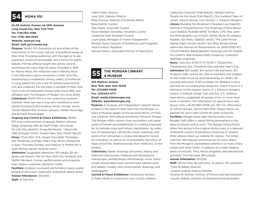## **54 MOMA PS1**

**22-25 Jackson Avenue (at 46th Avenue) Long Island City, New York 11101 Tel: (718)784-2086 Fax: (718) 482-9454 Website: www.ps1.org Email: mail\_ps1@moma.org**

**Purpose:** MoMA PS1 champions art and artists at the intersection of the social, cultural, and political issues of their time. Providing audiences with the agency to ask questions, access to knowledge, and a forum for public debate, PS1 has offered insight into artists' diverse worldviews for more than 40 years. Founded in 1976 by Alanna Heiss, the institution was a defining force in the alternative space movement in New York City, transforming a nineteenth century public schoolhouse in Long Island City into a site for artistic experimentation and creativity. PS1 has been a member of New York City's Cultural Institutions Group (CIG) since 1982, and affiliated with The Museum of Modern Art since 2000. **Collections:** MoMA PS1 is a non-collecting museum; however, there are many long-term installations maintained throughout the building. Artists include James Turrell, Pipilotti Rist, Ernesto Caivano, William Kentridge, and Richard Artschwager.

**Ongoing and Current & Future Exhibitions:** MoMA

PS1 Artist Interventions (ongoing); Rashid Johnson: Stage (ongoing); Niki de Saint Phalle: Structures for Life (thru Sept21); Gregg Bordowitz: I Wanna Be Well (through Oct21); Greater New York (Oct21-Apr22) **Hours:** Thurs-Mon 12-6, closed Tues-Wed, Thanksgiving, Christmas, and New Year's Day. Mina's Restaurant is open Thursday-Sunday, and Artbook @ MoMA PS1 is open during regular museum hours.

**Admission:** Suggested admission: \$10 adults, \$5 students and seniors, free for New York City residents and MoMA Members. Certain performances and programs may require a separate admission ticket.

**Facilities:** Outdoor courtyard; performance space, public programs and tours; restaurant; bookstore; space rental **Annual Attendance:** 200,000 **Staff:** 47 full time

\*Kate Fowle, Director Jose Ortiz, Deputy Director Molly Kurzius, Director of External Affairs Ruba Katrib, Curator Taja Cheek, Associate Curator Elena Ketelsen González, Assistant Curator Josephine Graf, Assistant Curator Laura Zapp, Manager of Visitor Engagement Michael Henry, Director of Exhibitions and Programs Joya Erickson, Registrar Samuel Denitz, Associate Director of Operations

# **THE MORGAN LIBRARY 55 & MUSEUM**

### **225 Madison Avenue New York, New York 10016 Tel: (212)685-0008 Fax: (315)533-4771 Email: media@themorgan.org Website: www.themorgan.org**

**Purpose:** A museum and independent research library located in the heart of New York City, the Morgan Library & Museum began as the personal library of financier, collector, and cultural benefactor Pierpont Morgan. The Morgan offers visitors close encounters with great works of human accomplishment in a setting treasured for its intimate scale and historic significance. Its collection of manuscripts, rare books, music, drawings, and works of art comprises a unique and dynamic record of civilization, as well as an incomparable repository of ideas and of the creative process from 4000 B.C. to the present.

**Collections:** Master drawings and prints, literary and historical manuscripts, medieval and Renaissance manuscripts, printed books and bindings, music manuscripts and printed music, ancient Near Eastern seals and tablets, modern and contemporary drawings, and photography

**Current & Future Exhibitions:** Gwendolyn Brooks: A Poet's Work in Community (Jan-Jun22); Holbein: Capturing Character (Feb-May22); Woody Guthrie: People are the Song (Feb-May22); One Hundred Years of James Joyce's Ulysses (Jun-Oct22); J. Pierpont Morgan's **Library:** Building the Bookman's Paradise (Jun-Sept22); Writing a Chrysanthemum: The Drawings of Rick Barton (Jun-Sept22); PLEASE SEND TO REAL LIFE: Ray Johnson Photographs (Jun-Oct22); Ashley Bryan & Langston Hughes: Sail Away (Sept22-Jan23); The Little Prince: Taking Flight (Oct22-Jan23); She Who Wrote: Enheduanna and Women of Mesopotamia, ca. 3400-2000 B.C. (Oct22-Feb23); Georg Baselitz: Drawings (Oct22-Feb23); Sol LeWitt's Wall Drawing 552D (ongoing); Collection Spotlight (ongoing).

**Hours:** Tues-Sun 10:30-5, Fri 10:30-7. Closed Mon, Thanksgiving Day, Christmas Day, and New Year's Day. **Admission:** \$22 adults, \$14 seniors (65 and over), \$13 students (with current ID), free to members and children 12 and under (must be accompanied by an adult); discounted admission of \$13 available for disabled visitors and free for accompanying caregivers. Free Fri hours 5-7; admission to the historic rooms of J. Pierpont Morgan's Library is without charge Tues and Sun 3-5. Advance reservations suggested; all groups of ten or more must book in advance. For information on special tours and group visits, call 212-685-0008, ext. 561. For information on school groups, call 212-590-0331. Please check our website for up-to-date COVID-19 visitor protocols. **Facilities:** Morgan Shop open during public hours. Morgan Café offers a casual dining atmosphere in the glass-enclosed central court. The Morgan Dining Room offers fine dining in the original dining room of a restored nineteenth-century brownstone (closed as of January 2022; please check our website for status). The Gilder Lehrman Hall features performances of music drawn from the Morgan's unparalleled collection of music manuscripts and other works, in addition to a wide-ranging series of lectures, films, family programs, and educational activities. The hall seats 264 people.

### **Annual Attendance:** 103,206

**Staff:** 125 full time, 84 part time, 10 interns, 76 volunteers \*Colin B. Bailey, Director

\*Jessica Ludwig, Deputy Director

\*Kristina W. Stillman, Director of Finance and Administration \*Lauren Stakias, Director of Institutional Advancement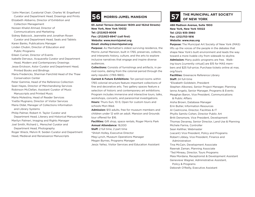\*John Marciari, Curatorial Chair; Charles W. Engelhard Curator and Department Head, Drawings and Prints

Elizabeth Abbarno, Director of Exhibition and

Collection Management

Noreen Khalid Ahmad, Director of

Communications and Marketing

Sidney Babcock, Jeannette and Jonathan Rosen Curator and Department Head, Seals and Tablets

Karen Banks, Publications Manager

Linden Chubin, Director of Education and Public Programs

Eileen Curran, Director of Events

Isabelle Dervaux, Acquavella Curator and Department Head, Modern and Contemporary Drawings

Jesse Erickson, Astor Curator and Department Head, Printed Books and Bindings

Maria Fredericks, Sherman Fairchild Head of the Thaw Conservation Center

Peter Gammie, Head of the Reference Collection Sean Hayes, Director of Merchandising Services Robinson McClellan, Assistant Curator of Music Manuscripts and Printed Music

Maria Molestina, Head of Reader Services Yvette Mugnano, Director of Visitor Services Maria Oldal, Manager of Collections Information and Library Systems

Philip Palmer, Robert H. Taylor Curator and

 Department Head, Literary and Historical Manuscripts Marilyn Palmeri, Imaging and Rights Manager Joel Smith, Richard L. Menschel Curator and Department Head, Photography

Roger Wieck, Melvin R. Seiden Curator and Department Head, Medieval and Renaissance Manuscripts

## **56 MORRIS-JUMEL MANSION THE MUNICIPAL ART SOCIETY 57 OF NEW YORK**

**65 Jumel Terrace (between 160th and 162nd Streets) New York, New York 10032 Tel: (212)923-8008 Fax: (212)923-8947 (call first) Website: www.morrisjumel.org Email: sholley@morrisjumel.org**

**Purpose:** As Manhattan's oldest surviving residence, the Morris-Jumel Mansion, built in 1765, preserves, collects, and interprets history, culture, and the arts to explore inclusive narratives that engage and inspire diverse audiences.

**Collections:** Consists of furnishings and artifacts, in period rooms, dating from the colonial period through the early republic (1765-1865).

**Current & Future Exhibitions:** Ten period rooms within 1765 colonial structure feature important collections of fine and decorative arts. Two gallery spaces feature a selection of historic and contemporary art exhibitions. Program includes immersive and interactive tours, talks, workshops, concerts, and paranormal investigations. **Hours:** Thurs-Sun, 10-5; Open for custom tours and schools Mon-Wed.

**Admission:** \$10 adults, free for museum members and children under 12 with an adult. Mansion and Grounds tour offered for \$16.

**Facilities:** Gift shop, space rentals, Roger Morris Park **Annual Attendance:** 18,000 **Staff:** 2 full time, 2 part time

\*Shiloh Holley, Executive Director

Meg Lynch, Museum Operations Manager

Megan Byrnes, Programs Manager

Jesús Yañez, Visitor Services and Education Assistant

**488 Madison Avenue, Suite 1900 New York, New York 10022 Tel: (212) 935-3960 Fax: (212)753-1816 Website: www.mas.org**

**Purpose:** The Municipal Art Society of New York (MAS) lifts up the voices of the people in the debates that shape New York's built environment and leads the way toward a more livable city from sidewalk to skyline. **Admission:** Many public programs are free. Walking tours [currently virtual] are \$15 for MAS members and \$25 full-price; Purchase tickets online at mas.

org/tours

**Facilities:** Greenacre Reference Library **Staff:** 24 full-time

\*Elizabeth Goldstein, President Stephen Albonesi, Senior Project Manager, Planning Ianna Angelo, Senior Manager, Programs & Events Meaghan Baron, Vice President, Communications

 & Public Affairs Aisha Brown, Database Manager Erin Butler, Information Resources Al Castricone, Director, Facilities & IT Phyllis Samitz Cohen, Director Public Art Britt Densmore, Vice President, Development Thomas Devaney, Senior Director, Land Use & Planning Michele Farina, Controller Sean Kelliher, Webmaster (vacant) Vice President, Policy and Programs Robert Libbey, Vice President, Finance and Administration Tina McCain, Development Associate Rawnak Zaman, Planning Associate \*Ted Mineau, Director, Tours Programs Maia Mordana, Receptionist & Development Assistant Genevieve Wagner, Administrative Assistant,

Policy & Programs

Deborah O'Reilly, Executive Assistant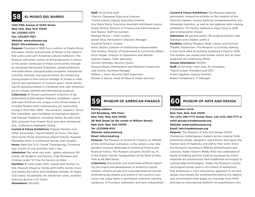## **58 EL MUSEO DEL BARRIO**

**1230 Fifth Avenue at 104th Street New York, New York 10029 Tel: (212)831-7272 Fax: (212)831-7927 Website: www.elmuseo.org Email: info@elmuseo.org**

**Purpose:** Founded in 1969, by a coalition of Puerto Rican educators, artists, and activists, El Museo is the nation's first Latino and Latin American cultural institution. The Museum welcomes visitors of all backgrounds to discover the artistic landscape of these communities through its renowned Permanent Collection, varied exhibitions and publications, bilingual public programs, educational activities, festivals, and special events. By introducing young people to this cultural heritage, El Museo is creating the next generation of museum-goers, while satisfying the growing interest in Caribbean and Latin American art of a broad national and international audience. **Collections:** El Museo's permanent collection of approximately 6,500 objects features Caribbean, Latino and Latin American art, unique in the United States. It includes Modern and Contemporary art, particularly strong in Post War (1950 - the present), Graphics, Taíno/ Pre-Columbian, pan-Caribbean archeological objects, and Popular Traditions, including Santos de palo (over 300, primarily from Puerto Rico) and other devotional arts. Collections Highlights Online

**Current & Future Exhibitions:** Popular Painters and Other Visionaries ( Nov21-Feb22); En Foco: The New York Puerto Rican Experience (Nov21-Feb22); Raphael Montañez Ortiz: A Contextual Survey (Apr–Aug22) **Hours:** Wed-Sun 11–5. Closed Thanksgiving, Christmas Day, Fourth of July and New Year's Day. **Admission:** Pay what you wish - gallery admission \$9

Adults, \$5 Students and Seniors, Free Members and Children under 12; Free for Seniors on Wed **Facilities:** El Café (seats 100)- closed until further notice; Museum Shop/La Tienda with crafts, books, music and jewelry by Latino and Caribbean artisans. El Teatro (572 seats); accessibility for wheelchair users, assistive listening devices in El Teatro **Attendance:** 100,000

### **Staff:** 19 full time staff

\*Patrick Charpenel, Executive Director \*Carlos Galvez, Deputy Executive Director Ana Maria Sierra, Executive Assistant and Board Liaison Evelyn Rivera, Director of Finance and Administration Ivan Ibanez, Staff Accountant Rodrigo Moura – Chief Curator Daniel Silva, Permanent Collection Manager Susanna Temkin, Curator Anne Dayton, Director of Institutional Advancement Ana Chireno, Director of Government & Community Affairs Erica Vargas, Director of Operations and Rentals Gabriel Cuebas, IT/AV Specialist Carmen Semidey, Security Guard Rosaura Reyes, Maintenance and Mailroom Supervisor Joel Osorio, Facilities Manager William J. Soto, Security Field Supervisor Monika A Garcia, Head of Retail & Visitor Services

**Current & Future Exhibitions:** The Museum features permanent, interactive exhibits on the subjects of the financial markets, money, banking, entrepreneurship and Alexander Hamilton, as well as two galleries with rotating exhibitions. The facility suffered a major flood in 2018 and is temporarily closed.

**Admission:** \$8 general public, \$5 students/seniors, free members and children under 6

**Facilities:** Gallery, Museum Shop, Library and Archive, Theater, Auditorium. The Museum is currently seeking a new home after its building sustained a flood in 2018. The exhibits are closed until further notice, but all other programs are continuing offsite

### **Annual Attendance:** 50,000

**Staff:** 10 full time, 1 part time, 10 volunteers \*David Cowen, President and CEO Kristin Aguilera, Deputy Director Robert Dinkelmann, IT Manager

## **59 MUSEUM OF AMERICAN FINANCE 60 MUSEUM OF ARTS AND DESIGN**

**Mailing address: 222 Broadway, 19th Floor New York, New York 10038 48 Wall Street (at the corner of William Street) New York, New York 10005 Tel: (212)908-4110 Website: www.moaf.org Email: info@moaf.org**

**Purpose:** The Museum of American Finance, an affiliate of the Smithsonian Institution, is the nation's only independent museum dedicated to American finance and financial history. The Museum occupies 30,000 sq. ft. in the historic former headquarters of the Bank of New York at 48 Wall Street.

**Collections:** Documents and multimedia artifacts depicting the origins and development of America's capital markets. Historic private and corporate financial records illuminating key players and events in the country's economic rise; many items in permanent collection carrying signatures of Founders, statesmen, and early industrialists

**2 Columbus Circle New York, New York 10019 Tel: (212) 299-7777, Group Tours: Call (212) 299-7771 or email groups@madmuseum.org Website: www.madmuseum.org Email: info@madmuseum.org**

**Purpose:** The Museum of Arts and Design (MAD) champions contemporary makers across creative fields, presenting artists, designers, and artisans who apply the highest level of ingenuity and skill to their work. Since the Museum's founding in 1956 by philanthropist and visionary Aileen Osborn Webb, MAD has celebrated all facets of making and the creative processes by which materials are transformed, from traditional techniques to cutting-edge technologies. Today, the Museum's curatorial program builds upon a rich history of exhibitions that emphasize a cross-disciplinary approach to art and design, and reveals the workmanship behind the objects and environments that shape our everyday lives. MAD provides an international platform for practitioners who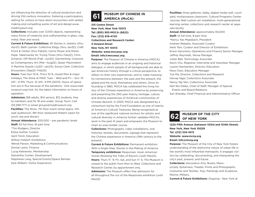are influencing the direction of cultural production and driving 21st-century innovation, fostering a participatory setting for visitors to have direct encounters with skilled making and compelling works of art and design.www. madmuseum.org

**Collections:** Includes over 3,000 objects, representing many forms of creativity and craftsmanship in glass, clay, metal, fiber and wood.

**Current & Future Exhibitions:** 45 Stories in Jewelry (thru Apr21); Beth Lipman: Collective Elegy (thru Jan22); Craft Front & Center (thru Feb22); Carrie Moyer and Sheila Pepe: Tabernacles for Trying Times (thru Feb22); Chris Schanck: Off-World (Feb--Jun22); Garmenting: Costume as Contemporary Art (Mar--Aug22); Queer Maximalism X Machine Dazzle (Jul22--Jan23); Sonya Clark: Collective Encounters (Sep22--Feb23)

**Hours:** Tues-Sun 10-6, Thurs 10-9, closed Mon & major holidays; The Store at MAD, Tues – Wed and Fri – Sun: 10 AM – 6 PM, Thurs: 10 AM– 9 PM [NOTE: Hours of operation are in flux because of the pandemic. Visit www.madmuseum.org/visit, for the latest information on hours of operation.

**Admission:** \$18 adults, \$14 seniors, \$12 students, free to members and for 18 and under; Group Tours: Call 212.299.7771 or email groups@madmuseum.org **Facilities:** The Store, 7th floor event rental space, 143 seat auditorium, 9th floor restaurant Robert (open for lunch, tea and dinner)

**Annual Attendance:** 200,000 – pre pandemic levels **Staff:** 52 full time, 16 part time \*Tim Rodgers, Director Elissa Auther, Curator April Tonin, Education Willow Holdorf, Exhibitions Wendi Parson, Marketing & Communications Denise Lewis, Finance Lucig Kebranian, Membership Samantha Conlan, Development Stephanie Lang, Special Events/Space Rentals Kyle Wilbert, Visitor Experience

# **MUSEUM OF CHINESE IN 61 AMERICA (MoCA)**

**215 Centre Street New York, New York 10013 Tel: (855) 955-MOCA (6622) Fax: (212) 619-4720 Collections and Research Center: 3 Howard Street New York, NY 10013 Website: www.mocanyc.org Email: info@mocanyc.org**

**Purpose:** The Museum of Chinese in America (MOCA) aims to engage audiences in an ongoing and historical dialogue, in which people of all backgrounds are able to see American history through a critical perspective, to reflect on their own experiences, and to make meaningful connections between: the past and the present, the global and the local, themselves and others. Since its founding in 1980, MOCA has celebrated the living history of the Chinese experience in America by preserving and presenting the 200-year history, heritage, culture, and diverse experiences of American communities of Chinese descent. In 2020, MOCA was designated by a consortium led by the Ford Foundation as one of twenty of America's Cultural Treasures. Being recognized as one of the significant national anchors for artistic and cultural diversity in America further validates MOCA's work in the past 41 years and empowers the Museum to chart an even bolder course.

**Collections:** Photographs, video installations, oral histories, textiles, documents, signage that represent the Chinese experience in America (19th century to the present).

**Current & Future Exhibitions:** Permanent exhibition: With a Single Step: Stories in the Making of America. **Temporary exhibitions:** Responses: Asian American Voices Resisting the Tides of Racism (Jul21–Mar22). **Hours:** Thurs 11– 9; Fri, Sat, and Sun 11– 6. The Museum is closed to the public from Mon to Wed. Collections and Research Center, by appointment only.

**Admission:** The Museum offers free admission for all throughout the run of the Responses exhibition (until Mar22)

**Facilities:** three galleries, lobby, digital media wall, courtyard, multipurpose classroom, Cultural Programs Center, Journey Wall custom art installation, multi-generational learning center, collections and research center at separate facility

**Annual Attendance:** approximately 60,000 **Staff:** 14 full time, 8 part time \*Nancy Yao Maasbach, President Andrew Rebatta, Associate Curator Herb Tam, Curator and Director of Exhibitions Erwin Geronimo, Operations and Finance Senior Manager Jeffrey Reynolds, Venue Manager Julian Bell, Technology Associate Kevin Chu, Registrar, Internship and Volunteer Manager Lauren Nechamkin, Director, Education Nora Chen, Education Manager Yue Ma, Director, Collections and Research Harvey Ngai, Collections Associate Nancy Ng Tam, Collections Associate Neil Wu-Gibbs, Chief of Staff, Manager of Special Events and Board Relations Sari Sharaby, Chief Financial and Administrative Officer



**62** MUSEUM OF THE CITY

**1220 Fifth Avenue (between 103rd and 104th Street) New York, New York 10029 Tel: (212) 534-1672 Website: www.mcny.org Email: info@mcny.org**

**Purpose:** The Museum of the City of New York fosters understanding of the distinctive nature of urban life in the world's most influential metropolis. It engages visitors by celebrating, documenting, and interpreting the city's past, present, and future.

**Collections:** Decorative Arts, Books, Manuscripts, Ephemera, Theater, Prints and Photographs, Costumes and Textiles, Toys, Paintings and Sculpture, Marine, Military

**Current & Future Exhibitions:** Ongoing - New York at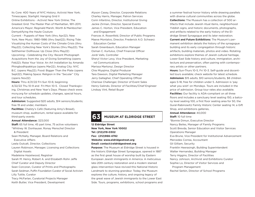Its Core: 400 Years of NYC History; Activist New York; Timescapes; Starlight: Hanging Grid II Online Exhibitions - Activist New York Online; The Greatest Grid: The Master Plan of Manhattan, 1811–2011; America's Mayor; Reginald Marsh; Worth & Mainbocher: Demystifying the Haute Couture

Current - Puppets of New York (thru Apr22); New York, New Music: 1980–1986 (thru Sept22); Rising Tide: Visualizing the Human Costs of the Climate Crisis (thru May22); Collecting New York's Stories (thru May22); The Settheimer Dollhouse: Up Close (thru May22) Upcoming - Celebrating the City: Recent Photograph Acquisitions from the Joy of Giving Something (opens Feb22); Raise Your Voice: An Art Installation by Amanda Phingbodhipakkiya (opens Mar22); Analog City: NYC B.C. (opens May22); Food: Bigger Than the Plate (opens Sept22); Making Space: Religion in the "Secular" City (opens Nov22)

**Hours:** Thru 4/21/22 Fri-Sun 10-6; beginning 4/22/22 Thu 10-9 and Fri-Mon 10-5. Closed Thanksgiving, Christmas and New Year's Days. Please check www. mcny.org for schedule updates, changes, special hours, and tour schedules.

**Admission:** Suggested \$20 adults, \$14 seniors/students; free 19 and under, members

**Facilities:** Chalsty's Café (featuring Amy's Bread), museum shop, auditorium, rental space available for third-party events

**Annual Attendance:** 323,000

**Staff:** 65 full time, 45 part time, 75 active volunteers \*Whitney W. Donhauser, Ronay Menschel Director & President

Sean McNally, Manager, Board Relations and Executive Affairs

Leela Outcalt, Director, Collections

Lauren Robinson, Manager, Licensing and Collections Digital Assets

Madeleine Hazelwood, Registrar

Sarah M. Henry, Robert A. and Elizabeth Rohn Jeffe Chief Curator and Deputy Director

Sean Corcoran, Curator of Prints and Photographs Sarah Seidman, Puffin Foundation Curator of Social Activism Lilly Tuttle, Curator

Tracy McFarlan, Curatorial Projects Manager Keith Butler, Vice President, Development

Alyson Casey, Director, Corporate Relations Charley Harris, Manager, Patron Services Corin Infantino, Director, Institutional Giving Jackie Zirman, Director, Special Events James C. Horton, Vice President, Education and Engagement Frances A. Rosenfeld, Director of Public Programs Maeve Montalvo, Director, Frederick A.O. Schwarz Education Center Sarah Greenbaum, Education Manager Osman C. Kurtulus, Chief Financial Officer Jordi Valls, Controller Sheryl Victor Levy, Vice President, Marketing nd Communications Marissa Martonyi, Design Director Chie Miyajima, Digital Producer Tara Dawson, Digital Marketing Manager Jerry Gallagher, Chief Operating Officer Cherisse Challenger, Director of Event Sales Henry Galindo, Director of Facilities/Chief Engineer Lindsay Vint, Retail Buyer

## **63 MUSEUM AT ELDRIDGE STREET**

**12 Eldridge Street New York, New York 10002 Tel: (212)219-0302 Fax: (212)966-4782 Website: www.eldridgestreet.org Email: contact@eldridgestreet.org**

**Purpose:** The Museum at Eldridge Street is housed in the historic Eldridge Street Synagogue, opened in 1887 as the first great house of worship built by Eastern European Jewish immigrants in America. A meticulous late-20th century restoration and a modern stained glass intervention have revived this National Historic Landmark to stunning grandeur. Today, the Museum explores the culture, history, and ongoing legacy of the great wave of Jewish immigrants to the Lower East Side. Tours, programs, exhibitions, school programs and a summer festival honor history while drawing parallels with diverse cultural communities across the globe. **Collections:** The Museum has a collection of 500 artifacts that include Jewish ritual items, neighborhood Yiddish signs, and historic documents, photographs, and artifacts related to the early history of the Eldridge Street Synagogue and its later restoration.

**Current and Future Exhibitions:** The Museum's permanent exhibition details the history of the synagogue building and its early congregation through historic artifacts, building materials, photos and video. Rotating exhibitions explore themes of Jewish cultural heritage, Lower East Side history and culture, immigration, architecture and preservation, often pairing with contemporary artists or other partners.

**Hours:** Sun-Thurs 10-5, Fri 10-3. Self-guide and docentled tours available; check website for latest schedule. **Admission:** \$15 adults, \$10 seniors/students, \$8 children ages 5-18, free for children under 5. Admission is 'pay what you wish' on Mondays. Tours are included in the price of admission. Group tour rates also available. **Facilities:** Our facility is ADA-compliant on all three floors and includes a sanctuary level seating 150, a balcony level seating 100, a first floor seating area for 50, the Gural-Rabinowitz Family Historic Center seating 14, a Gift Shop, and exhibitions galleries,

### **Annual Attendance:** 40,000

**Staff:** 10 full time

\*Bonnie Dimun, Executive Director Nancy Beiles, Manager of Family Programs Scott Brevda, Senior Education and Visitor Services Operations Manager Eva Brune, Vice President for Institutional Advancement Mercedes Correa, Accountant Gil Gilliam, Security Franklin Heerasingh, Building Superintendent Walter Hernandez, Building Manager Terry Higgins, Director of Facilities Nancy Johnson, Archivist and Exhibitions Curator Sophie Lo, Director of Visitor Services and Program Management Rachel Serkin, Director of School Programs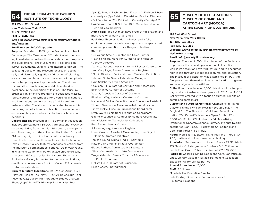# **64 INSTITUTE OF TECHNOLOGY**

### **227 West 27th Street**

**New York, New York 10001**

**Tel: (212)217-4530**

**Fax: (212)217-4531**

**Website: www.fitnyc.edu/museum; http://www.fitnyc. edu/museum**

### **Email: museuminfo@fitnyc.edu**

**Purpose:** Founded in 1969 by the Fashion Institute of Technology, The Museum at FIT is dedicated to advancing knowledge of fashion through exhibitions, programs and publications. The Museum at FIT collects, conserves, documents, exhibits, and interprets fashion. The collecting policy of The Museum focuses on aesthetically and historically significant "directional" clothing, accessories, textiles and visual materials, with emphasis on contemporary avant-garde fashion. The Museum is committed to achieving a world-class standard of excellence in the exhibition of fashion. The Museum organizes an extensive program of specialized classes, tours, lectures, and symposia for diverse local, national, and international audiences. As a "think-tank" for fashion studies, The Museum is dedicated to an ambitious program of scholarly publication, new initiatives, and research opportunities for students, scholars and designers.

**Collections:** The Museum at FIT's permanent collection includes approximately 35,000 garments and 15,000 accessories dating from the mid-18th century to the present. The strength of the collection lies in the 20th and 21st century high fashion, both couture and ready-towear. The Museum has three galleries: The Fashion and Textile History Gallery features changing selections from the museum's permanent collections. Open year-round, its changing exhibitions are organized chronologically, to present 250 years of fashion history. The Special Exhibitions Gallery is devoted to thematic exhibitions, usually on contemporary fashion. Gallery FIT is devoted to student exhibitions.

**Current & Future Exhibitions:** 1990's (Jan Apr22); GSE (May22); Head to Toe (Nov21-May22); Balenciaga+Dior (May-Nov22); Gallery FIT - Graduate Studies (Mar22); Shoes (Sept22-Jan23); Hip Hop Fashion (Spr FebApr23), Food & Fashion (Sept23-Jan24); Fashion & Psycho analysis (Spr FebApr25), Africa's Fashion Diaspora (Fall Sept24-Jan25); Cabinet of Curiosity (Feb-Apr25) **Hours:** Wed-Fri 12-8; Sat-Sun 10-5. Closed on Mon and Tues and legal holidays

**Admission:** Free but must have proof of vaccination and must have on a mask at all times.

**Facilities:** Three exhibition galleries, and a fully equipped conservation laboratory to assure specialized care and preservation of clothing and textiles.

### **Staff:** 25

\*Dr. Valerie Steele, Director and Chief Curator \*Patricia Mears, Manager, Curatorial and Museum (Deputy Director)

\*Vanessa Vasquez, Assistant to the Director Conservation \*Ann Coppinger, Senior Conservator Registrar \* Sonia Dingilian, Senior Museum Registrar Exhibitions \*Michael Goita, Senior Exhibitions Manager Lynn Sallaberry, Office Associate \* Colleen Hill, Curator of Costume and Accessories Ellen Shanley Curator of Costume Vacant, Associate Curator of Costume Elizabeth Way, Assistant Curator of Costume Michelle McVicker, Collections and Education Assistant Thomas Synnamon, Museum Installation Assistant Cindy Trickle, Museum Publications Coordinator Ryan Wolfe, Exhibitions Production Coordinator Gabrielle Lauricella, Campus Exhibitions Coordinator Ken Weissinger, Technologist Collections Fred Dennis. Senior Curator Jill Hemingway, Associate Registrar Laura Gawron, Assistant Museum Registrar Digital Media & Strategic Initiatives Tamsen Young, Digital Media & Strategic Nateer Cirino Administrative Coordinator Gladys Rathod. Administrative Secretary

Alison Castaneda Associate Conservator

Tanya Melendez, Senior Curator of Education

& Public Programs

Melissa Marra, Curator of Education Eileen Costa, Photographer

### **MUSEUM OF ILLUSTRATION & MUSEUM OF COMIC AND CARTOON ART (MOCCA) AT THE SOCIETY OF ILLUSTRATORS 65**

### **128 East 63rd Street**

**New York, New York 10065 Tel: (212)838-2560 Fax: (212)838-2561**

**Website: www.societyillustrators.orghttp://www.societyillustrators.org**

### **Email: info@societyillustrators.org**

**Purpose:** Founded in 1901, the mission of the Society is to promote the art and appreciation of illustration, as well as its history and evolving nature, and to encourage high ideals through exhibitions, lectures, and education. The Museum of Illustration was established in 1981. It offers year-round themed exhibits, art education programs and annual juried competitions.

**Collections:** Includes over 3,500 historic and contemporary works of illustration in all genres. In 2012 the MoCCA Gallery was created with a focus on curated exhibits of comic and cartoon art.

**Current and Future Exhibitions:**  Champions of Flight: Clayton Knight & William Heaslip (Sept21-Jan22); The Original Art: The Fine Art of Children's Book Illustration (Oct21-Jan22); Members Open Exhibit: RE-BOOT (Oct21-Jan 22); Illustrators 64: Advertising, Institutional, Uncommissioned, Surface/ Product Design categories (Jan-Feb22); Illustrators 64: Editorial and Book categories (Feb-Mar22)

**Hours:** Wed-Sat 11-5, Sketch Night Tues and Thurs 6:30- 9:30, onsite and online; closed most holidays **Admission:** Members and up to four Guests FREE; Adults \$15; Seniors/ Undergraduate Students \$10; Children under 12 Free; Group Rates available call 212-838-2560. **Facilities:** Galleries, Dining Room and Cafe, Bar, Museum

Shop, Library, Outdoor Terrace, Permanent Collection, Space Rental for private parties

**Annual Attendance:** 25,000 **Staff:** 9 full time \*Anelle Miller, Executive Director Kate Feirtag, Director of Communications & External Relations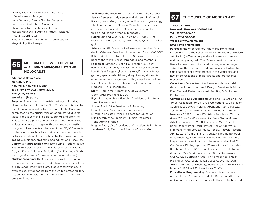Lindsay Nichols, Marketing and Business Development Manager Katie Dermody, Senior Graphic Designer Eric Fowler, Collections Manager Steve Compton, Exhibitions Manager Melissa Kleynowski, Administrative Assistant/ Retail Coordinator Breann McGovern, Exhibitions Administrator Mary Molloy, Bookkeeper

### **MUSEUM OF JEWISH HERITAGE — A LIVING MEMORIAL TO THE HOLOCAUST 66**

**Edmond J. Safra Plaza 36 Battery Place New York, New York 10280 Tel: 646-437-4202 (information) Fax: (646) 437-4311 Website: mjhnyc.org**

**Purpose:** The Museum of Jewish Heritage – A Living Memorial to the Holocaust is New York's contribution to the global responsibility to never forget. The Museum is committed to the crucial mission of educating diverse visitors about Jewish life before, during, and after the Holocaust. As a place of memory, the Museum enables Holocaust survivors to speak through recorded testimony and draws on its collection of over 35,000 objects to illuminate Jewish history and experience. As a public history institution, it offers intellectually rigorous and engaging exhibitions, programs, and educational resources. **Current & Future Exhibitions:** Boris Lurie: Nothing To Do But To Try (Oct21-Apr22); The Holocaust: What Hate Can Do (Spr22); A Children's Exhibition (Oct22); Andy Goldsworthy's Garden of Stones (on permanent display) **Student Programs:** The Museum of Jewish Heritage offers a variety of internships and fellowships ranging from a High School Intern program, graduate fellowships, to overseas study for cadets from the United States Military Academies who visit the Auschwitz Jewish Center for a program in ethics

**Affiliates:** The Museum has two affiliates: The Auschwitz Jewish Center a study center and Museum in O wi cim-Poland; JewishGen, the largest online Jewish genealogy site. In addition, The National Yiddish Theater Folksbiene is in residence at the Museum performing two to three productions a year in its theater.

**Hours:** Sun and Wed 10-5, Thurs 10-8, Friday 10-3; closed Sat, Mon, and Tues, Jewish holidays and Thanksgiving

**Admission:** \$18 Adults, \$12 ADA/Access, Seniors, Students, Veterans; Free to children under 12 and NYC DOE K-12 students, Free to Holocaust Survivors, active members of the military, first responders, and members **Facilities:** Edmond J. Safra Hall Theater (370 seat), events hall (400 seat), 4 classrooms, resource center, Lox @ Café Bergson (kosher cafe), gift shop, outdoor garden, special exhibitions gallery. Parking discounts given by some local garages with garage ticket validation. Museum hosts private events. In-house caterer is Madison & Park Hospitality.

**Staff:** 48 full time, 4 part time, 50 volunteers \*Jack Kliger President & CEO

Elyse Buxbaum, Executive Vice President of Strategy

and Development

Joshua Mack, Vice President of Marketing Marie Etienne, Vice President of Finance Elizabeth Edelstein, Vice President for Education Erin Eastern, Vice President, Human Resources

and Administration

Maggie Radd, Vice President of Collections & Exhibitions Avraham Groll, Executive Director of JewishGen



## **67 THE MUSEUM OF MODERN ART**

**11 West 53 Street New York, New York 10019-5498 Tel: (212)708-9400 Fax: (212)708-9889 Website: www.moma.org Email: info@moma.org**

**Purpose:** Known throughout the world for its quality, scope, diversity, the collection of The Museum of Modern Art (MoMA) offers an unparalleled overview of modern and contemporary art. The Museum maintains an active schedule of exhibitions addressing a wide range of subject matter, mediums, and time periods, highlighting significant recent developments in the visual arts and new interpretations of major artists and art historical movements.

**Collections:** Works from the Museums six curatorial departments. Architecture & Design, Drawings & Prints, Film, Media & Performance Art, Painting & Sculpture, Photography

**Current & Future Exhibitions:** Ongoing: Collection 1880s-1940s; Collection: 1940s-1970s; Collection: 1970s-present; Sophie Taeuber-Arp – Living Abstraction (thru Mar22); Joseph E. Yoakum -What I Saw (thru Mar22); Greater New York 2021 (thru Apr22); Adam Pendleton: Who is Queen? (thru Feb22); (Never As I Was Studio Museum Artists in Residence 2020-21 (thru Feb22); Projects: Kahill Robert Irving (thru May22); Neelon Crawford, Filmmaker (thru Spr22); Reuse, Renew, Recycle: Recent Architecture from China (thru Jul22); Nora Ruato: pool 5 (Jan-Feb22); Basel Abbas and Ruanne Abou-Rahme: May amnesia never kiss us on the mouth (Mar-Jun22); Our Selves: Photographs; by Women Artists from Helen Kornblum (Apr-Oct22); Henri Matisse: The Red Studio (May-Sept22); Studio residency: Okwui Okpokwasili (Jul-Aug22); Barbara Kruger: Thinking of You. I Mean Me. I Mean You. (Jul22-Jan23); Just Above Midtown: 1974-Present (Oct22-Feb23); Meret Oppenheim: My Exhibition (Oct22-Mar23); Joan Jonas (Spr24)

**Educational Programming:** Education is at the heart of the Museum's founding and MoMA is committed to making art accessible to people of all ages, abilities, and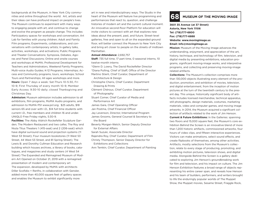backgrounds at the Museum, in New York City communities and online throughout the world. Art, artists and their ideas can have profound impact on people's lives. The Museum continues to experiment with many ways to engaging people with art, and continue to change and evolve the program as people change. This includes: Participatory spaces for workshops and conversation; Art Lab for families with young children; Adult and Family Film programs; Experiments, collaborations, and conversations with contemporary artists; In-gallery talks, activities, workshops, and activations; Public Programs and Theater Conversations; Symposia, Debates, Agoras and Panel Discussions; Online and onsite courses and workshops at MoMA; Professional Development for Teachers and Administrators, Weekend Family Programs; Multi-voice Audio Guides; K-12 Programs; Internships; Access and Community programs, tours, workshops; School Tours and Partnerships; All ages workshops and more. **Hours:** Open 7 days a week: Sat-Thurs 10-5:30, Fri 10-9; First Thursday of every month 10-9; Member Early Access: 9:30-10 daily; closed Thanksgiving and Christmas Day.

**Admission:** Museum admission includes admission to all exhibitions, film programs, MoMA Audio programs, and admission to MoMA PS1 www.ps1.org; \$25 adults, \$18 seniors 65 and over with I.D., \$14 full time students with current I.D., free members and children 16 and under. UNIQLO Free Friday nights, 5:30-9.

**Facilities:** The Abby Aldrich Rockefeller Sculpture Garden; The Modern Restaurant and two cafes; The Roy and Niuta Titus Theaters 1 (415-seat) and 2 (206-seat) which have digital surround sound and projection systems (11 West 53 Street); Four museum bookstores (11 West 53 Street, 44 West 53 Street, and 81 Spring Street); The Lewis B. and Dorothy Cullman Education and Research building which houses archives, a library of books, catalogues, and magazines and study centers (4 West 54 Street) The Expanded and Reimagined Museum of Modern Art Opened on October 21, 2019 with a reimagined presentation of modern and contemporary art The expansion, developed by MoMA with architects Diller Scofidio + Renfro, in collaboration with Gensler, added more than 40,000 square feet of gallery spaces and enables the Museum to exhibit significantly more

art in new and interdisciplinary ways. The Studio in the heart of the Museum will feature live programming and performances that react to, question, and challenge histories of modern art and the current cultural moment. An innovative second-floor Platform for education will invite visitors to connect with art that explores new ideas about the present, past, and future. Street-level galleries, free and open to all on the expanded ground floor, will better connect the Museum to New York City and bring art closer to people on the streets of midtown Manhattan.

### **Annual Attendance:** 2,692,757

**Staff:** 735 full time, 17 part time, 0 seasonal interns, 10 twelve-month interns

\*Glenn D. Lowry, The David Rockefeller Director \*Diana Pulling, Chief of Staff, Office of the Director Martino Stierli, Chief Curator, Department of

Architecture & Design

Christophe Cherix, Chief Curator, Department Drawing & Prints

Clément Chéroux, Chief Curator, Department of Photography

Stuart Comer, Chief Curator of Media and Performance Art

James Gara, Chief Operating Officer

Jan Postma, Chief Financial Officer

Jay Levenson, Director, International Program

James Grooms, General Counsel & Secretary to the Board

Beverly Morgan-Welch, Senior Deputy Director for External Affairs

Sarah Suzuki, Associate Director

Rajendra Roy, Chief Curator, Department of Film

Christy Thompson, Senior Deputy Director for Exhibitions and Collections

Ann Temkin, Chief Curator, Department of Painting

## **68 MUSEUM OF THE MOVING IMAGE**

**3601 35 Avenue (at 37 Street) Astoria, New York 11106 Tel: (718)777-6800 Fax: (718)777-6888 Website: www.movingimage.us Email: info@movingimage.us**

**Mission:** Museum of the Moving Image advances the understanding, enjoyment, and appreciation of the art, history, technique, and technology of film, television, and digital media by presenting exhibitions, education programs, significant moving-image works, and interpretive programs, and collecting and preserving moving-image related artifacts.

**Collections:** The Museum's collection comprises more than 130,000 objects illustrating every element of the production, promotion, and exhibition of movies, television, and digital entertainment, from the inception of motion pictures at the turn of the twentieth century to the present day. This unique, historically significant body of artifacts includes licensed merchandise, technical apparatus, still photographs, design materials, costumes, marketing materials, video and computer games, and moving image artworks. In 2014, the Museum acquired a significant collection of artifacts related to the work of Jim Henson. **Current & Future Exhibitions:** In the Galleries: spanning two floors and 15,000 square feet, the Museum's core exhibition Behind the Screen is an innovative blend of more than 1,200 historic artifacts, commissioned artworks, four hours of video clips, and fifteen interactive experiences. Visitors can make animations, select sound effects, and create flipbooks of themselves, among other activities. Artifacts, mostly selections from the Museum's collection, relate to every stage of producing, promoting, and exhibiting motion pictures, television shows, and digital media. Alongside Behind the Screen is a gallery dedicated to exploring Jim Henson's groundbreaking work for film and television, and his impact on culture. The Jim Henson Exhibition features a broad range of objects representing his entire career span, and reveals how Henson and his team of builders, performers, and writers brought

to life the enduringly popular worlds of The Muppet Show, the Muppet movies, Sesame Street, Fraggle Rock,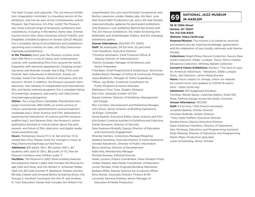The Dark Crystal, and Labyrinth. The Jim Henson Exhibition: Imagination Unlimited, is a traveling version of the exhibition, and can be seen at the Contemporary Jewish Museum, San Francisco, CA (Mar–Jul22) The Museum also hosts a broad range of temporary exhibitions and installations, including A Wonderful, Awful Idea: Animating the Grinch Who Stole Christmas (Nov21–Feb22), and Deepfake: Unstable Evidence on Screen (Dec21–May22). For a complete listing of all exhibitions and installations upcoming and currently on view, visit http://www.movingimage.us/exhibitions/.

**In the Theaters:** Each year the Museum screens more than 500 films in a mix of classic and contemporary cinema, with outstanding films from around the world, frequently with personal appearances. Ongoing screening series and festivals include: See It Big!, First Look Festival, New Adventures in Nonfiction, Always on Sunday: Greek Film Series, World of Animation, and Jim Henson's World. In addition, the Museum presents retrospectives, new releases of independent and international film, and family matinee programs. For a complete listing of screenings, programs, and events visit http://www. movingimage.us/programs/

**Online:** The Living Room Candidate, Presidential Campaign Commercials 1952–2020, an online archive of historic presidential advertisements (www.livingroomcandidate.org/); Sloan Science and Film, dedicated to exploring the intersection of science and film (scienceandfilm.org/); and Reverse Shot, the Museum's online publication devoted to critical pieces about the past, present, and future of film, television, and digital media (www.revershot.org).

**Hours:** (Temporary Hours) Fri 2–8, Sat and Sun 12–6; closed Mon–Thur. Please check for changes in hours at http://www.movingimage.us/visit/hours

**Admission:** \$15 adults (18+), \$11 seniors (65+), \$11 students with valid ID (18+), \$9 youth (3–17), free for Museum members and children under 3.

**Facilities:** The Museum's LEED Silver building features the expansive Hearst Lobby that includes the Moving Image Café and Shop, and the Herbert S. Schlosser Media Wall; the 267-seat Sumner M. Redstone Theater and the 68-seat Celeste and Armand Bartos Screening Room; the George S. Kaufman Courtyard; the Ann R. and Andrew H. Tisch Education Center that includes the William Fox

Amphitheater, the Leon and Michaela Constantiner and Burton Lawrence London Media Labs, the Nam June Paik Room/HBO Production Lab, and a 40-seat flexible classroom/studio; galleries for permanent exhibitions (the Museum's core exhibition Behind the Screen and The Jim Henson Exhibition); the Video Screening Amphitheater and Amphitheater Gallery; and the changing exhibitions gallery.

**Annual Attendance:** 200,000 (FY 2020)

**Staff:** 56 employees, 34 full time, 22 part time \*Carl Goodman, Executive Director

\*Christina Karahalios, Chief Financial Officer & Deputy Director of Administration Patrick Alvarado, Manager of Exhibitions and

Senior Preparator

Fred Baez, Chief Projectionist & Audiovisual Technician Andrea Bansil, Manager of School & Community Programs Jesse Berberich, Manager of Visitor Experience Tiffany Joy Butler, Curatorial Coordinator for

Public Programs & Senior Educator

Matthaeus Choo Tung, Graphic Designer Edo Choi, Assistant Curator of Film

Danae Colomer, Director of Exhibition Management and Design

Max Cornillon, Development and Marketing Manager John Davis, Senior Director of Building Operations Jill Engel, Controller

Sonia Epstein, Executive Editor, Sloan Science and Film Kyla Gordon, Curatorial Assistant for Exhibitions and Collections Daniel Grossane, Director of Security Sara Guerrero-Mostafa, Deputy Director of Education

 and Community Engagement Miranda Hambro, Collections Manager/Registrar Kaddara Humphrey, Associate Director of Visitor Experience Tomoko Kawamoto, Director of Public Information Becca Keating, Director of Development Katie Kita, Membership Manager Michael Koresky, Editorial Director Sarah Luciano, Project Coordinator, Sloan Student Prizes Umber Majeed, New Media Coordinator of Education Junior Mendez, HVAC Engineer/Building Maintainer Barbara Miller, Deputy Director for Curatorial Affairs Elina Nunez, Associate Director, Finance & HR

Leonardo Santana-Zubieta, Senior Manager of

Education & Media Production

# **NATIONAL JAZZ MUSEUM 69 IN HARLEM**

**58 W 129th Street Harlem, NY 10027 Tel: 212-348-8300 Website: https://jmih.org/**

**Purpose/Mission:** The mission is to preserve, promote and present jazz by inspiring knowledge, appreciation and the celebration of jazz locally, nationally and internationally.

**Collections:** Ralph Ellison Record Collection, Savory Rare Audio Collection, Eddie "Lockjaw" Davis, Morris Hodara Ellingtonia Collection, Whitney Balliett Collection

**Current & Future Exhibitions:** Disney's "The Soul of Jazz: An American Adventure," Vibrations, Eddie Lockjaw Davis, Jam Sessions, James Reese Europe **Hours:** Hours subject to change, check our website for current hours and updates to COVID-19 restrictions - https://jmih.org/

**Admission:** \$10 Suggested Donation Facilities: Rental Space, Listening Station, Small Gift Shop, Parking Garage across the street, Concerts

**Annual Attendance:** 150,000

**Staff:** 6 Full time, 1 Part time,13 volunteers Jonathan Batiste, Artistic Director Christian McBride, Artistic Director \*Tracy Hyter-Suffern, Executive Director Sandra Garcia, Deputy Executive Director Darel Anderson-Hamilton, Director of Operations Sam Ginsberg, Education and Programming Assistant Ryan Maloney, Director of Education and Programming Martin Mejia, Production Specialist Loren Schoenberg, Senior Scholar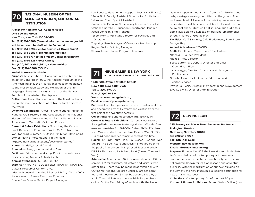

## **NATIONAL MUSEUM OF THE AMERICAN INDIAN, SMITSONIAN INSTITUTION**

**Alexander Hamilton U.S. Custom House One Bowling Green New York, New York 10004-1415 Tel: (212)514-3700 (General Information, messages left will be returned by staff within 24 hours) Tel: (212)514-3794 (Visitor Services & Group Tours)**

**Tel: (212)514-3888 (Program Information)**

**Tel: (212)514-3737 (Film & Video Center Information)**

**Tel: (212)514-3826 (Press Office)**

**Tel: (800)242-NMAI (6624) (Membership)**

**Fax: (212)514-3800 (GGHC)**

### **Website: www.nmai.si.edu**

**Purpose:** An institution of living cultures established by an act of Congress in 1989, the National Museum of the American Indian is the first national museum dedicated to the preservation study and exhibition of the life, languages, literature, history and arts of the Natives Peoples of the Western Hemisphere.

**Collections:** The collection is one of the finest and most comprehensive collections of Native cultural objects in the world.

**Ongoing Exhibitions:** Ancestral Connections: Infinity of Nations: Art & History in the Collections of the National Museum of the American Indian. Patriot Nations: Native Americans in Our Nation's Armed Forces.

**Current & Future Exhibitions:** Stretching the Canvas: Eight Decades of Painting (thru Jan22 ); Native New York (opening summer21). Online Exhibition: Developing Stories: Native Photographers in the Field https://americanindian.si.edu/developingstories/ **Hours:** 11-4 daily, closed Dec 25 **Admission:** Free, group admission free **Facilities:**  Education workshop, Pavilion, wheelchair accessible, imagiNations Activity Center **Annual Attendance:** 500,000 (NYC) **Staff:** 65 (NMAI-NY); 300 (all sites: NMAI-NY, NMAI-DC,

Cultural Resources Center (CRC)

\*Machel Monenerkit, Acting Director NMAI (office in D.C.) John Haworth, Senior Executive Emeritus Duane Blue Spruce, Senior Project Manager

Lee Bonuso, Management Support Specialist (Finance) \*Peter Brill, Deputy Assistant Director for Exhibitions \*Margaret Chen, Special Assistant

Gaetana De Gennaro, Supervisory Museum Specialist \*Johanna Gorelick, Education Department Manager Jacob Johnson, Shop Manager

\*Scott Merritt, Assistant Director for Facilities and **Operations** 

Trey Moynihan, Manager of Corporate Membership Regina Taylor, Building Manager

Shawn Termin, Public Programs Manager

# **NEUE GALERIE NEW YORK**<br>MUSEUM FOR GERMAN AND AUSTRIAN ART

### **1048 Fifth Avenue (at 86th Street) New York, New York 10028 Tel: (212)628-6200 Fax: (212)628-8824 Website: www.neuegalerie.org**

**Email: museum@neuegalerie.org**

**Purpose:** To collect, preserve, research, and exhibit fine and decorative arts of Germany and Austria from the first half of the twentieth century.

**Collections:** Fine and decorative arts, 1890-1940 **Current & Future Exhibitions: Currently, our second** floor galleries are open, featuring Modern Worlds: German and Austrian Art, 1890-1940 (Nov21-Mar22); Austrian Masterworks from the Neue Galerie (Mar-Oct22). Our third floor galleries remain closed at this time **Hours:** MUSEUM Thurs–Mon, 11-5 (Closed Tues and Wed) SHOPS The Book Store and Design Shop are open to the public Thurs–Mon, 11- 6; (Closed Tues and Wed) DINING Thurs–Sun, 9 – 9, Mon, 9 - 6 (Closed Tues and Wed)

**Admission:** Admission is \$25 for general public, \$16 for seniors, \$12 for students, educators and visitors with disabilities. There may be reduced admission due to COVID restrictions. Children under 12 are not admitted, and those under 16 must be accompanied by an adult. Timed tickets are now available for purchase online. On the First Friday of each month, the Neue

Galerie is open without charge from 4 - 7. Strollers and baby carriages are only permitted on the ground floor and lower level. All levels of the building are wheelchair accessible; wheelchairs are available for loan at the museum coat check. Our free English-language audio tour app is available to download on personal smartphones through iTunes or Google Play.

**Facilities:** Café Sabarsky, Café Fledermaus, Book Store, Design Shop

### **Annual Attendance:** 170,000

**Staff:** 45 full time, 25 part time, 10 volunteers \*Ronald S. Lauder, President \*Renée Price, Director Scott Gutterman, Deputy Director and Chief Operating Officer Janis Staggs, Director, Curatorial and Manager of Publications Natasha Misabishvili, Director, Education and Visitor Services Phyllis La Riccia, Director, Membership and Development

Ewa Kujawiak, Director, Administration



**235 Bowery (at Prince Street between Stanton and Rivington Streets) New York, New York 10002 Tel: (212)219-1222 Fax: (212)431-5328 Website: newmuseum.org Email: info@newmuseum.org**

**Purpose:** Founded in 1977, the New Museum is Manhattan's only dedicated contemporary art museum and among the most respected internationally, with a curatorial program known for its global scope and adventurousness. With the inauguration of our new building on the Bowery, the New Museum is a leading destination for new art and new ideas.

**Collections:** Contemporary Art of the past 30 years **Current & Future Exhibitions:** Screen Series Online (thru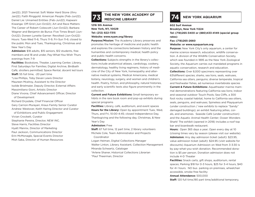Jan22); 2021 Triennial: Soft Water Hard Stone (thru Jan22); Faith Ringgold: American People (Feb-Jun22); Daniel Lie: Unnamed Entities (Feb-Jun22); Kapwani Kiwanga: Off-Grid (Jun-Oct22); Art and Race Matters: The Career of Robert Colescott (Jun-Oct22); Barbara Wagner and Benjamin de Burca: Five Times Brazil (Jun-Oct22); Doreen Lynette Garner: Revolted (Jun-Oct22) Hours: Tues-Wed 11-6, Thurs 11-9, Fri-Sun 11-6; closed to the public Mon and Tues, Thanksgiving, Christmas and New Year's Day

**Admission:** \$18 adults, \$15 seniors, \$12 students, free members and 18 and under, Pay-What-You-Wish Thurs evenings from 7-9

**Facilities:** Bookstore, Theater, Learning Center, Library, First Saturdays for Families; Digital Archive, Birdbath Café, strollers permitted; Space Rental, docent led tours **Staff:** 55 full time, ~20 part time \*Lisa Phillips, Toby Devan Lewis Director

Maureen Mcelroy, Assistant to the Director

Isolde Brielmaier, Deputy Director, External Affairs Massimiliano Gioni, Artistic Director

Diane Vivona, Chief Advancement Officer, Director of Development

Richard Drysdale, Chief Financial Officer Gary Carrion-Murayari, Kraus Family Senior Curator Andrew Westover, Keith Haring Director and Curator

 of Exhibitions and Public Engagement Vivian Crockett, Curator Stephanie Pereira, Director, NEW INC. Steve Harris, Facilities Director Hyatt Mannix, Director of Marketing Paul Jackson, Communications Director Erin McMonagle, Special Events Director Mish Saka, Director of Human Resources

# **THE NEW YORK ACADEMY OF 73 MEDICINE LIBRARY 74 NEW YORK AQUARIUM**

### **1216 5th Avenue New York, NY, 10029 Tel: (212) 822-7315 Website: www.nyam.org/library**

**Purpose/Mission:** The Academy Library preserves and promotes the heritage of medicine and public health and explores the connections between history and the humanities and contemporary medical, health policy and public health concerns.

**Collections:** Subjects strengths in the library's collections include anatomical atlases, cardiology, cookery, dermatology, healthy living regimens, history of medicine of the City of New York, homeopathy and alternative medical systems, Medical Americana, medical botany, neurology, surgery, and women and children's health. Poetry, fiction, and philosophy, natural histories, and early scientific texts also figure prominently in the collection.

**Current and Future Exhibitions:** Small temporary exhibits in the rare book room and pop-up exhibits during special programs

**Facilities:** Library, café, auditorium, and event spaces **Hours for the Library:** Open by appointment Tues, Wed, Thurs, and Fri, 10:00-4:45; closed Independence Day, Thanksgiving and the following day, Christmas, & New Year's Day

### **Admission:** Free

**Staff:** 67 full time, 12 part time, 2 library volunteers Michele Cole, Team Administrator and Projects Coordinator

Logan Heiman, Digital Collections Manager Walter Linton, Library Assistant, Collection Management Miranda Schwartz, Cataloger

\*Arlene Shaner, Historical Collections Librarian \*Paul Theerman, Director

**602 Surf Avenue Brooklyn, New York 11224 Tel: (718)265-3400 or (880)433-4149 (special group rates)**

### **Fax: (718)265-2660**

### **Website: or www.nyaquarium.org**

**Purpose:** New York City's only aquarium, a center for marine science research, education, wildlife conservation. A division of the Wildlife Conservation Society, which was founded in 1895 as the New York Zoological Society, the Aquarium carries out mandated programs in aquatic conservation, research and education. **Collections:** Over 8,000 specimens representing over 631different species; sharks, sea lions, seals, walruses, California sea otters, penguins; diverse temperate, tropical and freshwater fishes, ad numerous invertebrate species **Current & Future Exhibitions:** Aquatheater marine mammal demonstrations featuring California sea lions; indoor and seasonal outdoor Touch Pools; Sea Cliffs, a 300 foot rocky coastal habitat, home to California sea otters, seals, penguins, and walruses; Spineless and Playquarium (under construction / new exhibits to replace "Sandy" damaged buildings); an exhibit featuring jellies, corals, and anemones. Seaside Café (under construction) and the Aquatic Animal Health Center; Ocean Wonders Shark! The exhibit (opened in 2018) includes a roof top bar and boardwalk restaurant.

**Hours:**  Open 365 days a year; Open every day at 10 (closing times vary by season (please visit our website). **Admission:** Any day admission ticket (adult): \$23.95, value admission ticket (adult): \$24.95 (visit website for discounts) Aquarium Admission on Wed from 3-3:30 is by pay-what-you-wish donation. Recommended donation is \$5 per person. Donation admission does not include 4-D Theater

**Facilities:** Snack carts, gift shops, auditorium, rental spaces; Parking \$18 for 0-3 hours, \$25 for 3-4 hours, \$40 for 4+ hours. NO bus parking on premises, wheelchair accessible, smoke free facility

### **Annual Attendance:** 500,000

**Staff:** 120 full time,190 part time/additional temporary,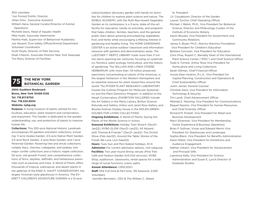300 volunteer \*Jon Forrest Dohlin, Director Jillian Ortiz , Executive Assistant William Hana, General Curator/Director of Animal Operations Michelle Davis, Head of Aquatic Health Mike Hyatt, Associate Veterinarian Martha Hiatt, Supervisor of Behavioral Husbandry Joe Gessert, Dive Safety Officer/Animal Department Volunteer Coordinator Scott Doyle, Director of Park Services Noah Chesnin, Associate Director New York Seascape Tim Macy, Director of Facilities



## **THE NEW YORK 75 BOTANICAL GARDEN**

### **2900 Southern Boulevard Bronx, New York 10458-5126 Tel: 718.817.8700 Fax: 718.220.6504 Website: nybg.org**

**Purpose:** A living museum of plants utilized for horticulture, education, plant research and conservation, and enjoyment. The Garden is dedicated to the greater understanding, use, and protection of plants to improve human life.

**Collections:** This 250-acre National Historic Landmark encompasses 50 gardens and plant collections, including: 11-acre Azalea Garden, 3.5-acre Native Plant Garden, 2.5-acre Rock Garden, 2-acre Rose Garden, and 1-acre Perennial Garden; flowering tree and shrub collections, notably lilacs, cherries, crabapples, and azaleas; two major conifer collections and a historic maple collection; 50-acre, old-growth Forest; and comprehensive collections of ferns, daylilies, daffodils, and herbaceous perennials such as peonies and irises. A World of Plants offers thousands of tropical, subtropical, and desert plants in the galleries of the ENID A. HAUPT CONSERVATORY, the largest Victorian-style glasshouse in America. The EV-ERETT CHILDREN'S ADVENTURE GARDEN is a 12-acre

indoor/outdoor discovery garden with hands-on activities for children to explore plant science and nature. The EDIBLE ACADEMY, with the Ruth Rea Howell Vegetable Garden as its centerpiece, is a 3-acre, state-of-the-art facility for education, hands-on activities, and programs that helps children, families, teachers, and the general public learn about growing and preparing vegetables, fruit, and herbs while encouraging a lifelong interest in gardening and healthy living. The HOME GARDENING CENTER is an active outdoor classroom and information resource with gardens and demonstration areas. The LuESTHER T. MERTZ LIBRARY holds more than 11 million items spanning ten centuries, focusing on systematics, floristics, plant ecology, horticulture, and the history of gardening. The WILLIAM AND LYNDA STEERE HERBARIUM, with more than 7.8 million preserved specimens concentrating on plants of the Americas, is the largest herbarium in the Western Hemisphere and an essential resource for plant researchers around the world. The PFIZER PLANT RESEARCH LABORATORY houses the Cullman Program for Molecular Systematics and the Plant Genomics Program. In addition to the Haupt Conservatory, EXHIBITION GALLERIES include the Art Gallery in the Mertz Library, Britton Science Rotunda and Gallery, Arthur and Janet Ross Gallery, and Bourke-Sullivan Display House in the NOLEN GREEN-HOUSES FOR LIVING COLLECTIONS.

**Ongoing Exhibitions:** A World of Plants; Saving the Plants of the World: Science in Action.

**Seasonal Exhibitions:** Holiday Train Show® (Nov21– Jan22); NYBG GLOW (Nov21–Jan22); All Aboard with Thomas & Friends™ (Dec21–Jan22); The Orchid Show (Feb–Apr22); Around the Table: Stories of the Foods We Love (Jun-Sept22)

**Hours:** Tues–Sun and Mon federal holidays, 10–6 **Admission:** For current admission options, visit nybg.org **Facilities:** Two year-round dining venues (Pine Tree Café and Hudson Garden Grill [full service]), NYBG Shop, auditorium, classrooms, rental spaces for a wide range of social functions, scenic paths

**Annual Attendance:** 1,000,000+

**Staff:** 554 Full-time & Part-time, 135 Seasonal, 2,035 Volunteers

\*Jennifer Bernstein., CEO & The William C. Steere

 Sr. President J.V. Cossaboom, Director of the Garden Lauren Turchio, Chief Operating Officer Michael J. Balick, Ph.D., Vice President for Botanical Science, Director and Philecology Curator of the Institute of Economic Botany Aaron Bouska, Vice President for Government and Community Relations James S. Boyer, Ph.D., Stavros Niarchos Foundation Vice President for Children's Education Barbara Corcoran, Vice President for Education Chris Pires, Rupert C. Barneby Dean of the International Plant Science Center ("IPSC") and Chief Science Officer Todd A. Forrest, Arthur Ross Vice President for Horticulture and Living Collections Sarah Gillman, Chief Financial Officer Ursula Dean Hoskins, R.L.A., Vice President for Capital Planning, Construction and Operations & Chief Sustainability Officer Justin Jamail, General Counsel Christian Keck, Vice President for Information Technology & Security Tim Landi, Chief Advancement Officer Melinda E. Manning, Vice President for Communications Raquel Nazario, Vice President for Human Resources and Chief Diversity Officer Richard M. Pickett, Vice President for Retail and Business Development Marci Silverman, Vice President for Membership, Visitor Experience & Business Operations Brian P. Sullivan, Vivian and Edward Merrin Vice President for Glasshouses and Landscape Sophia Black, Vice President for Benefits Administration Karen Matsil, Vice President for Exhibitions and Audience Engagement Nathan Urbach, Vice President for Advancement and Principal Gifts Lawrence Kelly, Vice President for Science Administration and Susan E. Lynch Director of Graduate Studies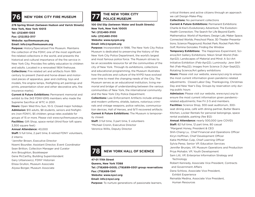

## **76 NEW YORK CITY FIRE MUSEUM**

**278 Spring Street (between Hudson and Varick Streets) New York, New York 10013 Tel: (212)691-1303 Fax: (212)352-3117 Website: nycfiremuseum.org Email: info@nycfiremuseum.org**

**Purpose:** History/Specialized Fire Museum. Maintains the collection of the FDNY, one of the most significant fire-related collections in the world, and presents the historical and cultural importance of the fire service in New York City. Provides fire safety education to children and adults. Located in a renovated 1904 firehouse. **Collections:** Fire related art and artifacts from 18th century to present (hand-and horse-drawn and motorized pieces of apparatus, gear and clothing, toys and models, fire engine lamps, firefighting art paintings and prints, presentation silver and other decorative arts, fire insurance marks).

**Current & Future Exhibitions:** Permanent memorial and exhibit to the 343 FDNY-EMS members who made the Supreme Sacrifice at WTC in 2001.

**Hours:** Open Wed thru Sun, 10-5. Closed major holidays **Admission:** \$10 adults, \$8 students, seniors and firefighters (non-FDNY), \$5 children; group rates available for groups of 15 or more. Please visit www.nycfiremuseum.org. **Facilities:** Gift Shop, space rental (third floor loft spans 3,300 square feet)

### **Annual Attendance:** 40,000

**Staff:** 5 full time, 2 part time, 6 retired FDNY volunteers, 2 interns

\*Jennifer Brown, Executive Director Noemi Bourdier, Assistant Director, Event Coordinator Sean Britton, Collection Manager and Curator Ann Broughton, Bookkeeper Gene McCarthy, Building Superintendent Gary Urbanowicz, FDNY Historian Elissa Grullon, Museum Associate Alyssa Borger, Museum Associate

# **THE NEW YORK CITY 77 POLICE MUSEUM**

**100 Old Slip (between Water and South Streets) New York, New York 10005 Tel: (212)480-3100 Info: (212)480-3100 Website: www.nycpm.org Email: info@nycpm.org**

**Purpose:** Incorporated in 1998, The New York City Police Museum is dedicated to preserving the history of the New York City Police Department, the world's largest and most famous police force. The Museum strives to be an accessible resource for all the communities of the city of New York. Through its exhibitions, collections and educational programming, the Museum illustrates how the policies and culture of the NYPD have evolved over time to meet the changing needs of the City. The Museum serves as an educational institution, living memorial and bridge of understanding between the various communities of New York, the international community and the New York City Police Department.

**Collections:** Law Enforcement Artifacts include antique and modern uniforms, shields, batons, notorious criminals and vintage weapons, police vehicles, communication devices, Hall of Heroes, and 9/11 recovered artifacts **Current & Future Exhibitions:** The Museum is temporarily closed.

**Staff:** 3 full time, 3 part time, 5 volunteers \*Michael Cronin, Executive Director Veronica Willis, Deputy Director



**47-01 111th Street Queens, New York 11368 Tel: (718)699-0005; (718)699-0301 group reservations Fax: (718)699-1341 Website: www.nysci.org Email: info@nysci.org Purpose:** To nurture generations of passionate learners,

critical thinkers and active citizens through an approach we call Design-Make-Play.

**Collections:** No permanent collections

**Current & Future Exhibitions:** Permanent Exhibitions: Charlie & Kiwi's Evolutionary Adventure; The Evolution-Health Connection; The Search for Life Beyond Earth; Mathematica: World of Numbers; Design Lab; Maker Space; Connected Worlds; Preschool Place; 3D Theater Presentations; Science Playground; Rocket Park; Rocket Park Mini Golf; Romina Gonzales: Finding the Window

**Temporary Exhibitions:** The Happiness Experiment; Science/Art Gallery Exhibitions: Nikon Small World (Feb-Apr22); Landscapes of Material and Mind: A Sci-Art Initiative Exhibition (Feb-Apr22); Luminosity: Jenn Shifflet (Feb-May22); Images from Science 3 (Apr-Sept22); Rotating Science/Art gallery exhibitions

**Hours:** Please visit our website, www.nysci.org to ensure the most current information given pandemic-related adjustments. Closed Labor Day, Thanksgiving, Christmas Day and New Year's Day. Groups by reservation only during public hours

**Admission:** Please visit our website, www.nysci.org to ensure the most current information given pandemicrelated adjustments; free Fri 2-5 and members.

**Facilities:** Science Shop, 300-seat auditorium, 300 seat dining area, café with dining partner, Butter Beans Kitchen, Locker Rentals for personal belongings, space rental available, parking (fee \$12)

**Annual Attendance:** nearly 500,000 (pre COVID) **Staff:** 82 full time, 12 part time, 80 casual \*Margaret Honey, President & CEO Shih-Chang Lu, Chief Financial and Operations Officer Kiryn Hoffman, Chief Development Officer Katie McMillan Culp, Chief Learning Officer Sylvia Perez, Senior VP, Education Services Jennifer Brunjes, VP, Museum Operations and Production Priya Mohabir, VP, Youth Development Sam Litt, VP, Enterprise Information Strategy and Technology Robert Kennedy, Associate Vice President, Contracts and Government Affairs Dana Schloss, Associate Vice President, Exhibit Experience Reinalda Medina, Associate Vice President, Human Resources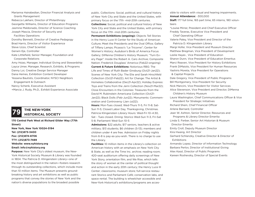Marianna Hairabedian, Director Financial Analysis and Grants Management Rebecca Lakhani, Director of Philanthropy Georgette Williams, Director of Education Programs Jasmine Maldonado, Director of Science Coaching Joseph Mascia, Director of Security and Facilities Operations Dorothy Bennett, Director of Creative Pedagogy Brad Harris, Director of Visitor Experience Steve Uzzo, Chief Scientist Gerwin Eje, Controller Kate Littlefield, Senior Manager, Foundation and Corporate Relations Amy Hsiao, Manager, Individual Giving and Stewardship Layca Umer, Manager, Research, Exhibits, & Programs Danny Loi, Creative Design Service Manager Dana Hemes, Exhibition Content Developer Yessena Bautists, Coordinator, NYSCI Neighbors Engagement & Outreach Nancy Schenk, Executive Assistant

+Marcia J. Rudy, Ph.D., Exhibit Experience Associate

# **THE NEW-YORK 79 HISTORICAL SOCIETY**

**170 Central Park West at Richard Gilder Way (77th Street) New York, New York 10024-5194 Tel: (212)873-3400 Fax: (212)874-8706 TTY: (212)873-7489 Website: www.nyhistory.org Email: info@nyhistory.org Purpose:** New York City's oldest museum, the New-York Historical Society Museum & Library was founded in 1804. The Patricia D. Klingenstein Library—one of

the most distinguished in the nation—fosters research through its outstanding collections, which include more than 10 million items. The Museum presents groundbreaking history and art exhibitions as well as public programs that convey the stories of New York and the nation's diverse populations to the broadest possible

public. Collections: Social, political, and cultural history of New York City and State and the United States, with primary focus on the 17th -mid-20th centuries.

**Collections:** Social, political and cultural history of New York City and State and the United States, with primary focus on the 17th -mid-20th centuries.

**Permanent Exhibitions (ongoing):** Objects Tell Stories in the Henry Luce III Center for the Study of American Culture; Meet the Presidents and the Oval Office; Gallery of Tiffany Lamps; Picasso's "Le Tricorne"; Center for Women's History; Audubon's Birds of America Focus Gallery; DiMenna Children's History Museum; "Turn Every Page": Inside the Robert A. Caro Archive; Composite Nation: Frederick Douglass' America (Feb22-ongoing) **Current & Future Exhibitions:** Notorious RBG: The Life and Times of Ruth Bader Ginsburg (Oct21-Jan22); Scenes of New York City: The Elie and Sarah Hirschfeld Collection (Oct21-Feb22); Art for Change: The Artist & Homeless Collaborative (Dec21-Apr22); Holiday Express: Toys and Trains from the Jerni Collection (Nov21-Mar22); Close Encounters in the Colonies: Treasures from the David M. Rubinstein Americana Collection (Oct21-

Jan22); Black Dolls (Feb-Jun22); Monuments: Commemoration and Controversy (Jan-Jul22);

**Hours:** Mon-Tues closed; Wed-Thurs 11-5, Fri 11-8; Sat-Sun 11-5; Closed Labor Day, Thanksgiving, Christmas. Patricia Klingenstein Library Hours: Wed-Fri 10–4:30, Sat - Tues closed. Dining: Storico Wed-Sun 11-3, Fri-Sat 5-8; Parliament Wed-Sun 10-5

**Admissions:** \$22 adults; \$17 seniors, teachers & active military; \$13 students; \$6 children (5-13); members and children under 4 are free. Admission on Friday nights from 6-8 is pay-as-you-wish. There is no charge to use the Library.

**Facilities:** 10 million items in the Library's collection on American history with an emphasis on New York City & State, as well as the Time Inc. archive; reading room; 420-seat auditorium offering daily screenings of New York Story, orientation film, and We Rise, which tells the story of women at the center of political thought and action in the early 20th century; the Henry Luce III Center; classrooms; museum store; full-service restaurant Storico and Parliament Café; conservation labs, and space rental. The building is wheelchair accessible and New-York Historical's exhibitions/programs are accessible to visitors with visual and hearing impairments. **Annual Attendance:** ~300,000

**Staff:** 177 full time, 165 part time, 65 interns, 180 volunteers

\*Louise Mirrer, President and Chief Executive Officer Freddy Taveras, Executive Vice President and

 Chief Operating Officer Valerie Paley, Vice President and Director of the

 Patricia D. Klingenstein Library Margi Hofer, Vice President and Museum Director Matthew Bregman, Vice President of Development Leslie Hayes , Vice President of Education Sharon Dunn, Vice President of Education Emeritus Marci Reaven, Vice President for History Exhibitions Frank DiMaiolo, Vice President for Human Resources Yashiris Moreta, Vice President for Operations & Capital Projects

Dale Gregory, Vice President of Public Programs Bill Montgomery, Vice President for Security Nick Mancini, Vice President for Visitor Services Alice Stevenson, Vice President and Director, DiMenna

 Children's History Museum Laura Washington, Chief Communications Officer & Vice President for Strategic Initiatives Richard Shein, Chief Financial Officer Arlene Barnard, Controller Jean W. Ashton, Senior Director, Resources and Programs & Library Director Emerita Linda S. Ferber, Senior Art Historian & Museum Director Emerita Emily Croll, Deputy Museum Director Kira Hwang, Art Director Gerhard Schlanzky, Creative Director & Director of Exhibitions Armando Lopez, Director of Information Technology Barbara Perlov, Director of Institutional Giving

Alex Kassl, Director of Public Programs

Kareen Roshevsky, Director of Special Events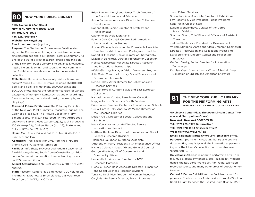### **80 NEW YORK PUBLIC LIBRARY**

**Fifth Avenue & 42nd Street New York, New York 10018-2788 Tel: (917)275-6975 Fax: (212)869-3567 Website: www.nypl.org Email: mattknutzen@nypl.org Purpose:** The Stephen A. Schwarzman Building, de-

signed by Carrere and Hastings is considered a beaux arts masterpiece and is a National Historic Landmark. As one of the world's great research libraries, the mission of the New York Public Library is to advance knowledge, inspire lifelong learning, and strengthen our communities. Exhibitions provide a window to the important collections.

**Collections:** Humanities (especially history, literature and art) (circa 45,000,000 items including 16,000,000 books and book-like materials, 300,000 prints and 500,000 photographs; the remainder consists of various categories of non-print items, such as audio recordings, films, videotapes, maps, sheet music, manuscripts, and clippings)

**Current & Future Exhibitions:** The Polonsky Exhibition of the New York Public Library's Treasures Ongoing; The Color of a Flea's Eye: The Picture Collection (Taryn Simon) (Sept21-May22); INterSects: Where Arthropods and Homo Sapiens Meet (Jan21-Aug22); Jack Kerouac at 100 (Mar-Apr22); Andrew Barba (Apri22); Fortune and Folly in 1720 (Sept22-Jan23)

**Hours:** Mon, Thurs, Fri, and Sat 10-6, Tues & Wed 10–8, Sun 1-5 (Sept–May)

**Admission:** Free, except for LIVE from the NYPL programs: \$25-\$40 General Admission

**Facilities:** Gift Shop; 500-seat auditorium; space rental; 7 exhibition galleries; South Court/Celeste Bartos Education Center with orientation theater, training rooms and 177-seat auditorium

**Annual Attendance:** 3,369,379 visitors in 2018; n/a 2020 and 2021

**Staff:** Research Centers: 432 employees, 300 volunteers. The Branch Libraries: 1,335 employees, 933 volunteers Tony Ageh, Chief Digital Officer

Brian Bannon, Merryl and James Tisch Director of

the Branch Libraries and Education

Jason Baumann, Associate Director for Collection Development

Daphna Blatt, Senior Director of Strategy and Public Impact

Catherine Blauvelt, Librarian III

Paloma Celis Carbajal, Curator, Latin American, Iberian and Latino Studies

Joshua Chuang, Miriam and Ira D. Wallach Associate Director for Art, Prints, and Photographs, and the Robert B. Menschel Senior Curator of Photography Elizabeth Denlinger, Curator, Pforzheimer Collection Melissa Gasparotto, Associate Director, Research and Institutional Partnerships

+Keith Glutting, Manager, Visitor Volunteer Program Julia Golia, Curator of History, Social Sciences, and Government Information

Denise Hibay, Astor Director for Collections and Research Services

Bogdan Horbal, Curator, Slavic and East European Collections

Michael Inman, Curator, Rare Books Collection Maggie Jacobs, Director of Youth Services

Brian Jones, Director, Center for Educators and Schools

\*Dr. William P. Kelly, Andrew W. Mellon Director of the Research Libraries

Declan Kiely, Director of Special Collections and Exhibitions

Kasia Kowalska, Associate Director, Service Innovation and Impact

Matthew Knutzen, Director of Humanities and Social Sciences Research Divisions

+Rebecca Laughner, Curatorial Associate

\*Anthony W. Marx, President & Chief Executive Officer

Michele Coleman Mayes, VP and General Counsel

George Mihaltses, VP of Government and Community Affairs

Heide Miklitz, Assistant Director for NYPL

Research Materials

Michelle Misner, Rose Associate Director, Humanities and Social Sciences Research Divisions

Terrance Neal, Vice President of Human Resources Caryl Matute, Senior Director, Branch Libraries

and Patron Services

- Susan Rabbiner, Associate Director of Exhibitions
- Fay Rosenfeld, Vice President, Public Programs
- Sam Rubin, Chief of Staff

Lyudmila Sholokhova, Curator of the Dorot Jewish Division

Shannon Sharp, Chief Financial Officer and Assistant Treasurer

Jadrien Steele, Vice President for Development

William Stingone, Aaron and Clara Greenhut Rabinowitz

Director, Preservation and Collections Processing

Dana Sunshine, Director, Capital and Real Estate Initiatives

Garfield Swaby, Senior Director for Information **Technology** 

Carolyn Vega, Curator, Henry W. and Albert A. Berg Collection of English and American Literature

# **81**

## **THE NEW YORK PUBLIC LIBRARY FOR THE PERFORMING ARTS**

DOROTHY AND LEWIS B. CULLMAN CENTER

**40 Lincoln Center Plaza (between Lincoln Center Theater and Metropolitan Opera) New York, New York 10023-7498 Tel: (917) 275-6975 (information) Tel: (212) 870-1603 (museum office) Website: www.nypl.org/lpa**

**Email: caitlinwhittington@nypl.org (museum office) Purpose:** A prominent circulating library and archive documenting creativity in all the international performing arts, the Library's collections now number over 9,000,000 items.

**Collections:** All areas relating to performing arts – drama, music, opera, symphonic, pop, jazz, ballet, modern dance, theater, performance art, film, radio, television, recorded sound, and many other areas of popular entertainment.

**Current & Future Exhibitions:** Limón: Identity and Diplomacy- The Mestizo as Ambassador (thru Mar22); Lou Reed: Caught Between the Twisted Stars (Mar-Aug22);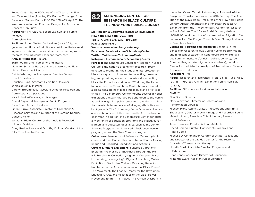Focus Center Stage: 50 Years of the Theatre On Film and Tape Archive (Apr-Aug22); Border Crossings: Exile, Race, and Modern Dance,1900-1946 (Nov22-Apr23); The Wondrous Willa Kim: Costume Designs for Actors and Dancers (Feb-Jun23)

**Hours:** Mon-Fri 10:30-6, closed Sat, Sun, and public holidays

### **Admission:** Free

**Facilities**: Bruno Walter Auditorium (seats 202), two galleries, two floors of additional corridor galleries, reading room exhibition spaces, film/video screening room, technical training center, seminar room, cafe

### **Annual Attendance:** 451,937

**Staff:** 192 full time, part time, and interns \*Jennifer Schantz, Barbara G. and Lawrence A. Fleischman Executive Director Caitlin Whittington, Manager of Creative Design and Exhibitions Christine Rung, Assistant Exhibition Designer James Joughin, Installer Carolyn Broomhead, Associate Director, Research and Administrative Operations Nick Spinella-Karalexis, AV Manager Cheryl Raymond, Manager of Public Programs Ryan Ervin, Artistic Producer Linda Murray, Associate Director of Collections & Research Services and Curator of the Jerome Robbins Dance Division Jonathan Hiam, Curator of the Music & Recorded Sound Division Doug Reside, Lewis and Dorothy Cullman Curator of the Billy Rose Theatre Division



## **SCHOMBURG CENTER FOR RESEARCH IN BLACK CULTURE, THE NEW YORK PUBLIC LIBRARY**

**515 Malcolm X Boulevard (corner of 135th Street) New York, New York 10037-1801 Tel: (917) 275-6975, (212) 491-2218 Fax: (212)491-6760 Website: www.schomburgcenter.org Facebook: Facebook.com/SchomburgCenter Twitter: Twitter.com/SchomburgCenter Instagram: Instagram.com/SchomburgCenter Purpose:** The Schomburg Center for Research in Black

Culture is the nation's preeminent research library devoted to promoting the study and interpretation of black history and culture and to collecting, preserving, and providing access to materials documenting black life. From its founding in 1925 during the Harlem Renaissance, the Schomburg Center has also served as a global focal point of black intellectual and artistic activities. The Schomburg Center mounts several in-house exhibitions annually that are free and open to the public, as well as engaging public programs to make its collections available to audiences of all ages, ethnicities and backgrounds. The Schomburg Center's online collection and exhibitions reach thousands in the U.S. and abroad each year. In addition, the Schomburg Center conducts a wide range of education programs and initiatives for learners and educators of all ages, such as the Junior Scholars Program, the Scholars-in-Residence research program, as well the Teen Curators program. **Collections:** Research and Reference; Manuscripts, Archives and Rare Books; Photographs and Prints; Moving Image and Recorded Sound; Art and Artifacts. **Current & Future Exhibitions:** Syncretic Vibrations: Exploring the Mosaic of Blackness Through the Melville Herskovits Collection (ongoing); Crusader: Martin Luther King, Jr. (ongoing). Digital Schomburg Online Exhibitions: Black New Yorkers; Revisiting Rebellion: Nat Turner in the American Imagination; Black Power!

The Movement, The Legacy; Ready for the Revolution: Education, Arts, and Aesthetics of the Black Power Movement; Emmitt Till Project; The African Diaspora in

the Indian Ocean World; Africana Age: African & African Diasporan Transformations in the 20th Century; The Abolition of the Slave Trade; Treasures of the New York Public Library; African Americans and American Politics: An Exhibition from the The Schomburg Center for Research in Black Culture; The African Burial Ground; Harlem: 1900-1940; In Motion: the African-American Migration Experience; Lest We Forget: Triumph Over Slavery; Malcolm X: Search for Truth

**Education Programs and Initiatives:** Scholars-in Residence (for research fellows), Junior Scholars (for middle and high school students), Schomburg-Mellon Humanities Summer Institute (for rising college seniors), Teen Curators Program (for high school students), Lapidus Center for the Historical Analysis of Transatlantic Slavery (for research fellows)

### **Admission:** Free

**Hours:** Research and Reference - Mon 12-5:45, Tues, Wed, 12-7:45, Thurs–Sat 10-5:45 (Exhibitions only: Mon-Sat, 10-5:45)

**Facilities:** Gift shop, auditorium, rental space **Staff:** 75

\*Joy Bivins, Director

Mary Yearwood, Director of Collections and Information Services Michael Mery, Acting Curator, Photographs and Prints Shola Lynch, Curator, Moving Image and Recorded Sound

Maira I. Liriano, Associate Chief Librarian, Research and Reference

Tammi Lawson, Curator, Art and Artifacts

Cheryl Beredo, Curator, Manuscripts, Archives and Rare Books

Michelle D. Commander, Curator of Digital Collections and Director of the Lapidus Center for the Historical Analysis of Transatlantic Slavery

Novella Ford, Associate Director, Programs and Exhibitions

Brian Jones, Associate Director of Education +Rhonda Evans, Assistant Chief Librarian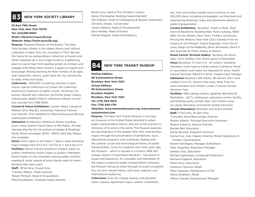

## **83 NEW YORK SOCIETY LIBRARY**

**53 East 79th Street New York, New York 10075 Tel: (212)288-6900 Email: reference@nysoclib.org Website: https://www.nysoclib.org/**

**Purpose:** Purpose/Mission of Institution: The New York Society Library is the oldest library and cultural institution in New York City, founded in 1754. We are the home for an extraordinary collection of books and other materials all in one single location; a gathering place to see & hear from leading writers & scholars and engage with fellow New Yorkers; a space to inspire and encourage lifelong learning for New Yorkers of all ages; and a beautiful, serene, quiet oasis for our community to read, write and study.

**Collections:** ~300,000 circulating volumes in open stacks; special collections incl Green Art Collection, Hammond Collection of gothic novels, Winthrop Collection, Sharaff-Sze collection, Da Ponte Italian Library, manuscripts, digital historic collections (library circulation records from 1789-1805)

**Current & Future Exhibitions:** Current: Black Literature Matters (thru May22); Upcoming: Fabulous Fashion (Jun-Dec22). Prior exhibitions: https://www.nysoclib.org/ events/past-exhibitions

**Admission:** Exhibitions, Reference Room, building tours, many events Free & Open to the Public. Annual membership fee for Circulation privileges & Reading/ Study Room privileges (\$100 - \$350); \$20 Day Passes also available

**Hours:** Hours Open to the Public: 7 days a week excluding major holidays Mon & Fri 9-5; Tue-Thu 9–7; Sat & Sun 11–5 **Facilities:** Peluso Family Exhibition Gallery (open to public); Reference Room (open to public); Members Room (open to non-members during public events); reading & study spaces & book stacks open to membersand day pass users

**Staff:** 18 full time, 16 part time \*Carolyn Waters, Head Librarian Steven McGuirl, Head of Acquisitions Meg Donabedian, Assistant Head Librarian Randi Levy, Head of the Children's Library Henry Christopher, Building Superintendent Peri Pignetti, Head of Cataloguing & Special Collections Christina Amato, Conservator James Addona, Head of Development Sara Holiday, Head of Events Harriet Shapiro, Head of Exhibitions

## **84 NEW YORK TRANSIT MUSEUM**

l

**Mailing Address: 99 Schermerhorn Street Brooklyn, New York 11201 Actual Address: 99 Schermerhorn Street, Brooklyn Heights Brooklyn, New York 11201 Tel: (718) 694-1600 Fax: (718) 694-1791 Websites: www.nytransitmuseum.org, www.nytransitmuseumstore.com** 

**Purpose:** The New York Transit Museum is the largest museum in the United States devoted to urban public transportation history and one of the premier institutions of its kind in the world. The Museum explores the development of the greater New York metropolitan region through the presentation of exhibitions, tours, educational programs and workshops dealing with the cultural, social and technological history of public transportation. Since its inception over forty years ago, the Museum – which is housed in a historic 1936 IND subway station in Downtown Brooklyn – has grown in scope and popularity. As custodian and interpreter of the region's extensive public transportation networks, the Museum strives to share through its public programs this rich and vibrant history with local, regional, and international audiences

**Collections:** Over 20 vintage subway and elevated trains; subway equipment; signs; ceramic ornaments; bus, train and trolley models and an archive of over 250,000 items including photographs, architectural and engineering drawings, maps and ephemera related to public transportation

**Current Exhibitions:** Brooklyn: Ticket to Ride, Steel Stone & Backbone: Building New York's Subway, 1900– 1925; On the Streets: New York's Trolley's and Buses; Moving the Millions: New York City's Subway From its Origins to the Present; Transit Etiquette, From the Archive, Reign of the Redbirds; Silent Witnesses: Pierre P. and Granville W. Pullis; Poetry in Motion.

**Grand Central Terminal Gallery:**  Building the Bronx (Apr- Oct); Holiday Train Show opens in November **Hours:** Brooklyn: Fri-Sun 11-4. All visitors, including members, must reserve tickets online in advance. Proof of vaccination and masks are required for entry. Grand Central Terminal: Wed-Fri 11:30-6; Closed major holidays **Admission:** Brooklyn: \$10 Adults, \$5 Seniors (62+) and children (2 to 17), Seniors free every Wed; Free museum members and children under 2; Grand Central Terminal: Free

**Facilities:** 1936 subway station; galleries (Brooklyn & Manhattan - GCT); auditorium; education center; facility and birthday party rentals; New York Transit museum stores (Brooklyn and Grand Central Terminal) **Annual Attendance:** Brooklyn and Grand Central: **Staff:** 17 full time, 20 part time \*Concetta Anne Bencivenga, Director Sharon Adams, Principal Executive Secretary Regina Asborno, Deputy Director Brooke Bell, Education Daniel Brenner, Research Archivist Sylvia Cruz, Asst. Deputy Director, Retail Operations & Product Development Robert Del Bagno, Manager, Exhibitions Polly Desjarlais, Education Manager Genesis Diaz, Education Michael Egermayer, Curatorial/Collections Ramona Fagbore, Education Marie Fazio, Education Clarence FilsAime, Retail Peter Giannino, Maintenance (CTA) Hilary Goldstein, Retail Allison Grandy, Development Manager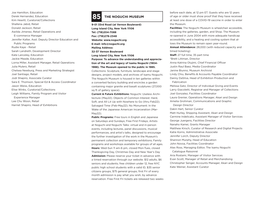Joe Hamilton, Education Derek Hernandez, Education Kim Hewitt, Curatorial/Collections Shallena Jabid, Retail Donald Jackson, Retail Awilda Jimenez, Retail Operations and E-commerce Manager Jennifer Kalter, Asst. Deputy Director Education and Public Programs Rudie Kaye - Retail Sarah Landreth, Development Director Kate Lanceley, Education Jackie Meade, Education Lorna Miller, Assistant Manager, Retail Operations Julia Mulero, Retail Chelsea Newburg, Press and Marketing Strategist Joel Santiago, Retail Jodi Shapiro, Associate Curator Sara E. Thomson, Special Ed & Access Coordinator Jason Weiss, Education Elise Winks, Curatorial/Collections Leigh Williams, Family Program and Visitor Experience Manager Lee Chu Woon, Retail Harriet Shapiro, Head of Exhibitions

## **85 THE NOGUCHI MUSEUM**

**9-01 33rd Road (at Vernon Boulevard) Long Island City, New York 11106 Tel: (718)204-7088 Fax: (718)278-2348 Website: www.noguchi.org E-mail: info@noguchi.org Mailing Address: 32-37 Vernon Boulevard Long Island City, New York 11106 Purpose: To advance the understanding and appreciation of the art and legacy of Isamu Noguchi (1904- 1988). The Museum opened to the public in 1985.** Collections: Sculpture, furniture, landscape and stage designs, project models, and archives of Isamu Noguchi. The Noguchi Museum is housed in ten galleries within

containing major granite and basalt sculptures (27,000 sq ft of gallery space). **Current & Future Exhibitions:** Noguchi: Useless Architecture (May22); Objects of Common Interest: Hard, Soft, and All Lit Up with Nowhere to Go (thru Feb22); Salvaged Time (Feb-May22); No Monument: In the Wake of the Japanese American Incarceration (Mar-

a converted factory building and encircles a garden

May22); **Public Programs:** Free tours in English and Japanese on Saturdays and Sundays; Free First Fridays; Artists at Noguchi and Noguchi Talks: virtual and in-person events, including lectures, panel discussions, musical performances, and artist's talks, designed to encourage the further investigation of the work in the Museum's permanent collection and temporary exhibitions; Family programs and workshops available for groups of all ages. **Hours:** Wed-Sun 11 am-6 pm, closed Mon-Tues, closed Thanksgiving Day, Christmas Day and New Year's Day **Admission:** Please reserve your ticket in advance with a timed reservation through our website. \$12 adults, \$6 seniors and students; free children under 12, free NYC public high school students with a valid ID, \$35 senior citizens groups, \$75 general groups; first Fri of every month admission is pay what you wish, by advance reservation. Free First Fri tickets are released two weeks before each date, at 12 pm ET. Guests who are 12 years of age or older must show proof that they have received at least one dose of a COVID-19 vaccine in order to enter the Museum.

**Facilities:** The Noguchi Museum is wheelchair accessible, including the galleries, garden, and Shop. The Museum re-opened in June 2004 with more adequate handicap accessibility, and a heating and cooling system that allows the Museum to remain open year-round.

**Annual Attendance:** 28,000 (with reduced capacity and timed ticketing)

**Staff:** 27 full time, 35 part time \*Brett Littman, Director Anna Katrina Olujimi, Chief Financial Officer Justin Raul Baez, Media Coordinator Janine Biunno, Museum Archivist Lindy Chiu, Benefits & Accounts Payable Coordinator Danny DaSilva, Head of Exhibition Production and Fabrication Melissa Gatz, Director of Individual Giving and Events Larry Giacoletti, Registrar and Manager of Collections Joel Gonzalez, Facilities Coordinator Laura Grenier, Operations Manager, Akari and Design Amelia Grohman, Communications and Graphic Design Director Dakin Hart, Senior Curator Matt Hurley, Shipping Assistant, Akari and Design Carmine Indelicato, Assistant Manager of Visitor Services George Juergens, Facilities Director Nanaho Kamei, Grants Manager Matthew Kirsch, Curator of Research and Digital Projects Katie Korns, Administrative Associate Jennifer Lorch, Deputy Director Shannon Murphy, Head of Education John Novoa, Facilities Coordinator Alex Ross, Managing Editor, The Isamu Noguchi Catalogue Raisonné Aria Rostami, Manager of Visitor Services Evan Scott, Manager of Retail and Merchandising Christopher Senger, Accounts Manager, Akari and Design Kate Weiner, Assistant Curator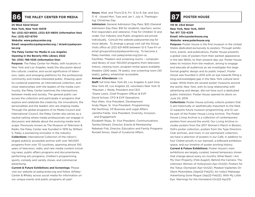

### **25 West 52nd Street**

**New York, New York 10019**

**Tel: (212) 621-6600, (212) 621-6800 (information line) Fax: (212) 621-6700**

### **Website: www.paleycenter.org**

**Email: eesposito@paleycenter.org / dclark@paleycenter.org**

### **The Paley Center for Media in Los Angeles Opening in the Beverly Hills Library 2022 Tel: (310) 786-1025 (information line)**

**Purpose:** The Paley Center for Media, with locations in New York and Los Angeles, leads the discussion about the cultural, creative, and social significance of television, radio, and emerging platforms for the professional community and media-interested public. Drawing upon its curatorial expertise, an international collection, and close relationships with the leaders of the media community, the Paley Center examines the intersections between media and society. The general public can access the collection and participate in programs that explore and celebrate the creativity, the innovations, the personalities and the leaders who are shaping media. Through the global programs of its Media Council and International Council, the Paley Center also serves as a neutral setting where media professionals can engage in discussion and debate about the evolving media landscape. Previously known as The Museum of Television & Radio, the Paley Center was founded in 1976 by William S. Paley, a pioneering innovator in the industry. **Collections:** International Collection of the nation's largest publicly accessible archive with over 160,000 programs from over 70 countries, spanning almost 100 years of television, radio, and new media content including news, public affairs programs and documentaries, performing arts programs, children's programming, sports, comedy and variety shows, and commercial advertising.

**Current & Future Exhibitions and Screenings:** Please visit our website at paleycenter.org and follow @Paley-Center & #Paley across social media for information on our unique events and public programs all year!

**Hours:** Wed. and Thurs.12-6, Fri. 12 to 9, Sat. and Sun. **86** THE PALEY CENTER FOR MEDIA **11-6** closed Mon, Tues and Jan 1, July 4, Thanksgiv-<br>
ing Christmas Day ing, Christmas Day

> **Admission:** General Admission Day Pass: \$20 (General Admission Day Pass: \$16 for students, teachers, senior, first responders and veterans). Free for Children 12 and under. Our Industry and Public programs are priced individually. Consult the website paleycenter.org for more details. To arrange a group visit call the Group Visits office at (212) 621-6616 between 12-5 Tues-Fri or email groupvisitsny@paleycenter.org . To become a Paley member, visit paleycenter.org/join-us. Facilities: Theaters and screening rooms – computerized library of over 150,000 programs from television history, viewing room, program rental space available, theaters (200 seats, 74 seats), one screening room (50 seats), gallery, wheelchair accessible.

### **Annual Attendance:** n/a

**Staff:** full time New York 65, Los Angeles 4; part time New York 45, Los Angeles 22; volunteers New York 12 \*Maureen J. Reidy, President and CEO \*Diane Lewis, Chief Program Officer & EVP David Schoer, CFO & EVP Operations Paul Allen, Vice President, Development Andy Meyer, Sr. Vice President, Programming Pat Northrop, VP Business and Legal Affairs Jamitha Fields, Vice President, Diversity, Inclusion, and Engagement

Elizabeth Rojas, Sr. Vice President, Communications Tamika Etheart, Director, Events & Membership Rebekah Fisk, Director, Education and Family Programs Ronald Simon, Head of Curatorial Affairs

**119 W. 23rd Street New York, New York, 10011 Tel: 917 722-4239 Email: info@posterhouse.org Website: www.poterhouse.org**

**Purpose:** Poster House is the first museum in the United States dedicated exclusively to posters. Through exhibitions, events, and publications, Poster House presents a global view of posters from their earliest appearance in the late 1800s, to their present-day use. Poster House takes its mission from the medium, aiming to engage and educate all audiences as we investigate this large format graphic design and its public impact. Poster House was founded in 2015 with an eye towards filling a long-acknowledged gap in the New York cultural landscape. While there are several poster museums around the world, New York, with its long relationship with advertising and design, did not have such a dedicated public institution. Poster House opened its doors on June 20, 2019.

**Collections:** Poster House actively collects posters that 1) are historically or aesthetically important to the field, 2) supports future museum programming, and 3) can be part of the Poster House Living Archive. The Poster House Living Archive is a collection of contemporary posters from around the world. Our Living Archive includes posters from the 2017 Women's March in Boston, SVA's poster collection, posters from the Type Directors Club archives, and more. In our permanent collection, we have a selection of posters in our Café, in addition to four Chéret proofs in our stairwell, a billboard exhibition space, and our timeline of poster printing history. **Current & Future Exhibitions:** Poster House's main exhibitions are largely curated, loaned temporary shows that change about every six months. Ethel Reed: I Am My Own Property (Feb-Aug22); Behind the Camera: The Unknown Women of Hollywood (Apr-Oct22); Posters for the Tokyo Olympiad (Apr-Oct22); Masked Vigilantes On Silent Motorbikes (Sept22-Feb23); Air India's Maharaja: Advertising Gone Rogue (Sep22-Feb23); With My Little Eye: Warnings for the Homeland (Oct22-Apr23)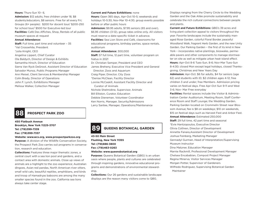### **Hours:** Thurs-Sun 10– 6,

**Admission:** \$12 adults, free children under 18, \$8 students/educators, \$8 seniors. Free for all every Fri; Groups (6+ people): \$200 for docent tour/ \$200-250 for school tour/ \$500 for Executive-led tour **Facilities:** Café Des Affiches, Shop, Rentals of all public museum spaces at request

### **Annual Attendance:**

**Staff:** Full time, part time and volunteer – 35 \*Val Crosswhite, President \*Julia Knight, CEO Angelina Lippert, Chief Curator Ola Baldych, Director of Design & Exhibits Samantha Hirsch, Director of Education Sierra Van Ryck DeGroot, Assistant Director of Education Salvador Munoz, Public Programs Manager Ann Meisel, Client Services & Membership Manager Colin Brady, Director of Operations John F. Lynch, Exhibitions Manager Melissa Walker, Collection Manager

## **88 PROSPECT PARK ZOO**

**450 Flatbush Avenue Brooklyn, New York 11225-3707 Tel: (718)399-7339 Fax: (718)399-7337**

**Website: www.wcs.org, www.prospectparkzoo.org**

**Purpose:** A division of the Wildlife Conservation Society, the Prospect Park Zoo carries out programs in conservation, research and education.

**Collections:** Features three major thematic zones, a central court with a sea lion pool and gardens, and a contact area with domestic animals. Close up views of animals are a highlight to the zoo experience; Australian dingoes, Asian red pandas, North American river otters, small wild cats, beautiful reptiles, amphibians, and birds and troop of Hamadryas baboons are among the many smaller species found in the zoo. California sea lions always take center stage.

### **Current and Future Exhibitions:** none

**Hours:** Open 365 days, Apr-Oct 10-5; weekends and holidays 10-5:30, Nov-Mar 10-4:30, group events possible before or after public hours

**Admission:** \$9.95 adults, \$7.95 seniors (65 and over), \$6.95 children (3-12), group rates online only. All visitors must reserve a date-specific ticket in advance.

**Facilities:** Sea Lion Store and Café, classrooms for educational programs, birthday parties, space rentals, auditorium

### **Annual Attendance:** 300,000

**Staff:** 57 full time, 12 part time, volunteer program on hiatus in 2021 Dr. Christian Semper, President and CEO James Breheny, Executive Vice President and General Director, Zoos and Aquarium Craig Piper, Director, City Zoos \*Denise McClean, Facility Director Lonnie McCaskill, Assistant Facility Director and Curator of Animals Nichole Shelmidine, Supervisor, Animals Bill Elliston, Curator, Education Debbie Dieneman, Volunteer Coordinator Ken Norris, Manager, Security/Admissions

Larry Santee, Manager, Operations/Maintenance



**43-50 Main Street Flushing, New York 11355 Tel: (718)886-3800 Fax: (718)463-0263 Website: www.queensbotanical.org**

**Purpose:** Queens Botanical Garden (QBG) is an urban oasis where people, plants and cultures are celebrated through inspiring gardens, innovative educational programs and demonstrations of environmental stewardship.

**Collections:** Our 26 gardens and sustainable landscape displays are the reason many visitors come to QBG.

Displays ranging from the Cherry Circle to the Wedding Garden and the Oak Allée promote sustainability and celebrate the rich cultural connections between people and plants.

**Current and Future Exhibitions:** QBG's 39 acres and living plant collection appeal to visitors throughout the year. Favorite landscapes include the sustainably managed Rose Garden, colorful Floral Border, peaceful Woodland Walk, fragrant Herb Garden, and the new Unity Garden. Our Parking Garden – the first of its kind in New York – incorporates native plantings, bioswales, permeable pavers and other components to manage stormwater on site as well as mitigate urban heat-island effect. **Hours:** Apr-Oct 8-6 Tues-Sun, 8-6; Nov-Mar Tues-Sun 8-4:30; closed Mon except legal holidays, closed Thanksgiving, Christmas and New Years Day

**Admission:** Apr-Oct: \$6 for adults, \$4 for seniors (age 62) and students with ID; \$2 children ages 4-12; free children 3 and under; free Members. Admission pricing varies on festival days. Free Apr-Oct Sun 9-11 and Wed 3-6; Nov- Mar Free everyday

**Facilities:** Rental spaces include the Visitor & Administration Center Auditorium, Meeting Room, Staff Conference Room and Staff Lounge; the Wedding Garden. Parking Garden located on Crommelin Street near Blossom Avenue; fee is \$8 on weekdays; \$10 on weekends, \$15 on festival days such as Harvest Fest and Arbor Fest. **Annual Attendance:** Estimated 250,000 **Staff:** 29 full time, 42 part time and seasonal \*Evie Hantzopoulos, Executive Director Olivia Cothren, Director of Development Annette Fanara,Assistant Director of Development Joshua Feinberg, Marketing Manager Gennadyl Gurman, Head of Interpretation/Supervising Museum Instructor

Dina Matzner, Education Manager Marnie Rackmill, Professional Development Manager Chelsea Encababian, Compost Project Manager Regina Minerva, Visitor Services Manager Morgan Potter, Supervisor of Gardeners

Wilfredo Rodriguez, Supervising Botanical Garden Maintainer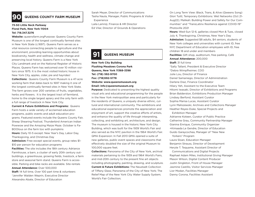

### **90 QUEENS COUNTY FARM MUSEUM**

### **73-50 Little Neck Parkway Floral Park, New York 11004 Tel: 718.347.3276**

**Website:** queensfarm.orgPurpose: Queens County Farm Museum is one of the longest continually farmed sites in New York State (c.1697). Queens Farm serves as a vital resource connecting people to agriculture and the environment, providing learning opportunities about biodiversity, health and wellness, climate change and preserving local history. Queens Farm is a New York City Landmark and on the National Register of Historic Places. Queens Farm has welcomed over 10 million visitors since 1975. It is the most visited historic house in New York City, apples, cider, pie and hayrides!

**Collections:**  Queens County Farm Museum is a 47-acre working farm that dates back to 1697 making it one of the longest continually farmed sites in New York State. The farm grows over 200 varieties of fruits, vegetables, herbs and flowers. It is the largest tract of farmland, home to the single largest apiary and the only farm with a full range of livestock in New York City.

**Current & Future Exhibitions and Programs: Queens** *Current & Future Exhibitions and Programs:* Farm hosts a wide variety of acclaimed education programs, public events and adult education programs. Featured events include the Queens County Fair, Sheep Shearing Festival, Thunderbird American Indian Powwow and the Amazing Maize Maze. October is Fa-BOOlous on the farm too with pumpkins **Hours:** Daily 10-5 except: New Year's Day, Labor Day, Thanksgiving, and Christmas Day

**Admission:** Free except special events, group rates \$1- \$10 per person for education programs

**Facilities:** The site includes the 18th century Adriance Farmhouse, a barn, a cluster of early 20th century outbuildings, a greenhouse, growing fields, livestock, a farm store and seasonal farm stand. Queens Farm is accessible. Parking and bike racks are available. Site rentals **Annual Attendance:** Over 500,000

**Staff:** 14 full time, Over 100 part time & volunteers \*Jennifer Walden Weprin, Executive Director Alexandra Abate, Director of Education

Sarah Meyer, Director of Communications Tasha Naula, Manager, Public Programs & Visitor **Experience** 

Laila Lamniji, Finance & HR Director Ed Vilar, Director of Grounds & Operations

## **91 QUEENS MUSEUM**

**New York City Building Flushing Meadows Corona Park Queens, New York 11368-3398 Tel: (718) 592-9700 Fax: (718)592-5778 Website: www.queensmuseum.org Email: info@queensmuseum.org**

֦

**Purpose:** Dedicated to presenting the highest quality visual arts and educational programming for the people in the New York metropolitan area and particularly for the residents of Queens, a uniquely diverse ethnic, cultural and international community. The exhibitions and educational experiences promote the appreciation and enjoyment of art, support the creative efforts of artists, and enhance the quality of life through interpreting, collecting, and exhibiting art, architecture, and design. The museum is housed in the historic New York City Building, which was built for the 1939 World's Fair and also served as the NYC pavilion in the 1964 World's Fair. QMA Expansion: In Fall 2013 QMA opened a suite of new galleries, public event spaces and classrooms that effectively doubled the size of the original Museum to 100,000 square feet.

**Collections:** Panorama of the City of New York, archival materials pertaining to the 1939 and 1964 World's Fairs, and mid-20th century to the present fine art objects including photography, painting, drawing, and sculpture. **Current & Future Exhibitions:** The Neustadt Collection of Tiffany Glass; Panorama of the City of New York; The Relief Map of the New York City Water Supply System; World's Fair Collection;

On Long Term View: Black, Trans, & Alive (Qweens Song) Glori Tuitt; Temporary Exhibitions: Wet Networks (Oct 21- Aug22); Malikah: Building Power and Safety for Our Communities" and "TransLatinx Resilience against COVID-19" Photoville 2021

**Hours:** Wed-Sun 12-6, galleries closed Mon & Tues, closed July 4, Thanksgiving, Christmas, New Year's Day **Admission:** Suggested \$8 adults, \$4 seniors, students of New York colleges and universities with current ID, free NYC Department of Education employees with ID, free children 18 and under and members **Facilities:** Gift shop, auditorium, free parking, Café **Annual Attendance:** 200,000 **Staff:** 31 full time \*Sally Tallant, President & Executive Director \*Debra Wimpfheimer, COO Julie Lou, Director of Finance Daniel Samaniego, Director of Administration Darlene Diaz, Finance Coordinator Hilary Yeh, Assistant to the Executive Team Hitomi Iwasaki, Director of Exhibitions and Programs Brian Balderston, Exhibitions Production Manager Lindsey Berfond, Assistant Curator Sophia Marisa Lucas, Assistant Curator Lynn Maliszewski, Archives and Collections Manager Heather Reyes-Duke, Special Projects and Exhibition Manager

Adrianne Koteen, Curator of Public Practice Catherine Grau, Community Partnership Manager Gianina Enrique, Community Organizer +Kimaada Le Gendre, Director of Education Guido Garaycochea, Manager of "New New Yorkers" Program

Laura Sloan, Education Manager Benjamin Strauss, Director of Development Heryte T. Tequame, Assistant Director of

 Communications and Digital Projects Raphael Adam Miles, Institutional Giving Manager Mason Wilson, Digital Content Producer Justin Singleton, Front of House Manager Jasmine Castillo, Visitor Services Manager Lior Modan, Facilities Manager Danny Corona, Facilities Assistant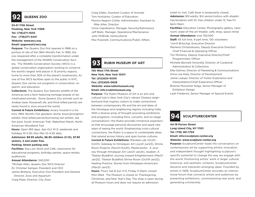

## **92 QUEENS ZOO**

**53-51 111th Street Flushing, New York 11368 Tel: (718)271-1500 Fax: (718)271-4441 Website: www.wcs.org Email: qzgeneral@wcs.org**

**Purpose:** The Queens Zoo first opened in 1968 on a portion of site of the 1964 World's Fair. In 1992, the zoo reopened after a complete transformation under the management of the Wildlife Conservation Society. The Wildlife Conservation Society (WCS) is a global conservation organization working to conserve the world's largest wild places in 15 priority regions, home to more than 50% of the planet's biodiversity. As one of five WCS facilities open to the public in NYC, Queens Zoo carries out programs in conservation, research, and education.

**Collections:** The Queens Zoo features wildlife of the Americas and a farm featuring heritage breeds of domesticated animals. Some Queens Zoo animals such as Andean bear, Roosevelt elk, and thick-billed parrots are rarely found in zoos around the world.

**Current & Future Exhibitions:** Aviary housed in a historic 1964 World's Fair geodesic dome, bison/pronghorn exhibit, thick billed parrot/burrowing owl exhibit, sea lion pool, South American Trail, Waterfowl Marsh, North American Woodland Trail

**Hours:** Open 365 days, Apr-Oct 10-5; weekends and holidays 10-5:30, Nov-Mar 10-4:30 daily

**Admission: \$9.95 adults, \$6.95 children (3-12), \$7.95 seniors, 2 and under free.**

### **Parking: Street parking only**

**Facilities:** Sea Lion Store and Café, classrooms for educational programs, birthday parties, space rentals, auditorium.

### **Annual Attendance:** 340,000

\*Michael Allen, Queens Zoo WCS Director Dr. Christian Samper, President and CEO James Breheny, Executive Vice President and General Director, Zoos and Aquarium Craig Piper, Director, City Zoos

Craig Gibbs, Assistant Curator of Animals Tom Hurtubise, Curator of Education Monica Negron-Cottle, Administrator, Assistant to Mike Allen, Director Vince Capobianco, Manager, Security/Admissions Jeff Blatz, Manager, Operations/Maintenance John McBride, Horticulturist

Max Pulsinelli, Communications/Public Affairs

## **93 RUBIN MUSEUM OF ART**

**150 West 17th Street New York, New York 10011 Tel: (212)620-5000 Fax: (212)620-0628 Website: www.rubinmuseum.org Email: info@rubinmuseum.org**

 $\overline{a}$ 

**Purpose:** The Rubin Museum of Art is an arts and cultural hub in New York City's vibrant Chelsea neighborhood that inspires visitors to make connections between contemporary life and the art and ideas of the Himalayas and neighboring regions including India. With a diverse array of thought-provoking exhibitions and programs—including films, concerts, and on-stage conversations—the Rubin provides immersive experiences that encourage personal discoveries and spark new ways of seeing the world. Emphasizing cross-cultural connections, the Rubin is a space to contemplate ideas that extend across history and span human cultures. **Current & Future Exhibitions:** Mandala Lab (Oct21- Oct31), Gateway to Himalayan Art (Jun21-Jun23), Shrine Room Projects (Nov21-Oct23), Masterworks: A Journey through Himalayan Art (Jan21-Jan24), Awaken: A Tibetan Buddhist Journey toward Enlightenment (Mar21- Jan22), Tibetan Buddhist Shrine Room (Oct19-Jan22), Healing Practice: Stories from Himalayan-Americans (Mar22-Jan23).

**Hours:** Thurs, Sat & Sun 11-5; Friday 11-10pm; closed Mon-Wed. The Museum is closed on Thanksgiving, Christmas, and New Year's Day. The shop is open during all Museum hours and does not require an admission

ticket to visit. Café Serai is temporarily closed. **Admission:** \$19 adults, \$14 senior/visitors with disabilities/students with ID, free children under 12, free Fri 6pm-10pm.

**Facilities:** Education Center, Photography gallery, classroom, state-of-the art theater, café, shop, space rental

**Annual Attendance:** over 150,000 **Staff:** 45 full time, 9 part time, 130 volunteers \*Jorrit Britschgi, Executive Director Marilena Christodoulou, Deputy Executive Director/ Chief Financial & Operating Officer Tim McHenry, Deputy Executive Director/Chief Programmatic Officer Michelle Bennett Simorella, Director of Curatorial Administration & Collections Elke Dehner, Director of Marketing & Communications Dona Lee Kelly, Director of Development Jamie Lawyer, Director of Visitor Experience and Interpretation/Chief Experience Officer Brianne Muscente-Solga, Senior Manager of Exhibition Design Leah Frederick, Senior Manager of Special Events



## **94 SCULPTURECENTER**

### **44-19 Purves Street Long Island City, NY 11101 Tel: (718) 361-1750 Email: info@sculpture-center.org Website: www.sculpture-center.org**

**Purpose:** SculptureCenter leads the conversation on contemporary art by supporting artistic innovation and independent thought highlighting sculpture's specific potential to change the way we engage with the world. Positioning artists' work in larger cultural, historical, and aesthetic contexts, SculptureCenter discerns and interprets emerging ideas. Founded by artists in 1928, SculptureCenter provides an international forum that connects artists and audiences by presenting exhibitions, commissioning new work, and generating scholarship.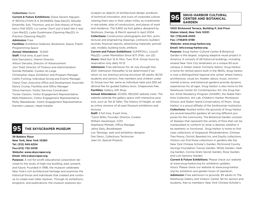### **Collections:** None

**Current & Future Exhibitions:** Diane Severin Nguyen: IF REVOLUTION IS A SICKNESS (Sep-Dec21); Niloufar Emamifar, SoiL Thornton, and an Oral History of Knobkerry (Fall 2021); Liz Larner: Don't put it back like it was (Jan-Mar22); Lydia Ourahmane (Opening May22); In Practice (Opening May22)

### **Admission:** Free

**Facilities:** Exhibition Galleries, Bookstore, Space, Public Programming Space

**Annual Attendance:**  15,000 **Staff:** 9 full time, 6 part time Kyle Dancewicz, Interim Director Allison Derusha, Director of Advancement Joni Todd, Director of Finance and Administration Sohrab Mohebbi, Curator-at-Large Christopher Aque, Exhibition and Program Manager Caitlin Furlong, Individual Giving and Events Manager Cheryl Chan, Executive Office and Development Associate Danny Crump, Facilities and Office Manager Olivia Harrison, Visitor Services Coordinator Tucker Claxton, Visitor Engagement Representative Bella Masterson, Visitor Engagement Representative Molly Wasielewski, Visitor Engagement Representative Kiersten Lukason, Head Installer

## **95 THE SKYSCRAPER MUSEUM**

**39 Battery Place New York, New York 10280 Tel: (212) 945-6324 Fax:(212) 732-3039 Website: www.skyscraper.org Email: info@skyscraper.org**

**Purpose:** A not-for-profit educational corporation devoted to the study of high-rise building, past, present, and future. Founded in 1996, the museum celebrates New York's rich architectural heritage and examines the historical forces and individuals that created and continue to create even taller skylines. Through its exhibitions, programs, and publications, the museum explores sky-

scrapers as objects of architectural design, products of technical innovation, and icons of corporate culture, viewing them also in their urban milieu as investments in real estate, sites of construction, and places of work and residence. The 5,800 sq foot gallery designed by Skidmore, Owings, & Merrill opened in April 2004. **Collections:** Construction photographs and film; architectural and engineering drawings; contracts; builders' records; financial reports; advertising materials; periodicals; models; building tools; artifacts

**Current and Future Exhibitions:** SUPERTALL (July21- May22): Lower Manhattan Since 9/11 (Feb -Jun 22) **Hours:** Wed-Sun 12-6; Mon, Tues 10-6; Group tours by reservation only daily 10-12

**Admission:** Free admission for all July through Dec. 2021. Admission thereafter to be determined if we return to our previous pricing structure: \$5 adults, \$2.50 students and seniors, free members and children under 12; Group tour fee: same as individual rates plus \$35 additional fee for guided Gallery tours. Chaperones free. **Facilities:** Gallery, Gift Shop

**Annual Attendance:** 23,000; 190,000 website visits. The website extends the gallery space with interactive projects, such as Ten & Taller, The History of Height, as well as online versions of all past Museum exhibitions and lectures.

**Staff:** 3 full time, 9 part time, \*Carol Willis, Founder, Director, Curator William Havemeyer, COO Stephanie Moltalti, Office Manager Jelina Saliu, Bookkeeper Leo Tamargo, web and exhibition designer Dan Denci, Collections Technician Jean Im, Special Projects

### **SNUG HARBOR CULTURAL CENTER AND BOTANICAL GARDEN 96**

**1000 Richmond Terrace, Building P, 2nd Floor Staten Island, New York 10301 Tel: (718)448-2500 Fax: (718)815-0198 Website: www.snug-harbor.org Email: info@snug-harbor.org**

**Purpose:** Snug Harbor Cultural Center & Botanical Garden is the largest, ongoing adaptive reuse project in America. It consists of 28 historical buildings, including several New York City landmarks on a unique 83-acre campus in Staten Island. Formerly Sailors' Snug Harbor, a home for retired sailors built in the 1800s, Snug Harbor is now a distinguished regional arts center where history, architecture, visual art, theater, dance, music, environmental science, and botanical gardens provide dynamic experiences for all ages. Snug Harbor is also home to the Newhouse Center for Contemporary Art, the Snug Harbor Artist Residency Program (SHARP), the Noble Maritime Collection, Art Lab, Children's Harbor Montessori School, and Staten Island Conservatory of Music. Snug Harbor is a proud affiliate of the Smithsonian Institution. **Collections:** Nestled within the grounds of Snug Harbor are several beautiful gardens all serving different purposes for the community. The Botanical Garden consists of displays that represent the variety of flora that can be manipulated to conform to what is desired, whether it be aesthetic or functional. Snug Harbor is home to first class collections of Dogwood, Rhododendron, Chinese Tree Peony, Orchid, Bearded Iris, and Daylily collections. Visitors can find these collections in gardens like the New York Chinese Scholar's Garden, Richmond County Savings Foundation Tuscan Garden, White Garden, Healing Garden, Connie Gretz Secret Garden, Rose Garden, and Lion Sensory Garden.

**Current & Future Exhibitions:** Please check our website at www.snug-harbor.org for exhibition updates. Hours: Please check our website at www.snug-harbor. org for exhibition and garden hours of operation. **Admission:** Free admission to grounds; \$5 adults to The Newhouse Gallery and Visitors' Center, \$4 for seniors and students, free to members; New York Chinese Scholar's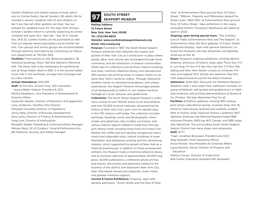Garden (Galleries and Garden passes include admission to Connie Gretz's Secret Garden), \$5 adults, \$4 for members, seniors, students with ID and children under 5 are free (all other gardens are free). See our website for updated hours for The New York Chinese Scholar's Garden which is currently observing its winter schedule and open Oct– Apri Sat – Sun 10-4; Closed Dec 24 & 25. Combo tickets can be purchased as well. Visit our website www.snug-harbor.org for further details. Tour groups and school groups are accommodated through advance reservations by contacting our Education Department at 718-425-3512.

**Facilities:** Free parking on site. Botanical gardens, 28 historical buildings, Music Hall and Veteran's Memorial Hall. The Music Hall is the centerpiece for performing arts at Snug Harbor. Built in 1892, it is the second oldest music hall in the northeast, younger than Carnegie Hall by a few months.

### **Annual Attendance:** 500,000

**Staff:** 25 full time, 22 part time, 300 volunteers \* Jessica Baker Vodoor, President & CEO Martha Neighbors, Vice President of Development & External Affairs

Susannah Abbate, Director of Education & Engagement Larry Anderson, Facilities Site Director Maryellen Donnelly, Director of Operations Jenny Kelly, Director of Business Development Sara Lacey, Director of Finance & Administration Greg Lord, Director of Horticulture Meredith Sladek, Marketing & Communications Manager Melissa West, VP of Curation, Visual & Performing Arts Bill Pepitone, Security and Safety Manager

# **SOUTH STREET 97 SEAPORT MUSEUM**

**Mailing Address: 12 Fulton Street New York, New York 10038 Tel: (212)748-8600 Website: www.southstreetseaportmuseum.org Email: info@seany.org**

**Purpose:** Founded in 1967, the South Street Seaport Museum preserves and interprets the origins and growth of New York City as a world port—a place where goods, labor, and cultures are exchanged through work, commerce, and the interaction of diverse communities. SSSM uses its collections and archives, historic buildings and ships, maritime reference library, and reproduction 19th-century job printing shops to inspire visitors to explore New York's maritime origins. Through interactive exhibits, hands-on educational programs, and unique experiences, the Seaport Museum encourages people of all backgrounds to reflect on our shared maritime heritage at a local, national, and global level. **Collections:** The South Street Seaport Museum's collections consist of over 28,000 works of art and artifacts, and over 55,000 archival materials, documenting the history of New York City's port, from its earliest days in the 17th century until today. The collection includes paintings, drawings, prints and photographs; manuscripts and ephemera; ship models; scrimshaw; and various historic objects related to trade from the seaport district itself, including those from the Fulton Fish Market, the coffee and tea industry, navigational instruments and shipwright tools, historic buildings in lower Manhattan, and letterpress printing and the advertising industry, which supported the growth of New York as a financial powerhouse. In addition to those accessioned artifacts, the Museum holds a maritime reference library and an archival collection of approximately 30,000 ship plans, 18,000 publications, a reference photo archive, and historic documents and ephemera related to the business of the district and downtown New York City, New York-based vessels and shipyards, ocean travel, and general maritime subjects.

**Current & Future Exhibitions:** Ongoing, open with general admission: "South Street and the Rise of New York" at Schermerhorn Row ground floor, 12 Fulton Street; "Millions:, Migrants and Millionaires aboard the Great Liners, 1900-1914" at Schermerhorn Row ground floor, 12 Fulton Street. New exhibitions in the newly renovated historic Thompson Warehouse are slated to open in 2022.

**Ongoing, open during special tours:** "The Architecture of Trade: Schermerhorn Row and The Seaport" at Schermerhorn Row 4th floor galleries, 12 Fulton Street. Additional displays, open with general admission, on board the Museum's tall ship Wavertree and lightship Ambrose at Pier 16.

**Hours:** Museum's ongoing exhibitions, printing demonstrations, and tours of historic ships open Thurs-Sun 11-5 in Jun-Aug; Fri-Sun 11-5 Apr-Oct; Sat-Sun 11-5 Nov-Mar. Sailing and New York Harbor cruises on schooner Pioneer and tugboat W.O. Decker are seasonal, May-Oct. Visit seaportmuseum.org for the latest schedule. **Admission:** Adult \$20; Discounts for Members/Seniors/ Students; Kids 7 and under Free. Admission includes ongoing exhibitions, self-guided and guided tours on lightship Ambrose, and printing demonstrations at Bowne & Co. Printers. Tall ship Wavertree Free for all.

**Facilities:** Exhibition galleries; working 19th-century print shops; educational spaces; museum shop; Pier 16, home to meticulously restored and carefully curated fleet of historic ships: National Historic Landmark 1907 lightship Ambrose and National Register-listed 1885 schooner Pioneer, 1930 tug W.O. Decker, and 1885 cargo ship Wavertree. The surrounding South Street Seaport Historic District has many shops and restaurants. **Staff:** 18 FT

\*Capt. Jonathan Boulware, President and CEO Meg Fellerath, Chief Operating Officer Anna Frenkel, Vice President for External Affairs Laura Norwitz, Senior Director of Program and Education

Martina Caruso, Director of Collections Rob Farfan, Executive Assistant/HR Generalist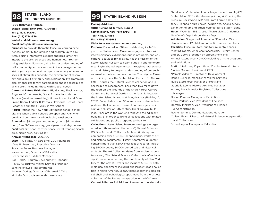**1000 Richmond Terrace Staten Island, New York 10301-1181 Tel: (718)273-2060 Fax: (718)273-2836 Website: sichildrensmuseum.org Email: info@sichildrensmuseum.org**

**Purpose:** To provide thematic Museum learning experiences, primarily for families and children up to age twelve, using interactive exhibits and programs that integrate the arts, sciences and humanities. Programming enables children to gain a better understanding of self, community and environment. It encourages active visitor participation and recognizes a variety of learning styles. It stimulates curiosity, the excitement of discovery, and a spirit of inquiry and exploration. Programming also emphasizes family participation and is accessible to all children, including those with special needs.

**Current & Future Exhibitions:** Big Games, Block Harbor, Bugs and Other Insects, Great Explorations, Garden Terrace (weather permitting), House About It and Green Living Room, Ladder 11, Portia's Playhouse, Sea of Boats (weather permitting), Walk-in Workshop!

**Hours:** Reflect the New York City public school schedule: 11-5 when public schools are open and 10-5 when public schools are closed (including weekends) **Admission:** \$8 one year and older, groups \$4 per student; free, 3-5Wednesday, grandparents all day on Wed **Facilities:** Gift shop, theater, space rental, vending/snack

area, picnic area, parking lot **Annual Attendance:** 220,000

**Staff:** 11 full time, 47 part-time, 200 volunteers \*Dina R. Rosenthal, Executive Director Roxanne Burke, Business Manager Karen Jarmon, Director of Education Renee Wasser, Exhibits Manager Zoe Tirado, Program Development Manager Hayley Augustyne, Visitor Services Manager Jami Kilichowski, Reservationist Jennifer Dudley, Director of External Affairs Michelle Dotson, Membership Associate

### 99 **99** STATEN ISLAND CHILDREN'S MUSEUM **STATEN ISLAND MUSEUM**

**Mailing Address: 1000 Richmond Terrace, Bldg. A Staten Island, New York 10301-1181 Tel: (718)727-1135 Fax: (718)273-5683 Website: www.statenislandmuseum.org**

**Purpose:** Founded in 1881 and celebrating its 140th year, the Staten Island Museum engages visitors with interdisciplinary exhibitions, public programs, and educational activities for all ages. It is the mission of the Staten Island Museum to spark curiosity and generate meaningful shared experiences through natural science, art, and history to deepen understanding of our environment, ourselves, and each other. The original Museum building, near the Staten Island Ferry in St. George (1918), houses the Natural Science collection and is accessible to researchers. Less than two miles down the road on the grounds of the Snug Harbor Cultural Center and Botanical Garden is the flagship location, the Staten Island Museum at Snug Harbor (Building A, 2015). Snug Harbor is an 83-acre campus situated on parkland that is home to several cultural agencies in a unique cluster of 19th century Greek Revival buildings. Plans are in the works to renovate the adjacent building, B, in order to bring all collections with related exhibitions and public programs to the site. **Collections:** Staten Island Museum holdings are organized into three main collections: (1) Natural Sciences, (2) Fine Art, and (3) History Archives & Library, encompassing over a 1,000,000 specimens, works of art, and historic documents. History Adarchives & Library contains more than 1,500 linear feet of records, including 55,000 books, 30,000 periodicals and historical artifacts. The Art Collection dates from ancient to contemporary. The Natural Science Collection is of national significance documenting the bio-diversity of New York City for the past 150 years and includes 500,000 entomological specimens including the largest Cicada collection in North America, 25,000 plant specimens, geological, shell, and archeological specimens from the largest collection of the Native Lenape tribe in the NYC area.

**Current & Future Exhibitions:** Remember the Mastodon

(biodiversity), Jennifer Angus: Magicicada (thru May22); Staten Island SEEN (landscape paintings), Opening the Treasure Box (World Art) and From Farm to City (history). Planned future shows include Yes, And: a survey exhibition of art and artists connected to Staten Island. **Hours:** Wed–Sun 11-5. Closed Thanksgiving, Christmas, New Year's Day, Independence Day

**Admission:** Suggested Admission: \$8 adults, \$5 students/seniors, \$2 children under 12; free for members **Facilities:** Museum Store, auditorium, rental spaces, meeting rooms, wheelchair accessible. History Center and St. George location by appointment only Annual Attendance: 40,000 including off-site programs and exhibitions

**Staff:** 14 full time, 16 part time, 25 volunteers & interns \*Janice Monger, President & CEO \*Pamela Adanim Director of Development Reneé Bushelle, Manager of Visitor Services Rylee Eterginoso, Manager of Programs Gabriella Leone, History Archives Manager Audrey Malachowsky, Registrar, Collections Manager Donna Pagano, Manager of Exhibitions Frank Perkins, Vice President of Facilities Dorothy Pinkston, Vice President of Finance & Administration Rachel Somma, Communications Manager Colleen Evans, Director of Natural Science Interpretation

and Collections

Susan Hogan, Manager of Education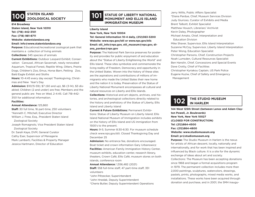# **100** STATEN ISLAND **200LOGICAL SOCIETY**

**614 Broadway**

**Staten Island, New York 10310 Tel: (718) 442-3101 Fax: (718) 981-8711**

**Website: statenislandzoo.org**

### **Email: info@www.statenislandzoo.org**

**Purpose:** Educational/recreational zoological park that maintains a collection of living animals

**Collections:** 345 species of animals

**Current Exhibitions:** Outdoor Leopard Exhibit; Conservation Carousel, African Savannah, newly renovated Aquarium, Tropical Forest, Reptile Wing, Otters, Prairie Dogs, Children's Zoo, Emus, Horse Barn, Petting Zoo, Bald Eagle Exhibit and Sloths

**Hours:** 10-4:45 every day except Thanksgiving, Christmas and New Year's Day

**Admission:** \$10(15-59); \$7 (60 and up), \$6 (3-14), \$3 disabled; Children (2 and under) are free; Members and the general public are free on Wed, 2-4:45. Call 718-442- 3101 for additional information.

### **Facilities:**

### **Annual Attendance:** 125,860

**Staff:** 30 full time, 16 part-time, 250 volunteers \*Kenneth C. Mitchell, Executive Director William J. Frew, Esq., President Staten Island Zoological Society Joseph Romagnolo, Vice President Staten Island Zoological Society Dr. Sarah Kaye, DVM, General Curator Cathy Eser, Supervisor of Menagerie Mark Lamberti, Facilities & Property Manager Jessica Hartmann, Director of Education

### **STATUE OF LIBERTY NATIONAL MONUMENT AND ELLIS ISLAND IMMIGRATION MUSEUM 101**

### **Liberty Island**

New York, New York 10004

**Tel: General Information 10-4 daily, (212)363-3200 Website: www.nps.gov/stli or www.nps.gov/elis Email: stli\_info@nps.gov, stli\_museum@nps.gov, diana\_pardue@nps.gov**

**Purpose:** The National Park Service preserves for posterity and provides for public enjoyment of and education about the "Statue of Liberty Enlightening the World" and Ellis Island. These sites symbolize and commemorate the living reality of Freedom, Democracy and opportunity in the United States. Woven into the history of these sites are the aspirations and contributions of millions of immigrants who made the United States their new home and the nation it is today. Preservation of the Statue of Liberty National Monument encompasses all cultural and natural resources on Liberty and Ellis Islands.

**Collections:** Historical and art objects, archives, oral histories, and archeological collections directly related to the history and prehistory of the Statue of Liberty, Ellis Island and Liberty Island

**Current & Future Exhibitions:** Permanent Exhibitions: Statue of Liberty Museum on Liberty Island; Ellis Island National Museum of Immigration includes exhibits on the history of Ellis Island and US immigration from 1500's to the present.

**Hours:** 9-5; Summer 8:30-6:30. For museum schedule check www.nps.gov/stli. Closed Thanksgiving Day and December 25

**Admission:** No entrance fee, donations encouraged. Boat ticket and crown information Gary Urbanowicz **Facilities:** American Family Immigration History Center, museum exhibits, education center, research library, theaters, Crown Café, Ellis Café, museum stores on both islands, conference room

**Annual Attendance:** 1,556,482 (2021)

**Staff:** 558 full-time staff, 47 part-time staff, 351 volunteers

\*John Piltzecker, Superintendent

\*John Hnedak, Deputy Superintendent

\*Cherie Butler, Deputy Superintendent Operations

Jerry Willis, Public Affairs Specialist \*Diana Pardue, Chief, Museum Services Division Judy Giuriceo, Curator of Exhibits and Media Brent Talbott, Exhibit Specialist Matthew Housch, Librarian/ Archivist Kevin Daley, Photographer Michael Amato, Chief, Interpretation and Education Division Mike Shaver, Supervisor, Ellis Island Interpretation Suzanne McCoy, Supervisor, Liberty Island Interpretation Peter Wong, Education Specialist Christopher Parsons, Chief, Construction Projects Noah Lumsden, Cultural Resources Specialist Ben Hanslin, Chief, Concessions and Special Events Dave Crotty, Chief of Facilities Christopher Kyriakou Captain, US Park Police Eugene Kuziw, Chief of Safety and Emergency Management

# **THE STUDIO MUSEUM**

**144 West 125th Street (between Lenox and Adam Clayton Powell, Jr. Boulevards) New York, New York 10027 (CLOSED FOR CONSTRUCTION) Tel: (212)864-4500 Fax: (212)864-4800 Website: www.studiomuseum.org Email: pr@studiomuseum.org**

**Purpose:** The Studio Museum in Harlem is the nexus for artists of African descent, locally, nationally and internationally, and for work that has been inspired and influenced by Black culture. It is a site for the dynamic exchange of ideas about art and society. Collections: The Museum has been accepting donations since 1968 and began a formal acquisitions program in 1979. The permanent collection includes more than 2,000 paintings, sculptures, watercolors, drawings, pastels, prints, photographs, mixed media works, and installations. These works have been acquired through donation and purchase, and in 2001, the SMH inaugu-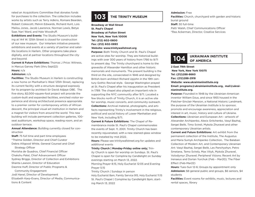rated an Acquisitions Committee that donates funds for purchases to the collection. The collection includes works by artists such as Terry Adkins, Romare Bearden, Robert Colescott, Melvin Edwards, Richard Hunt, Lois Mailou Jones, Jacob Lawrence, Norman Lewis, Betye Saar, Nari Ward, and Hale Woodruff.

**Exhibitions and Events:** The Studio Museum's building at 144 W. 125th Street is closed for construction of our new museum. Our inHarlem initiative presents exhibitions and events at a variety of partner and satellite locations in Harlem. Other programs take place digitally, and at partner locations throughout the city and beyond.

**Current & Future Exhibitions:** Thomas J Price: Witness, in Marcus Garvey Park (thru Sept22)

### **Hours:** n/a

### **Admission:** n/a

**Facilities:** The Studio Museum in Harlem is constructing a new home on Manhattan's West 125th Street, replacing its current facility with a structure designed expressly for its program by architect Sir David Adjaye OBE. The five-story, 82,000-square-foot project will provide the custom-built and expanded facilities, enriched visitor experience and strong architectural presence appropriate to a premier center for contemporary artists of African descent, the principal visual art institution in Harlem and a magnet for visitors from around the world. This new building will include permanent collection galleries, 100 seat auditorium, workshop space, reading room, and an outdoor terrace.

**Annual Attendance:** Building currently closed for construction

**Staff:** 75 full time and part time employees

\*Thelma Golden, Director and Chief Curator

Debra Alligood White, General Counsel and Chief Strategy Officer

Monisha de Quadros, Chief Financial Officer Chakshu Patel, Chief Advancement Officer Sydney Briggs, Director of Collection and Exhibitions Shanta Lawson, Director of Education Daonne Huff, Director of Public Programs & Community Engagement Jodi Hanel, Director of Development

Elizabeth Karp-Evans, Director of Media, Communications & Content

## **103 THE TRINITY MUSEUM**

**Broadway at Wall Street St. Paul's Chapel Broadway at Fulton Street New York, New York 10006 Tel: (212) 602-0800 Fax: (212) 602-0893 Website: www.trinitywallstreet.org**

**Purpose:** Both Trinity Church and St. Paul's Chapel are active sites for worship. They are historical buildings with over 300 years of history from 1766 to 9/11 to present day. The Trinity churchyard is home to the gravesite of Alexander Hamilton and other historic memorials and monuments. The present building is the third on the site, consecrated in 1846 and designed by British-born architect Richard Upjohn in the 19th century Gothic Revival style. George Washington prayed at St. Paul's Chapel after his inauguration as President in 1789. The chapel also played an important role in supporting the NYC community after 9/11. Located a few blocks north of Trinity Church, it is an active site for worship, music concerts, and community outreach. **Collections:** Archival material, photographs, and artifacts representing Trinity's involvement in the religious, political and social history of Lower Manhattan and New York, including 9/11.

**Current & Future Exhibitions:** The Chapel of Remembrance inside St. Paul's Chapel commemorates the events of Sept. 11, 2001. Trinity Church has been recently rejuvenated, with a new stained-glass window to be installed by mid 2022.

**Hours:** Please see trinitywallstreet.org for updates and additional events

### **Trinity Church | Monday-Friday online only;** Trin-

ity Church is open for worship on Sundays. St. Paul's Chapel is open for Compline by Candlelight on Sunday evenings starting on March 13, 2022.

Morning Prayer 8:15, Holy Eucharist 12:05 and Evening Prayer 5:15

Trinity Church | Sundays in person

Holy Eucharist 8am, Family Service 915, Holy Eucharist 11:15 St. Paul's Chapel | Compline by Candlelight 8pm, starting March 13, 2022

**Admission:** Free **Facilities:** Church, churchyard with garden and historic burial ground **Staff:** 30 full-time Patti Walsh, Chief Communications Officer \*Rea Ackerman, Director, Creative Services

# **104 OF AMERICA**

**2 East 79th Street New York, New York 10075 Tel: (212)288-8660 Fax: (212)288-2918 Website: www.ukrainianinstitute.org Email: programs@ukrainianinstitute.org, mail@ukrainianinstitute.org.**

**Purpose:** Founded in 1948 by the Ukrainian-American inventor William Dzus, and since 1955 housed in the Fletcher-Sinclair Mansion, a National Historic Landmark, the purpose of the Ukrainian Institute is to sponsor, promote and encourage awareness, appreciation and interest in art, music, history and culture of Ukraine. **Collections:** Ukrainian and European Art - artwork of Alexander Archipenko, Alexis Gritchenko, Vasyl Bazhaj, Sergei Belik, Timo Svireli, Mykola Zhuravel and other contemporary Ukrainian artists.

**Current and Future Exhibitions:** Art exhibit from the permanent collection of the Institute, The Augustus and Maria Sumyk Archipenko Collection, The Balaban Collection of Modern Art, and Contemporary Ukrainian Art: Vasyl Bazhaj, Sergei Belik, Les Panchyshyn, Petro Smetana, Temo Svirely, Max Vityk, Mykola Zhuravel, Volodymyr Zhuravel; Peripheral Visions: Recent Art by Irenaeus and Dorian Yurchuk (Feb – Mar20); The Fiber Effect (Feb-Mar22)

**Hours:** Tues-Sun 12-6; Groups by appointment only **Admission:** \$8 general public and groups, \$6 seniors, \$4 students

**Facilities:** Event rooms for exhibits, music, lectures and rental spaces, library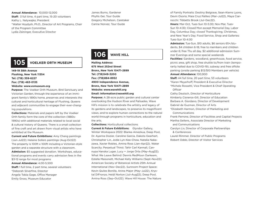**Annual Attendance:** 10,000-12,000 **Staff:**  3 full time, 4 part time, 15-20 volunteers Kathy L. Nalywajko, President \*Walter Hoydysh, Ph.D., Director of Art Programs, Chair of the Program Committee Lydia Zaininger, Executive Director

James Burns, Gardener Phyllis Ger, Tour Guide Gregory Michelson, Caretaker Carine Norvez, Tour Guide

## **105 VOELKER ORTH MUSEUM**

**149-19 38th Avenue Flushing, New York 11354 Tel: (718) 359-6227 Fax: (718) 463-0135 Website: www.vomuseum.org**

**Purpose:** The Voelker Orth Museum, Bird Sanctuary and Victorian Garden, through the experience of an immigrant family's 1890s home, preserves and interprets the cultural and horticultural heritage of Flushing, Queens and adjacent communities to engage their ever-changing populations.

**Collections:** Materials and papers left by the Voelker Orth family form the core of the collection (1880s-1990s) with additional materials related to local social & cultural history of Queens. There is a small collection of fine craft and art drawn from visual artists who have exhibited at the Museum.

**Current and Future Exhibitions:** Amy Cheng paintings (Jun-Jul22); Helaine Sollers paintings (Aug-Oct22) The property is 100ft x 100ft including a Victorian-style garden and a separate structure with a classroom. **Admission:** \$5 suggested donation. Workshops, educational programs and events carry admission fees in the \$3-12 range for most programs **Annual Attendance:** 4,00-5,500

**Staff:** 1 full time, 2 part time, several volunteers \*Deborah Silverfine, Director Angela Tobia Gage, Office Manager Emily Gross, Museum Educator

## **106 WAVE HILL**

**Mailing Address: 675 West 252nd Street Bronx, New York 10471-2899 Tel: (718)549-3200 Fax: (718)884-8952 4900 Independence Avenue, Bronx, New York 10471-2899 Website: www.wavehill.org Email: information@wavehill.org** 

**Purpose:** A 28-acre public garden and cultural center overlooking the Hudson River and Palisades, Wave Hill's mission is to celebrate the artistry and legacy of its gardens and landscapes, to preserve its magnificent views, and to explore human connections to the natural world through programs in horticulture, education and the arts.

**Collections:** Horticultural collections

**Current & Future Exhibitions:** Glyndor Gallery, Winter Workspace 2022: Blanka Amezkua, Deep Pool, Dr. Ayanna Dozier, Caroline Garcia, Dakota Gearhart, Christopher Lin, Jodie Lyn-Kee-Chow, Natalia Nakazawa, Xavier Robles, Amina Ross (Jan–Apr22). Water Scarcity: Perpetual Thirst: Tahir Carl Karmali, Cannupa Hanska Luger, Lucy + Jorge Orta (May–Aug22); What We Leave Behind: Dennis RedMoon Darkeem, Estelle Maisonett, Michael Kelly Williams (Sept–Nov22); American Society of Botanical Artists 25th Annual International (Nov–Dec22). Sunroom Project Space: Kevin Quiles Bonilla, Anina Major (May–Jul22), Krystal DiFronzo, Heidi Norton (Jul–Aug22), Deep Pool, Amina Ross (Sep–Oct22). Wave Hill House: The Nature

of Family Portraits: Destiny Belgrave, Sean-Kierre Lyons, Devin Osorio, Maia Cruz Palileo (Mar–Jul22), Maya Ciarrocchi: Tibbetts Brook (Jul–Dec22).

**Hours:** Mar-Oct, Tues-Sun 10-5:30; Nov-Mar, Tues-Sun 10-4:30; Closed Mon except Memorial Day, Labor Day, Columbus Day; closed Thanksgiving, Christmas, and New Year's Day. Food Service, Shop and Galleries: Tues-Sun 10-4:30

**Admission:** Tue-Sun, \$10 adults, \$6 seniors 65+/students, \$4 children 6-18, free to members and children under 6; free Thu all day. \$2 additional admission Summer Evenings and some special weekends

**Facilities:** Gardens, woodland, greenhouse, food service, picnic area, gift shop, free shuttle to/from train (temporarily halted due to COVID-19), subway and free offsite parking (onsite parking \$13/\$10 Members per vehicle) **Annual Attendance:** 100,900

**Staff:** 44 full time, 20 part time, 53 volunteers \*Karen Meyerhoff, President & Executive Director \*Michele Rossetti, Vice President & Chief Operating **Officer** 

Cathy Deutsch, Director of Horticulture Kimberly Cisneros-Gill, Director of Education Barbara A. Giordano, Director of Development Gabriel de Guzman, Director of Arts \*Elizabeth Harmon, Director of Marketing and Communications Frank Perrone, Director of Facilities and Capital Projects Martha Gellens, Associate Director of Marketing and Communications Carolyn Liv, Director of Corporate Partnerships & Conferences

Laurel Rimmer, Director of Public Programs Robert Oddo, Director of Visitor Services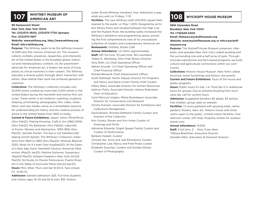

# **107 WHITNEY MUSEUM OF**

### **99 Gansevoort Street**

**New York, New York 10014 Tel: (212)570-3600, (212)570-7720 (groups) Fax: (212)570-1807**

### **Website: www.whitney.org, http://www.whitney.org Email: info@whitney.org**

**Purpose:** The Whitney seeks to be the defining museum of 20th-and 21st-century American art. The museum collects, exhibits, preserves, researches, and interprets art of the United States in the broadest global, historical and interdisciplinary contexts. As the preeminent advocate for American art, it fosters the work of living artists at critical moments in their careers. The Whitney educates a diverse public through direct interaction with artists, often before their work has achieved general acceptance.

**Collections:** The Whitney's collection includes over 22,000 works created by more than 3,000 artists in the United States during the twentieth and twenty-first centuries. These works in all mediums—painting, sculpture, drawing, printmaking, photography, film, video, installation, and new media—serve as a remarkable resource for understanding art history and the creative process of artists in the United States from 1900 to today.

**Current & Future Exhibitions:** Jasper Johns: Mind/Mirror (thru Feb22); Making Knowing: Craft in Art (1960-2019) (thru Feb22); My Barbarian (thru Feb22); Labyrinth of Forms: Women and Abstraction, 1930-1950 (thru Mar22); Jennifer Packer: The Eye is not Satisfied with Seeing (Oct21-Apr22); The Whitney's Collection: Selections from 1900 to 1965 (thru May22); Whitney Biennial 2022: Quiet As It's Kept (Apr-AugSept22); At the Dawn of a New Age: Early Twentieth-Century American Modernism (May22-Jan23); Martine Gutierrez: Supremacy (Sept22-Mar23); Edward Hoppers's New York (Oct22- Mar23); No Existe Un Mundo Poshuracan: Puerto Rican Art in the Wake of Hurricane Maria (Nov22-Apr23) **Hours:** Mon, Wed, Thurs and Sat 10:30-6; Tues closed, Fri 10:30-10.

**Admission:** General admission: \$25. Full-time students and visitors ages 19–25 and 62 & over: \$18. Visitors

under 18 and Whitney members: free. Admission is paywhat-you-wish on Fridays, 7–10

**Facilities:** The new Whitney (with 200,000 square feet) opened to the public on May 1, 2015. Designed by architect Renzo Piano and situated between the High Line and the Hudson River, the building vastly increased the Whitney's exhibition and programming space, providing the first comprehensive view of its unsurpassed collection of modern and contemporary American art. **Restaurants:** Untitled, Studio Café

**Annual Attendance:** 1.2 million approximately **Staff:** 297 full time, 151 part time, 160 volunteers \*Adam D. Weinberg, Alice Pratt Brown Director

Amy Roth, Co-Chief Operating Officer

Idehen Aruede, Co-Chief Operating Officer and Chief Financial Officer

Pamela Besnard, Chief Advancement Officer

Scott Rothkopf, Senior Deputy Director for Programs

 and Nancy and Steve Crown Family Chief Curator Hillary Blass, Associate Director for Human Resources Kathryn Potts, Associate Director, Helena Rubinstein Chair of Education

Carol Mancusi-Ungaro, Melva Bucksbaum Associate Director for Conservation and Research

Christy Putnam, Associate Director for Exhibitions and Collections Management

David Breslin, Richard DeMartini Family Curator and Director of the Collection

Kim Conaty, Steven and Ann Ames Curator of Drawings and Prints

Adrienne Edwards, Engell Speyer Family Curator and Curator of Performance

Barbara Haskell, Curator

Chrissie Iles, Anne and Joel Ehrenkranz Curator Christopher Lew, Nancy and Fred Poses curator Elisabeth Sussman, Curator and Sondra Gilman

Curator of Photography

## **108 WYCKOFF HOUSE MUSEUM**

**5816 Clarendon Road Brooklyn, New York 11203 Tel: (718)629-5400 Email: Melissa@wyckoffmuseum.org**

**Website: www.wyckoffmuseum.org or info@wyckoffmuseum.org**

**Purpose:** The Wyckoff House Museum preserves, interprets, and operates New York City's oldest building and the surrounding one and-a-half acres of park. Through innovate educational and farm-based programs we build cultural and agricultural connections within our community.

**Collections:** Historic House Museum, New York's oldest structure, some furnishings and historic documents **Current and Future Exhibitions:** Tours of the house and public programs

**Hours:** Public hours Fri-Sat, 1-4; Third Sat 11-3. Additional hours for groups. Due to extreme flooding from Hurricane Ida, call for current hours

**Admission:** Suggested donation \$5 adults, \$3 seniors, free children, group rates on website

**Facilities:** 1.5 acres parkland with growing beds, native gardens, flowers, lawn, etc. Historic house with three rooms open to the public. Limited indoor facilities. One restroom onsite. Gift shop. Property rentals for outdoor events only

### **Annual Attendance:** 13,000

**Staff:** 2 full time, 2- time, 5 per diem \*Melissa Branfman, Executive Director Danielle Hilkin, Education & Outreach Director